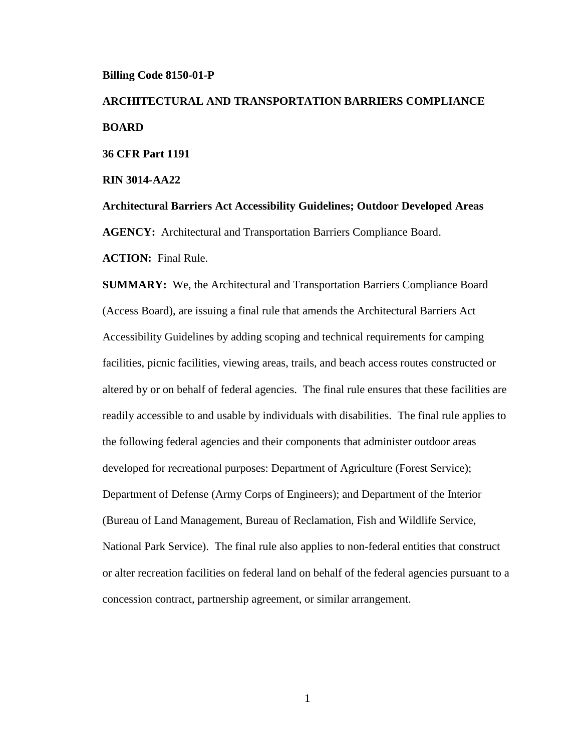#### **Billing Code 8150-01-P**

# **ARCHITECTURAL AND TRANSPORTATION BARRIERS COMPLIANCE BOARD 36 CFR Part 1191**

**RIN 3014-AA22**

**Architectural Barriers Act Accessibility Guidelines; Outdoor Developed Areas AGENCY:** Architectural and Transportation Barriers Compliance Board. **ACTION:** Final Rule.

**SUMMARY:** We, the Architectural and Transportation Barriers Compliance Board (Access Board), are issuing a final rule that amends the Architectural Barriers Act Accessibility Guidelines by adding scoping and technical requirements for camping facilities, picnic facilities, viewing areas, trails, and beach access routes constructed or altered by or on behalf of federal agencies. The final rule ensures that these facilities are readily accessible to and usable by individuals with disabilities. The final rule applies to the following federal agencies and their components that administer outdoor areas developed for recreational purposes: Department of Agriculture (Forest Service); Department of Defense (Army Corps of Engineers); and Department of the Interior (Bureau of Land Management, Bureau of Reclamation, Fish and Wildlife Service, National Park Service). The final rule also applies to non-federal entities that construct or alter recreation facilities on federal land on behalf of the federal agencies pursuant to a concession contract, partnership agreement, or similar arrangement.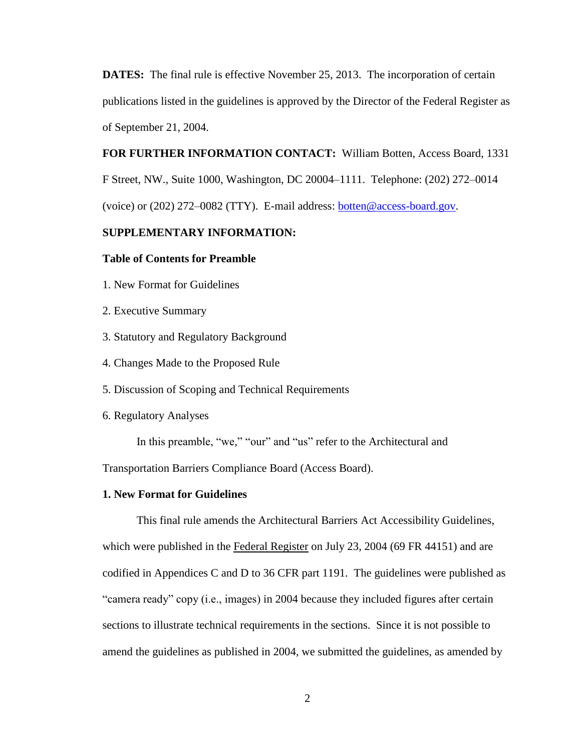**DATES:** The final rule is effective November 25, 2013. The incorporation of certain publications listed in the guidelines is approved by the Director of the Federal Register as of September 21, 2004.

# **FOR FURTHER INFORMATION CONTACT:** William Botten, Access Board, 1331

F Street, NW., Suite 1000, Washington, DC 20004–1111. Telephone: (202) 272–0014 (voice) or (202) 272–0082 (TTY). E-mail address: [botten@access-board.gov.](mailto:botten@access-board.gov)

# **SUPPLEMENTARY INFORMATION:**

## **Table of Contents for Preamble**

- 1. New Format for Guidelines
- 2. Executive Summary
- 3. Statutory and Regulatory Background
- 4. Changes Made to the Proposed Rule
- 5. Discussion of Scoping and Technical Requirements
- 6. Regulatory Analyses

In this preamble, "we," "our" and "us" refer to the Architectural and

Transportation Barriers Compliance Board (Access Board).

# **1. New Format for Guidelines**

This final rule amends the Architectural Barriers Act Accessibility Guidelines, which were published in the Federal Register on July 23, 2004 (69 FR 44151) and are codified in Appendices C and D to 36 CFR part 1191. The guidelines were published as "camera ready" copy (i.e., images) in 2004 because they included figures after certain sections to illustrate technical requirements in the sections. Since it is not possible to amend the guidelines as published in 2004, we submitted the guidelines, as amended by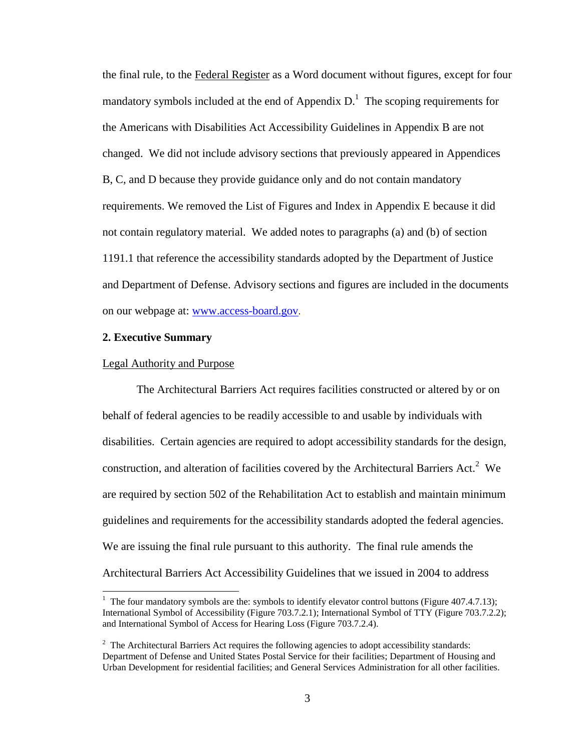the final rule, to the Federal Register as a Word document without figures, except for four mandatory symbols included at the end of Appendix  $D<sup>1</sup>$ . The scoping requirements for the Americans with Disabilities Act Accessibility Guidelines in Appendix B are not changed. We did not include advisory sections that previously appeared in Appendices B, C, and D because they provide guidance only and do not contain mandatory requirements. We removed the List of Figures and Index in Appendix E because it did not contain regulatory material. We added notes to paragraphs (a) and (b) of section 1191.1 that reference the accessibility standards adopted by the Department of Justice and Department of Defense. Advisory sections and figures are included in the documents on our webpage at: [www.access-board.gov](http://www.access-board.gov/).

# **2. Executive Summary**

#### Legal Authority and Purpose

The Architectural Barriers Act requires facilities constructed or altered by or on behalf of federal agencies to be readily accessible to and usable by individuals with disabilities. Certain agencies are required to adopt accessibility standards for the design, construction, and alteration of facilities covered by the Architectural Barriers Act.<sup>2</sup> We are required by section 502 of the Rehabilitation Act to establish and maintain minimum guidelines and requirements for the accessibility standards adopted the federal agencies. We are issuing the final rule pursuant to this authority. The final rule amends the Architectural Barriers Act Accessibility Guidelines that we issued in 2004 to address

<sup>&</sup>lt;sup>1</sup> The four mandatory symbols are the: symbols to identify elevator control buttons (Figure 407.4.7.13); International Symbol of Accessibility (Figure 703.7.2.1); International Symbol of TTY (Figure 703.7.2.2); and International Symbol of Access for Hearing Loss (Figure 703.7.2.4).

 $2^2$  The Architectural Barriers Act requires the following agencies to adopt accessibility standards: Department of Defense and United States Postal Service for their facilities; Department of Housing and Urban Development for residential facilities; and General Services Administration for all other facilities.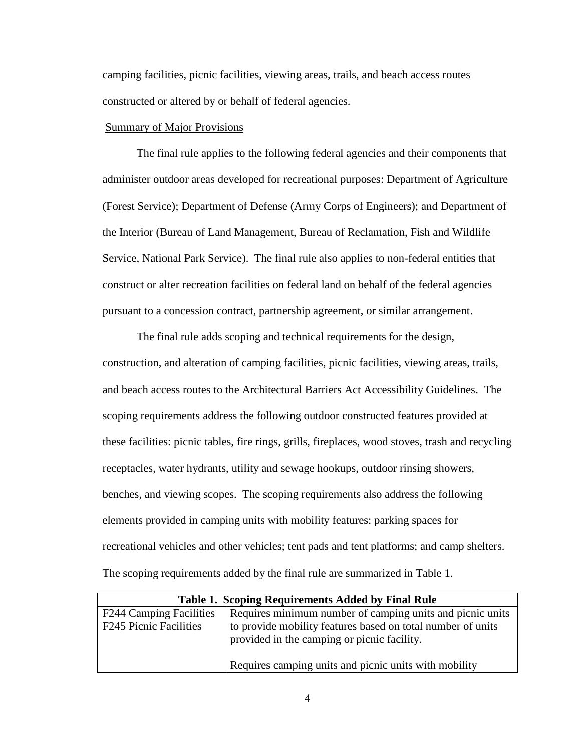camping facilities, picnic facilities, viewing areas, trails, and beach access routes constructed or altered by or behalf of federal agencies.

# Summary of Major Provisions

The final rule applies to the following federal agencies and their components that administer outdoor areas developed for recreational purposes: Department of Agriculture (Forest Service); Department of Defense (Army Corps of Engineers); and Department of the Interior (Bureau of Land Management, Bureau of Reclamation, Fish and Wildlife Service, National Park Service). The final rule also applies to non-federal entities that construct or alter recreation facilities on federal land on behalf of the federal agencies pursuant to a concession contract, partnership agreement, or similar arrangement.

The final rule adds scoping and technical requirements for the design, construction, and alteration of camping facilities, picnic facilities, viewing areas, trails, and beach access routes to the Architectural Barriers Act Accessibility Guidelines. The scoping requirements address the following outdoor constructed features provided at these facilities: picnic tables, fire rings, grills, fireplaces, wood stoves, trash and recycling receptacles, water hydrants, utility and sewage hookups, outdoor rinsing showers, benches, and viewing scopes. The scoping requirements also address the following elements provided in camping units with mobility features: parking spaces for recreational vehicles and other vehicles; tent pads and tent platforms; and camp shelters. The scoping requirements added by the final rule are summarized in Table 1.

| Table 1. Scoping Requirements Added by Final Rule               |                                                                                                                                                                         |  |
|-----------------------------------------------------------------|-------------------------------------------------------------------------------------------------------------------------------------------------------------------------|--|
| <b>F244 Camping Facilities</b><br><b>F245 Picnic Facilities</b> | Requires minimum number of camping units and picnic units<br>to provide mobility features based on total number of units<br>provided in the camping or picnic facility. |  |
|                                                                 | Requires camping units and picnic units with mobility                                                                                                                   |  |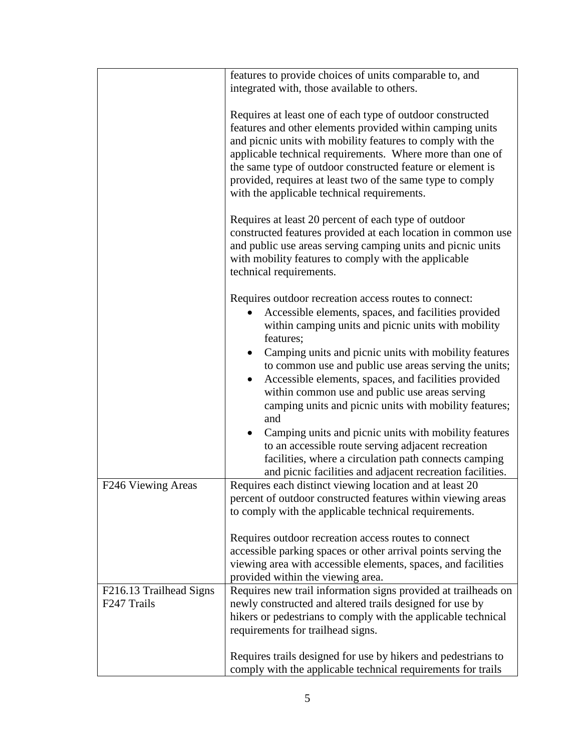|                                        | features to provide choices of units comparable to, and                                                                                                                                                                                                                                                                                                                                                                      |
|----------------------------------------|------------------------------------------------------------------------------------------------------------------------------------------------------------------------------------------------------------------------------------------------------------------------------------------------------------------------------------------------------------------------------------------------------------------------------|
|                                        | integrated with, those available to others.                                                                                                                                                                                                                                                                                                                                                                                  |
|                                        | Requires at least one of each type of outdoor constructed<br>features and other elements provided within camping units<br>and picnic units with mobility features to comply with the<br>applicable technical requirements. Where more than one of<br>the same type of outdoor constructed feature or element is<br>provided, requires at least two of the same type to comply<br>with the applicable technical requirements. |
|                                        | Requires at least 20 percent of each type of outdoor<br>constructed features provided at each location in common use<br>and public use areas serving camping units and picnic units<br>with mobility features to comply with the applicable<br>technical requirements.                                                                                                                                                       |
|                                        | Requires outdoor recreation access routes to connect:<br>Accessible elements, spaces, and facilities provided<br>within camping units and picnic units with mobility<br>features;                                                                                                                                                                                                                                            |
|                                        | Camping units and picnic units with mobility features<br>to common use and public use areas serving the units;<br>Accessible elements, spaces, and facilities provided<br>within common use and public use areas serving<br>camping units and picnic units with mobility features;<br>and                                                                                                                                    |
|                                        | Camping units and picnic units with mobility features<br>to an accessible route serving adjacent recreation<br>facilities, where a circulation path connects camping<br>and picnic facilities and adjacent recreation facilities.                                                                                                                                                                                            |
| F246 Viewing Areas                     | Requires each distinct viewing location and at least 20<br>percent of outdoor constructed features within viewing areas<br>to comply with the applicable technical requirements.                                                                                                                                                                                                                                             |
|                                        | Requires outdoor recreation access routes to connect<br>accessible parking spaces or other arrival points serving the<br>viewing area with accessible elements, spaces, and facilities<br>provided within the viewing area.                                                                                                                                                                                                  |
| F216.13 Trailhead Signs<br>F247 Trails | Requires new trail information signs provided at trailheads on<br>newly constructed and altered trails designed for use by<br>hikers or pedestrians to comply with the applicable technical<br>requirements for trailhead signs.                                                                                                                                                                                             |
|                                        | Requires trails designed for use by hikers and pedestrians to<br>comply with the applicable technical requirements for trails                                                                                                                                                                                                                                                                                                |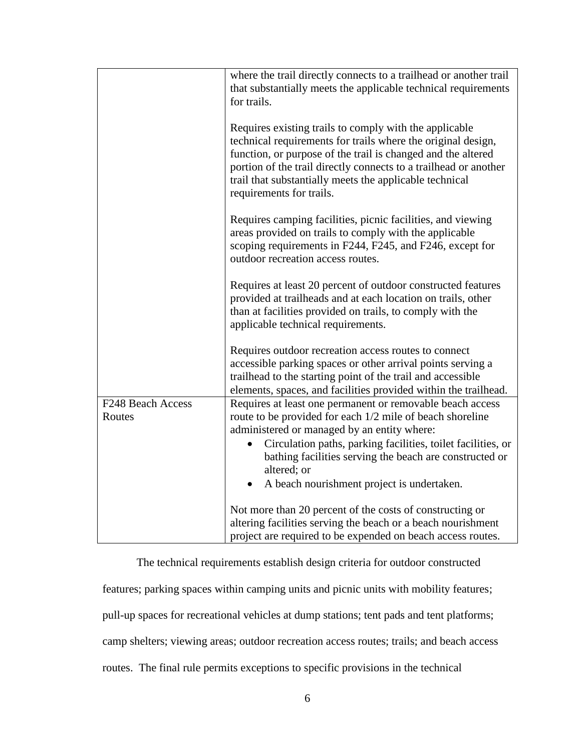|                             | where the trail directly connects to a trailhead or another trail<br>that substantially meets the applicable technical requirements<br>for trails.                                                                                                                                                                                                |
|-----------------------------|---------------------------------------------------------------------------------------------------------------------------------------------------------------------------------------------------------------------------------------------------------------------------------------------------------------------------------------------------|
|                             | Requires existing trails to comply with the applicable<br>technical requirements for trails where the original design,<br>function, or purpose of the trail is changed and the altered<br>portion of the trail directly connects to a trailhead or another<br>trail that substantially meets the applicable technical<br>requirements for trails. |
|                             | Requires camping facilities, picnic facilities, and viewing<br>areas provided on trails to comply with the applicable<br>scoping requirements in F244, F245, and F246, except for<br>outdoor recreation access routes.                                                                                                                            |
|                             | Requires at least 20 percent of outdoor constructed features<br>provided at trailheads and at each location on trails, other<br>than at facilities provided on trails, to comply with the<br>applicable technical requirements.                                                                                                                   |
|                             | Requires outdoor recreation access routes to connect<br>accessible parking spaces or other arrival points serving a<br>trailhead to the starting point of the trail and accessible<br>elements, spaces, and facilities provided within the trailhead.                                                                                             |
| F248 Beach Access<br>Routes | Requires at least one permanent or removable beach access<br>route to be provided for each 1/2 mile of beach shoreline<br>administered or managed by an entity where:                                                                                                                                                                             |
|                             | Circulation paths, parking facilities, toilet facilities, or<br>bathing facilities serving the beach are constructed or<br>altered; or                                                                                                                                                                                                            |
|                             | A beach nourishment project is undertaken.<br>$\bullet$                                                                                                                                                                                                                                                                                           |
|                             | Not more than 20 percent of the costs of constructing or<br>altering facilities serving the beach or a beach nourishment<br>project are required to be expended on beach access routes.                                                                                                                                                           |

The technical requirements establish design criteria for outdoor constructed features; parking spaces within camping units and picnic units with mobility features; pull-up spaces for recreational vehicles at dump stations; tent pads and tent platforms; camp shelters; viewing areas; outdoor recreation access routes; trails; and beach access routes. The final rule permits exceptions to specific provisions in the technical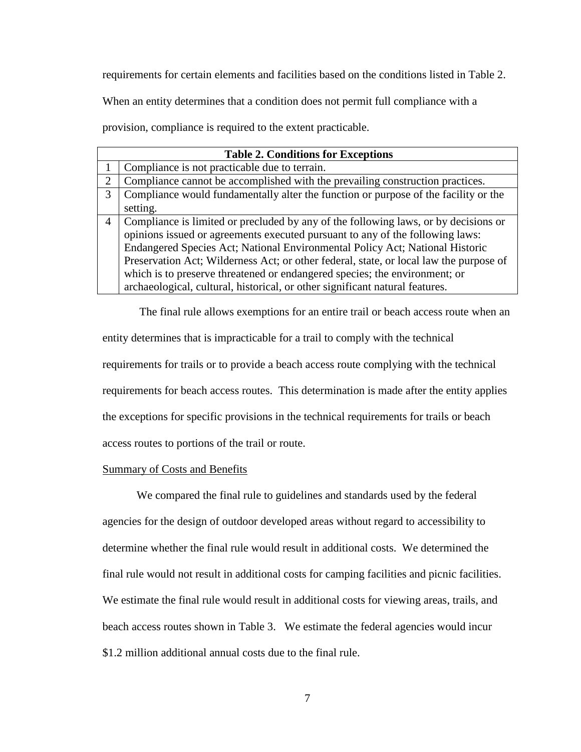requirements for certain elements and facilities based on the conditions listed in Table 2.

When an entity determines that a condition does not permit full compliance with a

provision, compliance is required to the extent practicable.

| <b>Table 2. Conditions for Exceptions</b> |                                                                                        |  |  |
|-------------------------------------------|----------------------------------------------------------------------------------------|--|--|
|                                           | Compliance is not practicable due to terrain.                                          |  |  |
| 2                                         | Compliance cannot be accomplished with the prevailing construction practices.          |  |  |
| 3                                         | Compliance would fundamentally alter the function or purpose of the facility or the    |  |  |
|                                           | setting.                                                                               |  |  |
| 4                                         | Compliance is limited or precluded by any of the following laws, or by decisions or    |  |  |
|                                           | opinions issued or agreements executed pursuant to any of the following laws:          |  |  |
|                                           | Endangered Species Act; National Environmental Policy Act; National Historic           |  |  |
|                                           | Preservation Act; Wilderness Act; or other federal, state, or local law the purpose of |  |  |
|                                           | which is to preserve threatened or endangered species; the environment; or             |  |  |
|                                           | archaeological, cultural, historical, or other significant natural features.           |  |  |

The final rule allows exemptions for an entire trail or beach access route when an entity determines that is impracticable for a trail to comply with the technical requirements for trails or to provide a beach access route complying with the technical requirements for beach access routes. This determination is made after the entity applies the exceptions for specific provisions in the technical requirements for trails or beach access routes to portions of the trail or route.

# Summary of Costs and Benefits

We compared the final rule to guidelines and standards used by the federal agencies for the design of outdoor developed areas without regard to accessibility to determine whether the final rule would result in additional costs. We determined the final rule would not result in additional costs for camping facilities and picnic facilities. We estimate the final rule would result in additional costs for viewing areas, trails, and beach access routes shown in Table 3. We estimate the federal agencies would incur \$1.2 million additional annual costs due to the final rule.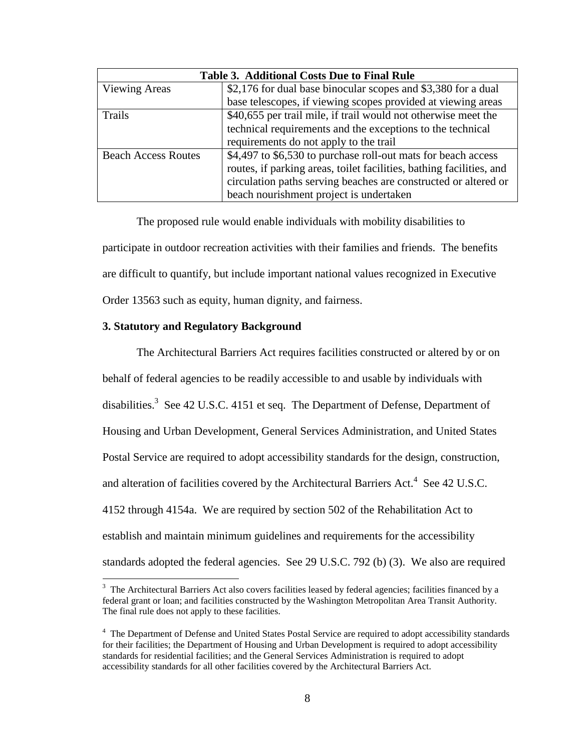| <b>Table 3. Additional Costs Due to Final Rule</b> |                                                                      |  |
|----------------------------------------------------|----------------------------------------------------------------------|--|
| <b>Viewing Areas</b>                               | \$2,176 for dual base binocular scopes and \$3,380 for a dual        |  |
|                                                    | base telescopes, if viewing scopes provided at viewing areas         |  |
| Trails                                             | \$40,655 per trail mile, if trail would not otherwise meet the       |  |
|                                                    | technical requirements and the exceptions to the technical           |  |
|                                                    | requirements do not apply to the trail                               |  |
| <b>Beach Access Routes</b>                         | \$4,497 to \$6,530 to purchase roll-out mats for beach access        |  |
|                                                    | routes, if parking areas, toilet facilities, bathing facilities, and |  |
|                                                    | circulation paths serving beaches are constructed or altered or      |  |
|                                                    | beach nourishment project is undertaken                              |  |

The proposed rule would enable individuals with mobility disabilities to participate in outdoor recreation activities with their families and friends. The benefits are difficult to quantify, but include important national values recognized in Executive Order 13563 such as equity, human dignity, and fairness.

# **3. Statutory and Regulatory Background**

 $\overline{\phantom{a}}$ 

The Architectural Barriers Act requires facilities constructed or altered by or on behalf of federal agencies to be readily accessible to and usable by individuals with disabilities.<sup>3</sup> See 42 U.S.C. 4151 et seq. The Department of Defense, Department of Housing and Urban Development, General Services Administration, and United States Postal Service are required to adopt accessibility standards for the design, construction, and alteration of facilities covered by the Architectural Barriers Act.<sup>4</sup> See 42 U.S.C. 4152 through 4154a. We are required by section 502 of the Rehabilitation Act to establish and maintain minimum guidelines and requirements for the accessibility standards adopted the federal agencies. See 29 U.S.C. 792 (b) (3). We also are required

 $3$  The Architectural Barriers Act also covers facilities leased by federal agencies; facilities financed by a federal grant or loan; and facilities constructed by the Washington Metropolitan Area Transit Authority. The final rule does not apply to these facilities.

<sup>&</sup>lt;sup>4</sup> The Department of Defense and United States Postal Service are required to adopt accessibility standards for their facilities; the Department of Housing and Urban Development is required to adopt accessibility standards for residential facilities; and the General Services Administration is required to adopt accessibility standards for all other facilities covered by the Architectural Barriers Act.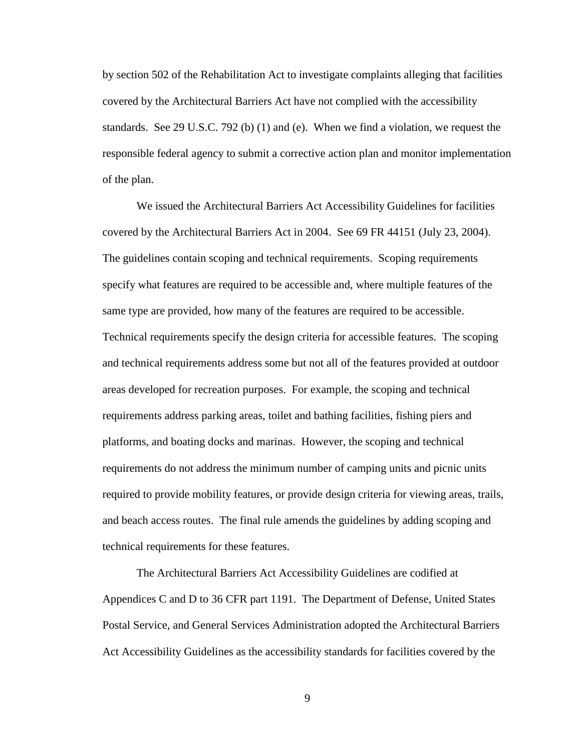by section 502 of the Rehabilitation Act to investigate complaints alleging that facilities covered by the Architectural Barriers Act have not complied with the accessibility standards. See 29 U.S.C. 792 (b) (1) and (e). When we find a violation, we request the responsible federal agency to submit a corrective action plan and monitor implementation of the plan.

We issued the Architectural Barriers Act Accessibility Guidelines for facilities covered by the Architectural Barriers Act in 2004. See 69 FR 44151 (July 23, 2004). The guidelines contain scoping and technical requirements. Scoping requirements specify what features are required to be accessible and, where multiple features of the same type are provided, how many of the features are required to be accessible. Technical requirements specify the design criteria for accessible features. The scoping and technical requirements address some but not all of the features provided at outdoor areas developed for recreation purposes. For example, the scoping and technical requirements address parking areas, toilet and bathing facilities, fishing piers and platforms, and boating docks and marinas. However, the scoping and technical requirements do not address the minimum number of camping units and picnic units required to provide mobility features, or provide design criteria for viewing areas, trails, and beach access routes. The final rule amends the guidelines by adding scoping and technical requirements for these features.

The Architectural Barriers Act Accessibility Guidelines are codified at Appendices C and D to 36 CFR part 1191. The Department of Defense, United States Postal Service, and General Services Administration adopted the Architectural Barriers Act Accessibility Guidelines as the accessibility standards for facilities covered by the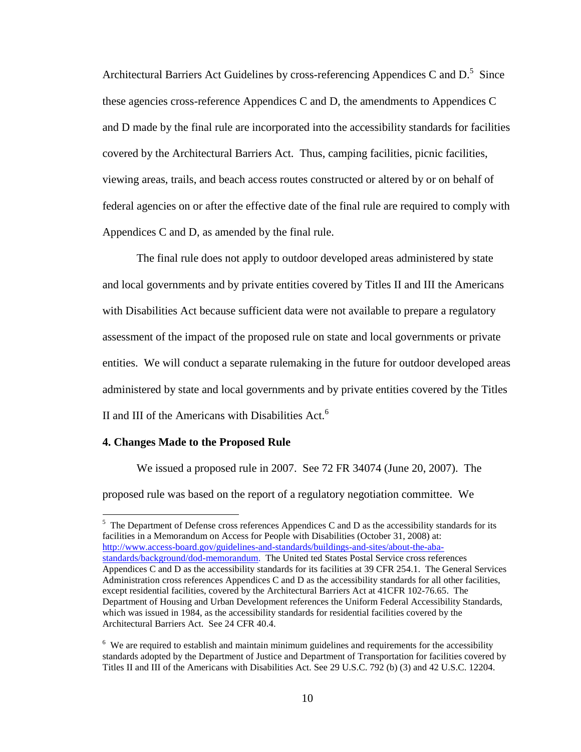Architectural Barriers Act Guidelines by cross-referencing Appendices C and  $D^5$ . Since these agencies cross-reference Appendices C and D, the amendments to Appendices C and D made by the final rule are incorporated into the accessibility standards for facilities covered by the Architectural Barriers Act. Thus, camping facilities, picnic facilities, viewing areas, trails, and beach access routes constructed or altered by or on behalf of federal agencies on or after the effective date of the final rule are required to comply with Appendices C and D, as amended by the final rule.

The final rule does not apply to outdoor developed areas administered by state and local governments and by private entities covered by Titles II and III the Americans with Disabilities Act because sufficient data were not available to prepare a regulatory assessment of the impact of the proposed rule on state and local governments or private entities. We will conduct a separate rulemaking in the future for outdoor developed areas administered by state and local governments and by private entities covered by the Titles II and III of the Americans with Disabilities Act. $6$ 

# **4. Changes Made to the Proposed Rule**

l

We issued a proposed rule in 2007. See 72 FR 34074 (June 20, 2007). The proposed rule was based on the report of a regulatory negotiation committee. We

 $<sup>5</sup>$  The Department of Defense cross references Appendices C and D as the accessibility standards for its</sup> facilities in a Memorandum on Access for People with Disabilities (October 31, 2008) at: [http://www.access-board.gov/guidelines-and-standards/buildings-and-sites/about-the-aba](http://www.access-board.gov/guidelines-and-standards/buildings-and-sites/about-the-aba-standards/background/dod-memorandum)[standards/background/dod-memorandum.](http://www.access-board.gov/guidelines-and-standards/buildings-and-sites/about-the-aba-standards/background/dod-memorandum) The United ted States Postal Service cross references Appendices C and D as the accessibility standards for its facilities at 39 CFR 254.1. The General Services Administration cross references Appendices C and D as the accessibility standards for all other facilities, except residential facilities, covered by the Architectural Barriers Act at 41CFR 102-76.65. The Department of Housing and Urban Development references the Uniform Federal Accessibility Standards, which was issued in 1984, as the accessibility standards for residential facilities covered by the Architectural Barriers Act. See 24 CFR 40.4.

 $6\,$  We are required to establish and maintain minimum guidelines and requirements for the accessibility standards adopted by the Department of Justice and Department of Transportation for facilities covered by Titles II and III of the Americans with Disabilities Act. See 29 U.S.C. 792 (b) (3) and 42 U.S.C. 12204.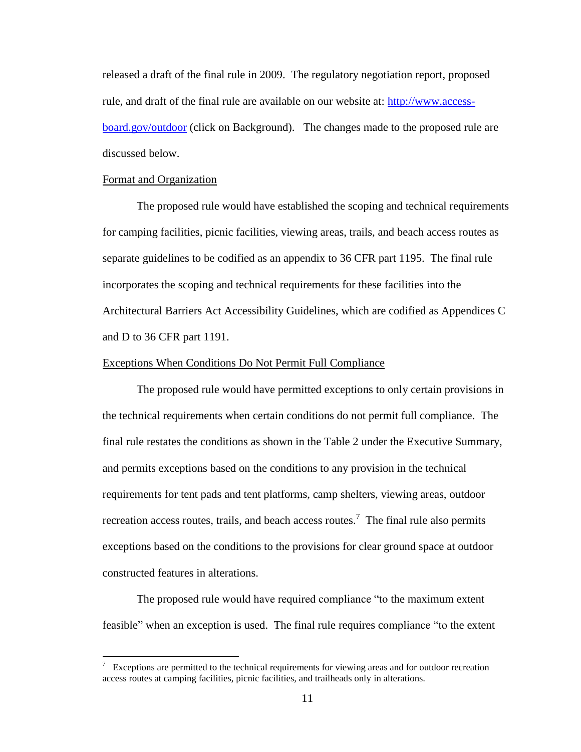released a draft of the final rule in 2009. The regulatory negotiation report, proposed rule, and draft of the final rule are available on our website at: [http://www.access](http://www.access-board.gov/outdoor)[board.gov/outdoor](http://www.access-board.gov/outdoor) (click on Background). The changes made to the proposed rule are discussed below.

# Format and Organization

The proposed rule would have established the scoping and technical requirements for camping facilities, picnic facilities, viewing areas, trails, and beach access routes as separate guidelines to be codified as an appendix to 36 CFR part 1195. The final rule incorporates the scoping and technical requirements for these facilities into the Architectural Barriers Act Accessibility Guidelines, which are codified as Appendices C and D to 36 CFR part 1191.

## Exceptions When Conditions Do Not Permit Full Compliance

The proposed rule would have permitted exceptions to only certain provisions in the technical requirements when certain conditions do not permit full compliance. The final rule restates the conditions as shown in the Table 2 under the Executive Summary, and permits exceptions based on the conditions to any provision in the technical requirements for tent pads and tent platforms, camp shelters, viewing areas, outdoor recreation access routes, trails, and beach access routes.<sup>7</sup> The final rule also permits exceptions based on the conditions to the provisions for clear ground space at outdoor constructed features in alterations.

The proposed rule would have required compliance "to the maximum extent feasible" when an exception is used. The final rule requires compliance "to the extent

<sup>&</sup>lt;sup>7</sup> Exceptions are permitted to the technical requirements for viewing areas and for outdoor recreation access routes at camping facilities, picnic facilities, and trailheads only in alterations.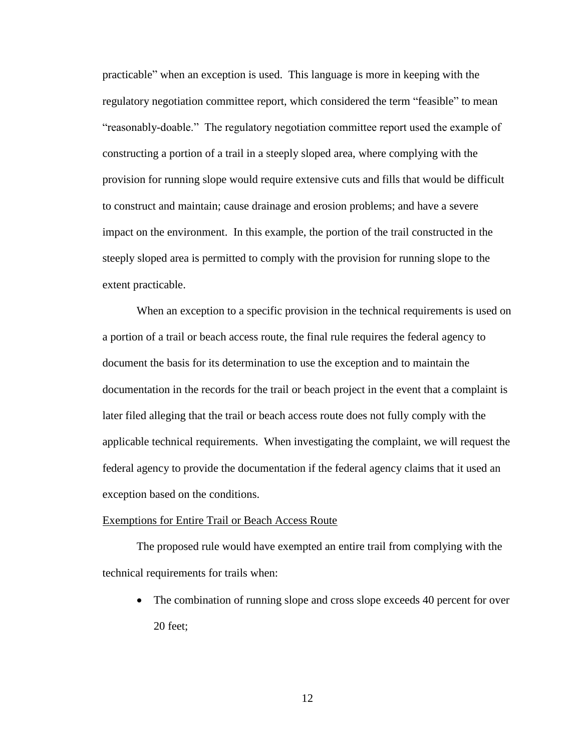practicable" when an exception is used. This language is more in keeping with the regulatory negotiation committee report, which considered the term "feasible" to mean "reasonably-doable." The regulatory negotiation committee report used the example of constructing a portion of a trail in a steeply sloped area, where complying with the provision for running slope would require extensive cuts and fills that would be difficult to construct and maintain; cause drainage and erosion problems; and have a severe impact on the environment. In this example, the portion of the trail constructed in the steeply sloped area is permitted to comply with the provision for running slope to the extent practicable.

When an exception to a specific provision in the technical requirements is used on a portion of a trail or beach access route, the final rule requires the federal agency to document the basis for its determination to use the exception and to maintain the documentation in the records for the trail or beach project in the event that a complaint is later filed alleging that the trail or beach access route does not fully comply with the applicable technical requirements. When investigating the complaint, we will request the federal agency to provide the documentation if the federal agency claims that it used an exception based on the conditions.

#### Exemptions for Entire Trail or Beach Access Route

The proposed rule would have exempted an entire trail from complying with the technical requirements for trails when:

• The combination of running slope and cross slope exceeds 40 percent for over 20 feet;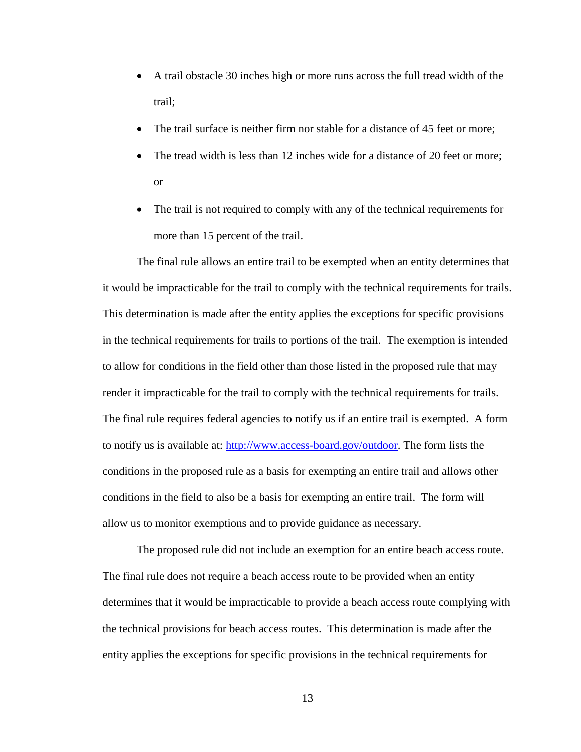- A trail obstacle 30 inches high or more runs across the full tread width of the trail;
- The trail surface is neither firm nor stable for a distance of 45 feet or more;
- The tread width is less than 12 inches wide for a distance of 20 feet or more; or
- The trail is not required to comply with any of the technical requirements for more than 15 percent of the trail.

The final rule allows an entire trail to be exempted when an entity determines that it would be impracticable for the trail to comply with the technical requirements for trails. This determination is made after the entity applies the exceptions for specific provisions in the technical requirements for trails to portions of the trail. The exemption is intended to allow for conditions in the field other than those listed in the proposed rule that may render it impracticable for the trail to comply with the technical requirements for trails. The final rule requires federal agencies to notify us if an entire trail is exempted. A form to notify us is available at: [http://www.access-board.gov/outdoor.](http://www.access-board.gov/outdoor) The form lists the conditions in the proposed rule as a basis for exempting an entire trail and allows other conditions in the field to also be a basis for exempting an entire trail. The form will allow us to monitor exemptions and to provide guidance as necessary.

The proposed rule did not include an exemption for an entire beach access route. The final rule does not require a beach access route to be provided when an entity determines that it would be impracticable to provide a beach access route complying with the technical provisions for beach access routes. This determination is made after the entity applies the exceptions for specific provisions in the technical requirements for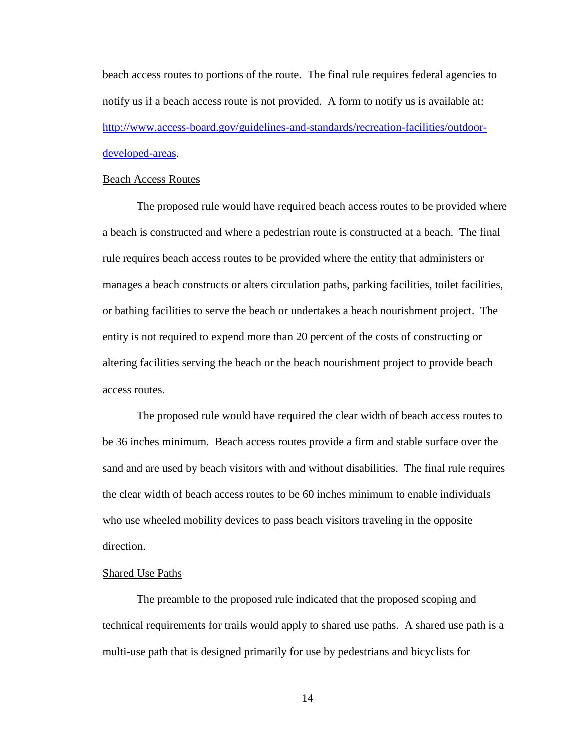beach access routes to portions of the route. The final rule requires federal agencies to notify us if a beach access route is not provided. A form to notify us is available at: [http://www.access-board.gov/guidelines-and-standards/recreation-facilities/outdoor](http://www.access-board.gov/guidelines-and-standards/recreation-facilities/outdoor-developed-areas)[developed-areas.](http://www.access-board.gov/guidelines-and-standards/recreation-facilities/outdoor-developed-areas)

#### Beach Access Routes

The proposed rule would have required beach access routes to be provided where a beach is constructed and where a pedestrian route is constructed at a beach. The final rule requires beach access routes to be provided where the entity that administers or manages a beach constructs or alters circulation paths, parking facilities, toilet facilities, or bathing facilities to serve the beach or undertakes a beach nourishment project. The entity is not required to expend more than 20 percent of the costs of constructing or altering facilities serving the beach or the beach nourishment project to provide beach access routes.

The proposed rule would have required the clear width of beach access routes to be 36 inches minimum. Beach access routes provide a firm and stable surface over the sand and are used by beach visitors with and without disabilities. The final rule requires the clear width of beach access routes to be 60 inches minimum to enable individuals who use wheeled mobility devices to pass beach visitors traveling in the opposite direction.

# Shared Use Paths

The preamble to the proposed rule indicated that the proposed scoping and technical requirements for trails would apply to shared use paths. A shared use path is a multi-use path that is designed primarily for use by pedestrians and bicyclists for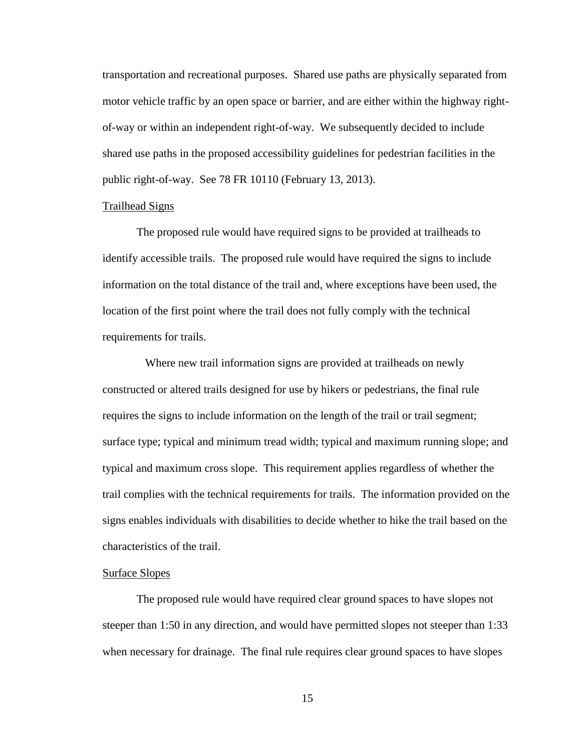transportation and recreational purposes. Shared use paths are physically separated from motor vehicle traffic by an open space or barrier, and are either within the highway rightof-way or within an independent right-of-way. We subsequently decided to include shared use paths in the proposed accessibility guidelines for pedestrian facilities in the public right-of-way. See 78 FR 10110 (February 13, 2013).

# Trailhead Signs

The proposed rule would have required signs to be provided at trailheads to identify accessible trails. The proposed rule would have required the signs to include information on the total distance of the trail and, where exceptions have been used, the location of the first point where the trail does not fully comply with the technical requirements for trails.

 Where new trail information signs are provided at trailheads on newly constructed or altered trails designed for use by hikers or pedestrians, the final rule requires the signs to include information on the length of the trail or trail segment; surface type; typical and minimum tread width; typical and maximum running slope; and typical and maximum cross slope. This requirement applies regardless of whether the trail complies with the technical requirements for trails. The information provided on the signs enables individuals with disabilities to decide whether to hike the trail based on the characteristics of the trail.

# Surface Slopes

The proposed rule would have required clear ground spaces to have slopes not steeper than 1:50 in any direction, and would have permitted slopes not steeper than 1:33 when necessary for drainage. The final rule requires clear ground spaces to have slopes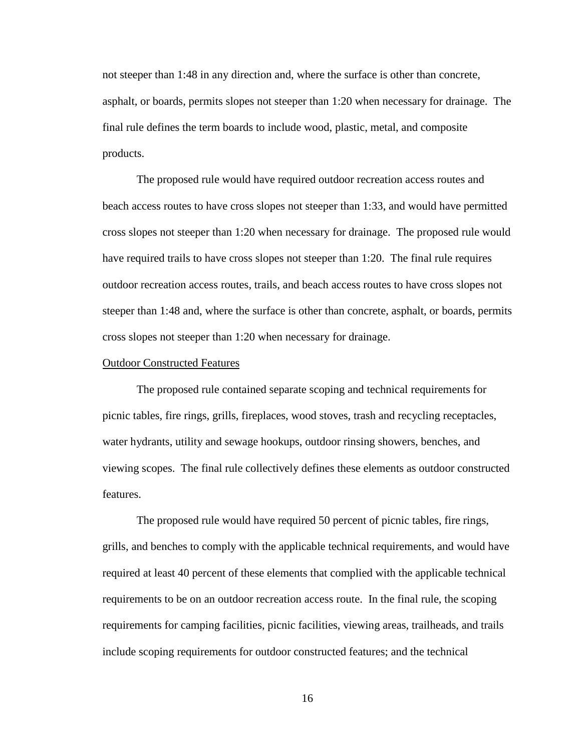not steeper than 1:48 in any direction and, where the surface is other than concrete, asphalt, or boards, permits slopes not steeper than 1:20 when necessary for drainage. The final rule defines the term boards to include wood, plastic, metal, and composite products.

The proposed rule would have required outdoor recreation access routes and beach access routes to have cross slopes not steeper than 1:33, and would have permitted cross slopes not steeper than 1:20 when necessary for drainage. The proposed rule would have required trails to have cross slopes not steeper than 1:20. The final rule requires outdoor recreation access routes, trails, and beach access routes to have cross slopes not steeper than 1:48 and, where the surface is other than concrete, asphalt, or boards, permits cross slopes not steeper than 1:20 when necessary for drainage.

## Outdoor Constructed Features

The proposed rule contained separate scoping and technical requirements for picnic tables, fire rings, grills, fireplaces, wood stoves, trash and recycling receptacles, water hydrants, utility and sewage hookups, outdoor rinsing showers, benches, and viewing scopes. The final rule collectively defines these elements as outdoor constructed features.

The proposed rule would have required 50 percent of picnic tables, fire rings, grills, and benches to comply with the applicable technical requirements, and would have required at least 40 percent of these elements that complied with the applicable technical requirements to be on an outdoor recreation access route. In the final rule, the scoping requirements for camping facilities, picnic facilities, viewing areas, trailheads, and trails include scoping requirements for outdoor constructed features; and the technical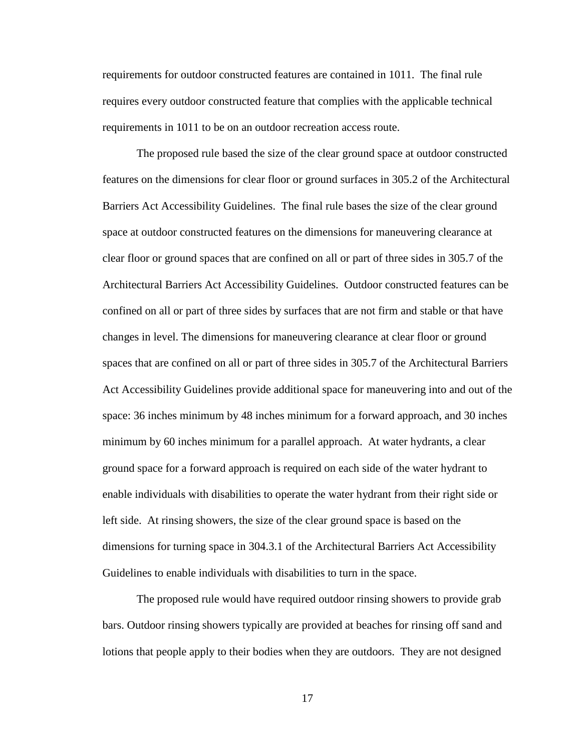requirements for outdoor constructed features are contained in 1011. The final rule requires every outdoor constructed feature that complies with the applicable technical requirements in 1011 to be on an outdoor recreation access route.

The proposed rule based the size of the clear ground space at outdoor constructed features on the dimensions for clear floor or ground surfaces in 305.2 of the Architectural Barriers Act Accessibility Guidelines. The final rule bases the size of the clear ground space at outdoor constructed features on the dimensions for maneuvering clearance at clear floor or ground spaces that are confined on all or part of three sides in 305.7 of the Architectural Barriers Act Accessibility Guidelines. Outdoor constructed features can be confined on all or part of three sides by surfaces that are not firm and stable or that have changes in level. The dimensions for maneuvering clearance at clear floor or ground spaces that are confined on all or part of three sides in 305.7 of the Architectural Barriers Act Accessibility Guidelines provide additional space for maneuvering into and out of the space: 36 inches minimum by 48 inches minimum for a forward approach, and 30 inches minimum by 60 inches minimum for a parallel approach. At water hydrants, a clear ground space for a forward approach is required on each side of the water hydrant to enable individuals with disabilities to operate the water hydrant from their right side or left side. At rinsing showers, the size of the clear ground space is based on the dimensions for turning space in 304.3.1 of the Architectural Barriers Act Accessibility Guidelines to enable individuals with disabilities to turn in the space.

The proposed rule would have required outdoor rinsing showers to provide grab bars. Outdoor rinsing showers typically are provided at beaches for rinsing off sand and lotions that people apply to their bodies when they are outdoors. They are not designed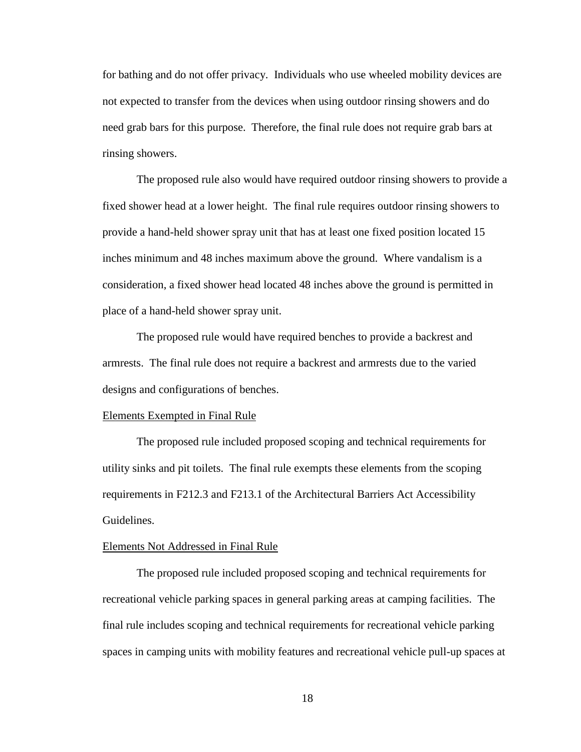for bathing and do not offer privacy. Individuals who use wheeled mobility devices are not expected to transfer from the devices when using outdoor rinsing showers and do need grab bars for this purpose. Therefore, the final rule does not require grab bars at rinsing showers.

The proposed rule also would have required outdoor rinsing showers to provide a fixed shower head at a lower height. The final rule requires outdoor rinsing showers to provide a hand-held shower spray unit that has at least one fixed position located 15 inches minimum and 48 inches maximum above the ground. Where vandalism is a consideration, a fixed shower head located 48 inches above the ground is permitted in place of a hand-held shower spray unit.

The proposed rule would have required benches to provide a backrest and armrests. The final rule does not require a backrest and armrests due to the varied designs and configurations of benches.

# Elements Exempted in Final Rule

The proposed rule included proposed scoping and technical requirements for utility sinks and pit toilets. The final rule exempts these elements from the scoping requirements in F212.3 and F213.1 of the Architectural Barriers Act Accessibility Guidelines.

# Elements Not Addressed in Final Rule

The proposed rule included proposed scoping and technical requirements for recreational vehicle parking spaces in general parking areas at camping facilities. The final rule includes scoping and technical requirements for recreational vehicle parking spaces in camping units with mobility features and recreational vehicle pull-up spaces at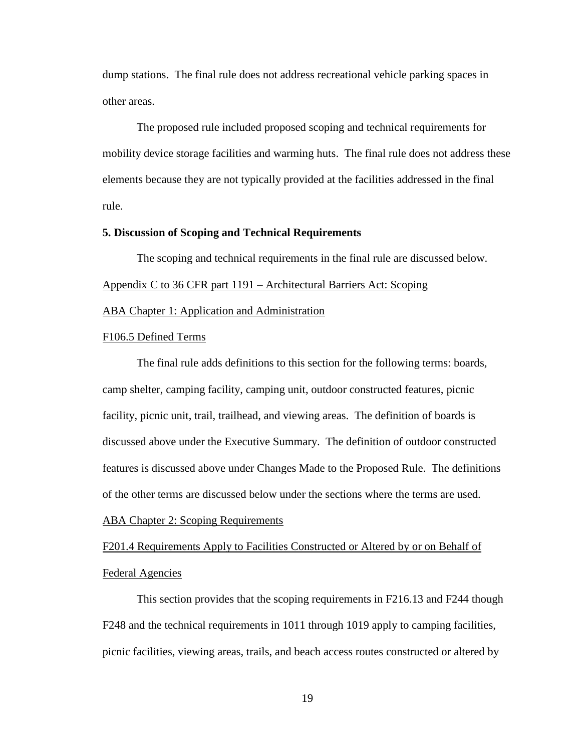dump stations. The final rule does not address recreational vehicle parking spaces in other areas.

The proposed rule included proposed scoping and technical requirements for mobility device storage facilities and warming huts. The final rule does not address these elements because they are not typically provided at the facilities addressed in the final rule.

# **5. Discussion of Scoping and Technical Requirements**

The scoping and technical requirements in the final rule are discussed below. Appendix C to 36 CFR part 1191 – Architectural Barriers Act: Scoping ABA Chapter 1: Application and Administration

## F106.5 Defined Terms

The final rule adds definitions to this section for the following terms: boards, camp shelter, camping facility, camping unit, outdoor constructed features, picnic facility, picnic unit, trail, trailhead, and viewing areas. The definition of boards is discussed above under the Executive Summary. The definition of outdoor constructed features is discussed above under Changes Made to the Proposed Rule. The definitions of the other terms are discussed below under the sections where the terms are used.

# ABA Chapter 2: Scoping Requirements

# F201.4 Requirements Apply to Facilities Constructed or Altered by or on Behalf of Federal Agencies

This section provides that the scoping requirements in F216.13 and F244 though F248 and the technical requirements in 1011 through 1019 apply to camping facilities, picnic facilities, viewing areas, trails, and beach access routes constructed or altered by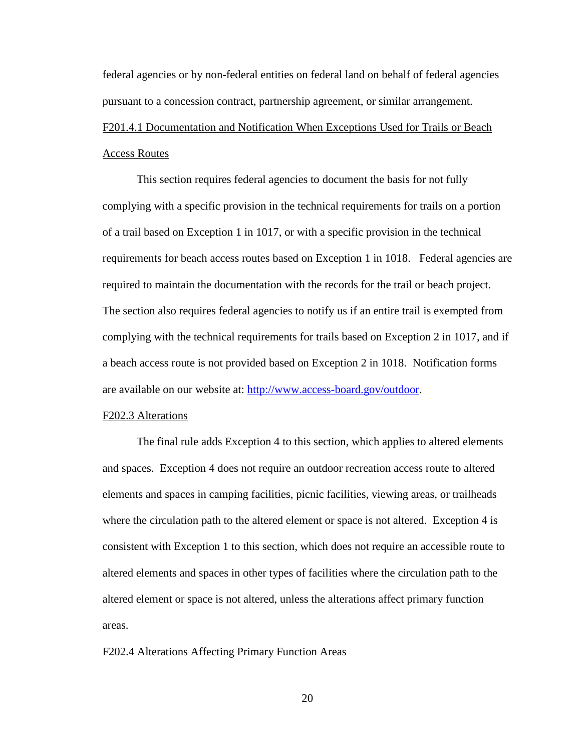federal agencies or by non-federal entities on federal land on behalf of federal agencies pursuant to a concession contract, partnership agreement, or similar arrangement.

# F201.4.1 Documentation and Notification When Exceptions Used for Trails or Beach Access Routes

This section requires federal agencies to document the basis for not fully complying with a specific provision in the technical requirements for trails on a portion of a trail based on Exception 1 in 1017, or with a specific provision in the technical requirements for beach access routes based on Exception 1 in 1018. Federal agencies are required to maintain the documentation with the records for the trail or beach project. The section also requires federal agencies to notify us if an entire trail is exempted from complying with the technical requirements for trails based on Exception 2 in 1017, and if a beach access route is not provided based on Exception 2 in 1018. Notification forms are available on our website at: [http://www.access-board.gov/outdoor.](http://www.access-board.gov/outdoor)

# F202.3 Alterations

The final rule adds Exception 4 to this section, which applies to altered elements and spaces. Exception 4 does not require an outdoor recreation access route to altered elements and spaces in camping facilities, picnic facilities, viewing areas, or trailheads where the circulation path to the altered element or space is not altered. Exception 4 is consistent with Exception 1 to this section, which does not require an accessible route to altered elements and spaces in other types of facilities where the circulation path to the altered element or space is not altered, unless the alterations affect primary function areas.

#### F202.4 Alterations Affecting Primary Function Areas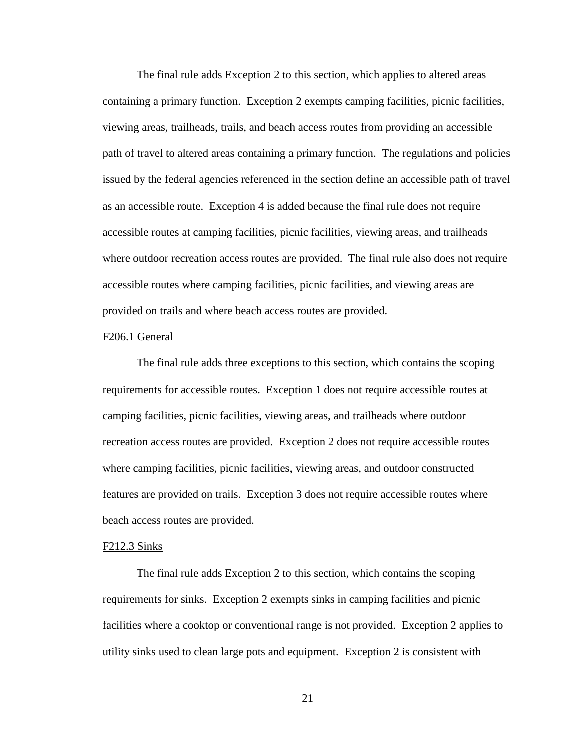The final rule adds Exception 2 to this section, which applies to altered areas containing a primary function. Exception 2 exempts camping facilities, picnic facilities, viewing areas, trailheads, trails, and beach access routes from providing an accessible path of travel to altered areas containing a primary function. The regulations and policies issued by the federal agencies referenced in the section define an accessible path of travel as an accessible route. Exception 4 is added because the final rule does not require accessible routes at camping facilities, picnic facilities, viewing areas, and trailheads where outdoor recreation access routes are provided. The final rule also does not require accessible routes where camping facilities, picnic facilities, and viewing areas are provided on trails and where beach access routes are provided.

#### F206.1 General

The final rule adds three exceptions to this section, which contains the scoping requirements for accessible routes. Exception 1 does not require accessible routes at camping facilities, picnic facilities, viewing areas, and trailheads where outdoor recreation access routes are provided. Exception 2 does not require accessible routes where camping facilities, picnic facilities, viewing areas, and outdoor constructed features are provided on trails. Exception 3 does not require accessible routes where beach access routes are provided.

#### F212.3 Sinks

The final rule adds Exception 2 to this section, which contains the scoping requirements for sinks. Exception 2 exempts sinks in camping facilities and picnic facilities where a cooktop or conventional range is not provided. Exception 2 applies to utility sinks used to clean large pots and equipment. Exception 2 is consistent with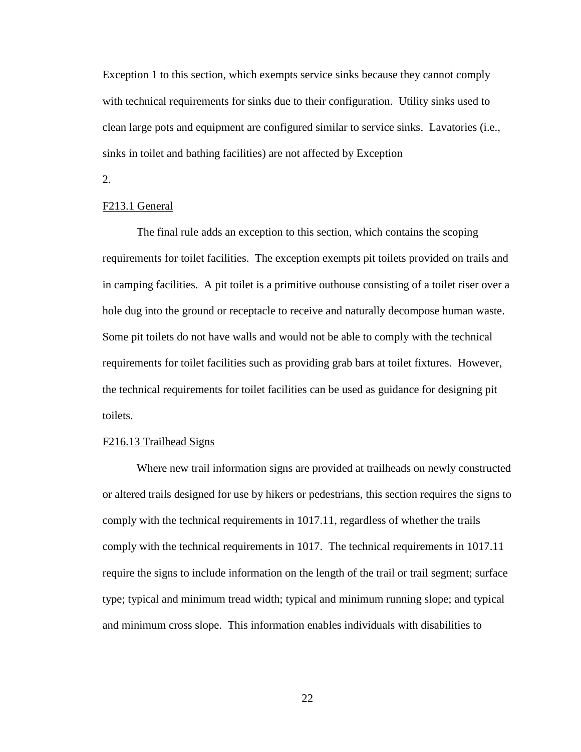Exception 1 to this section, which exempts service sinks because they cannot comply with technical requirements for sinks due to their configuration. Utility sinks used to clean large pots and equipment are configured similar to service sinks. Lavatories (i.e., sinks in toilet and bathing facilities) are not affected by Exception

2.

# F213.1 General

The final rule adds an exception to this section, which contains the scoping requirements for toilet facilities. The exception exempts pit toilets provided on trails and in camping facilities. A pit toilet is a primitive outhouse consisting of a toilet riser over a hole dug into the ground or receptacle to receive and naturally decompose human waste. Some pit toilets do not have walls and would not be able to comply with the technical requirements for toilet facilities such as providing grab bars at toilet fixtures. However, the technical requirements for toilet facilities can be used as guidance for designing pit toilets.

#### F216.13 Trailhead Signs

Where new trail information signs are provided at trailheads on newly constructed or altered trails designed for use by hikers or pedestrians, this section requires the signs to comply with the technical requirements in 1017.11, regardless of whether the trails comply with the technical requirements in 1017. The technical requirements in 1017.11 require the signs to include information on the length of the trail or trail segment; surface type; typical and minimum tread width; typical and minimum running slope; and typical and minimum cross slope. This information enables individuals with disabilities to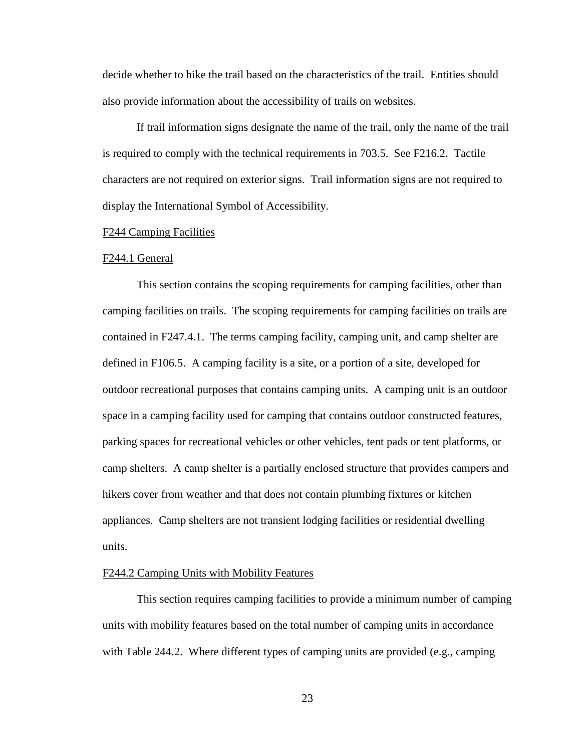decide whether to hike the trail based on the characteristics of the trail. Entities should also provide information about the accessibility of trails on websites.

If trail information signs designate the name of the trail, only the name of the trail is required to comply with the technical requirements in 703.5. See F216.2. Tactile characters are not required on exterior signs. Trail information signs are not required to display the International Symbol of Accessibility.

# F244 Camping Facilities

#### F244.1 General

This section contains the scoping requirements for camping facilities, other than camping facilities on trails. The scoping requirements for camping facilities on trails are contained in F247.4.1. The terms camping facility, camping unit, and camp shelter are defined in F106.5. A camping facility is a site, or a portion of a site, developed for outdoor recreational purposes that contains camping units. A camping unit is an outdoor space in a camping facility used for camping that contains outdoor constructed features, parking spaces for recreational vehicles or other vehicles, tent pads or tent platforms, or camp shelters. A camp shelter is a partially enclosed structure that provides campers and hikers cover from weather and that does not contain plumbing fixtures or kitchen appliances. Camp shelters are not transient lodging facilities or residential dwelling units.

# F244.2 Camping Units with Mobility Features

This section requires camping facilities to provide a minimum number of camping units with mobility features based on the total number of camping units in accordance with Table 244.2. Where different types of camping units are provided (e.g., camping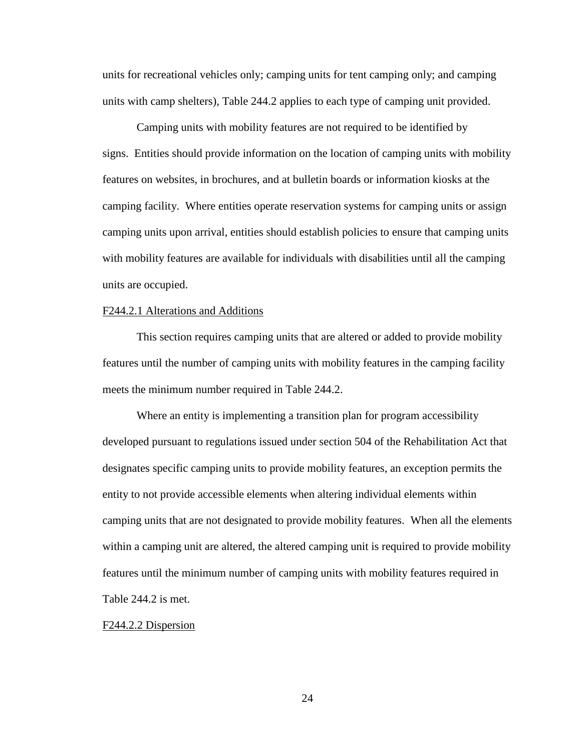units for recreational vehicles only; camping units for tent camping only; and camping units with camp shelters), Table 244.2 applies to each type of camping unit provided.

Camping units with mobility features are not required to be identified by signs. Entities should provide information on the location of camping units with mobility features on websites, in brochures, and at bulletin boards or information kiosks at the camping facility. Where entities operate reservation systems for camping units or assign camping units upon arrival, entities should establish policies to ensure that camping units with mobility features are available for individuals with disabilities until all the camping units are occupied.

# F244.2.1 Alterations and Additions

This section requires camping units that are altered or added to provide mobility features until the number of camping units with mobility features in the camping facility meets the minimum number required in Table 244.2.

Where an entity is implementing a transition plan for program accessibility developed pursuant to regulations issued under section 504 of the Rehabilitation Act that designates specific camping units to provide mobility features, an exception permits the entity to not provide accessible elements when altering individual elements within camping units that are not designated to provide mobility features. When all the elements within a camping unit are altered, the altered camping unit is required to provide mobility features until the minimum number of camping units with mobility features required in Table 244.2 is met.

#### F244.2.2 Dispersion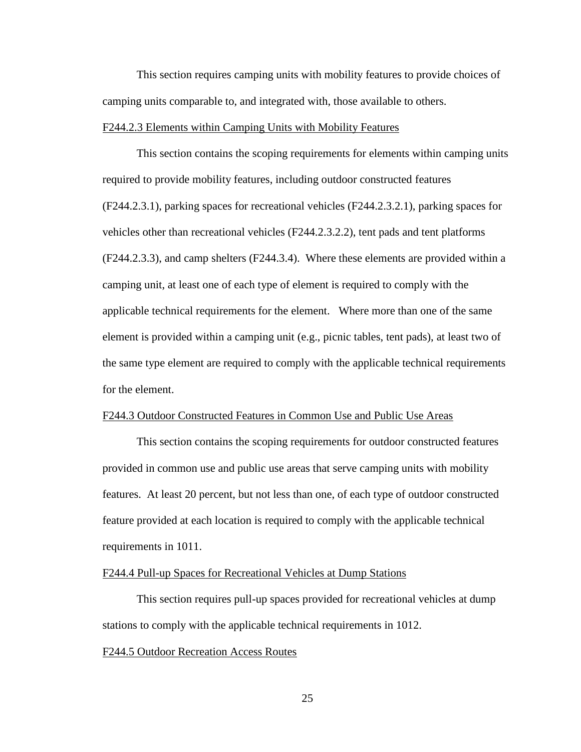This section requires camping units with mobility features to provide choices of camping units comparable to, and integrated with, those available to others.

# F244.2.3 Elements within Camping Units with Mobility Features

This section contains the scoping requirements for elements within camping units required to provide mobility features, including outdoor constructed features (F244.2.3.1), parking spaces for recreational vehicles (F244.2.3.2.1), parking spaces for vehicles other than recreational vehicles (F244.2.3.2.2), tent pads and tent platforms (F244.2.3.3), and camp shelters (F244.3.4). Where these elements are provided within a camping unit, at least one of each type of element is required to comply with the applicable technical requirements for the element. Where more than one of the same element is provided within a camping unit (e.g., picnic tables, tent pads), at least two of the same type element are required to comply with the applicable technical requirements for the element.

# F244.3 Outdoor Constructed Features in Common Use and Public Use Areas

This section contains the scoping requirements for outdoor constructed features provided in common use and public use areas that serve camping units with mobility features. At least 20 percent, but not less than one, of each type of outdoor constructed feature provided at each location is required to comply with the applicable technical requirements in 1011.

# F244.4 Pull-up Spaces for Recreational Vehicles at Dump Stations

This section requires pull-up spaces provided for recreational vehicles at dump stations to comply with the applicable technical requirements in 1012.

# F244.5 Outdoor Recreation Access Routes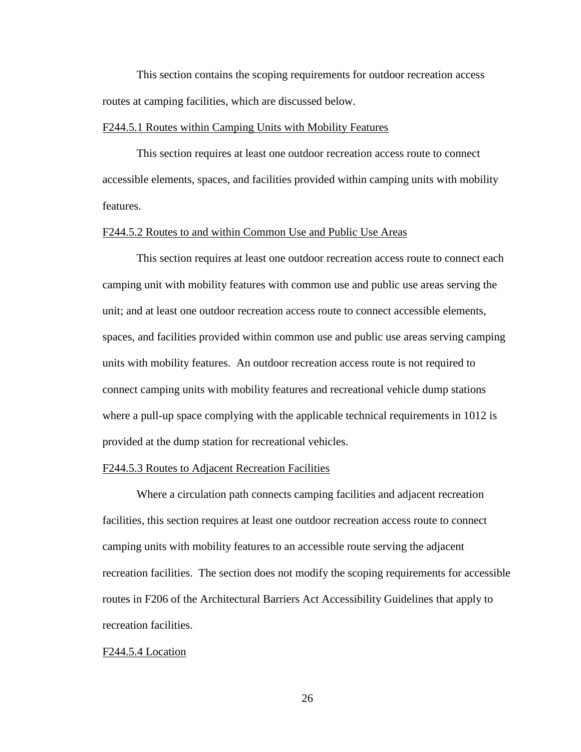This section contains the scoping requirements for outdoor recreation access routes at camping facilities, which are discussed below.

# F244.5.1 Routes within Camping Units with Mobility Features

This section requires at least one outdoor recreation access route to connect accessible elements, spaces, and facilities provided within camping units with mobility features.

## F244.5.2 Routes to and within Common Use and Public Use Areas

This section requires at least one outdoor recreation access route to connect each camping unit with mobility features with common use and public use areas serving the unit; and at least one outdoor recreation access route to connect accessible elements, spaces, and facilities provided within common use and public use areas serving camping units with mobility features. An outdoor recreation access route is not required to connect camping units with mobility features and recreational vehicle dump stations where a pull-up space complying with the applicable technical requirements in 1012 is provided at the dump station for recreational vehicles.

## F244.5.3 Routes to Adjacent Recreation Facilities

Where a circulation path connects camping facilities and adjacent recreation facilities, this section requires at least one outdoor recreation access route to connect camping units with mobility features to an accessible route serving the adjacent recreation facilities. The section does not modify the scoping requirements for accessible routes in F206 of the Architectural Barriers Act Accessibility Guidelines that apply to recreation facilities.

# F244.5.4 Location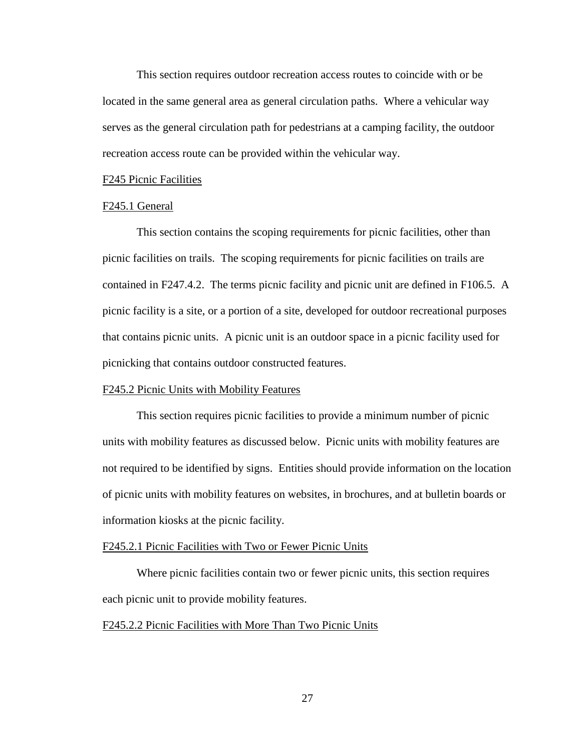This section requires outdoor recreation access routes to coincide with or be located in the same general area as general circulation paths. Where a vehicular way serves as the general circulation path for pedestrians at a camping facility, the outdoor recreation access route can be provided within the vehicular way.

#### F245 Picnic Facilities

## F245.1 General

This section contains the scoping requirements for picnic facilities, other than picnic facilities on trails. The scoping requirements for picnic facilities on trails are contained in F247.4.2. The terms picnic facility and picnic unit are defined in F106.5. A picnic facility is a site, or a portion of a site, developed for outdoor recreational purposes that contains picnic units. A picnic unit is an outdoor space in a picnic facility used for picnicking that contains outdoor constructed features.

# F245.2 Picnic Units with Mobility Features

This section requires picnic facilities to provide a minimum number of picnic units with mobility features as discussed below. Picnic units with mobility features are not required to be identified by signs. Entities should provide information on the location of picnic units with mobility features on websites, in brochures, and at bulletin boards or information kiosks at the picnic facility.

#### F245.2.1 Picnic Facilities with Two or Fewer Picnic Units

Where picnic facilities contain two or fewer picnic units, this section requires each picnic unit to provide mobility features.

# F245.2.2 Picnic Facilities with More Than Two Picnic Units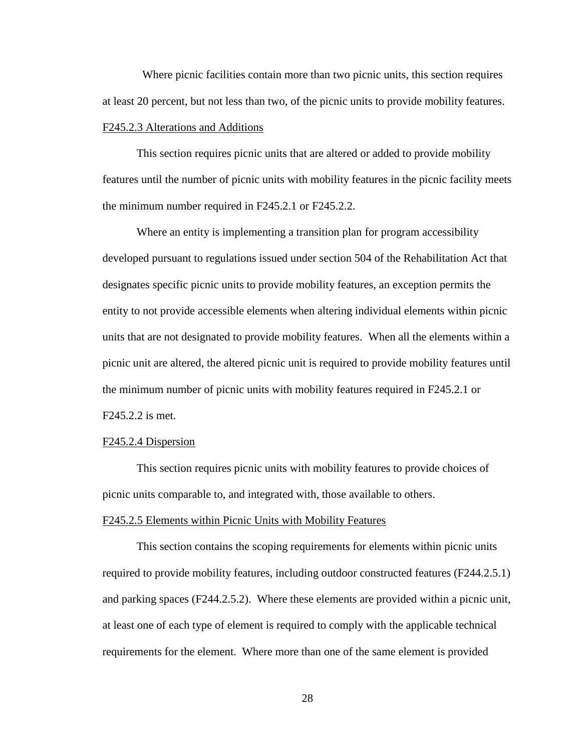Where picnic facilities contain more than two picnic units, this section requires at least 20 percent, but not less than two, of the picnic units to provide mobility features. F245.2.3 Alterations and Additions

This section requires picnic units that are altered or added to provide mobility features until the number of picnic units with mobility features in the picnic facility meets the minimum number required in F245.2.1 or F245.2.2.

Where an entity is implementing a transition plan for program accessibility developed pursuant to regulations issued under section 504 of the Rehabilitation Act that designates specific picnic units to provide mobility features, an exception permits the entity to not provide accessible elements when altering individual elements within picnic units that are not designated to provide mobility features. When all the elements within a picnic unit are altered, the altered picnic unit is required to provide mobility features until the minimum number of picnic units with mobility features required in F245.2.1 or F245.2.2 is met.

# F245.2.4 Dispersion

This section requires picnic units with mobility features to provide choices of picnic units comparable to, and integrated with, those available to others.

#### F245.2.5 Elements within Picnic Units with Mobility Features

This section contains the scoping requirements for elements within picnic units required to provide mobility features, including outdoor constructed features (F244.2.5.1) and parking spaces (F244.2.5.2). Where these elements are provided within a picnic unit, at least one of each type of element is required to comply with the applicable technical requirements for the element. Where more than one of the same element is provided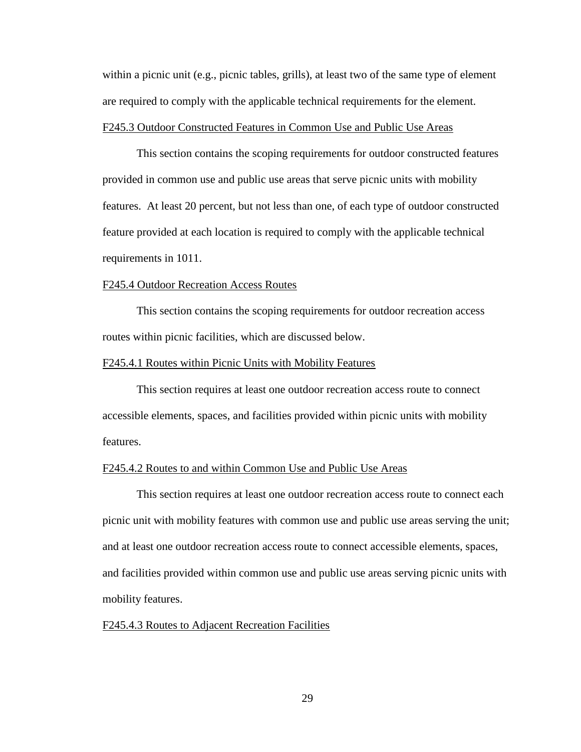within a picnic unit (e.g., picnic tables, grills), at least two of the same type of element are required to comply with the applicable technical requirements for the element. F245.3 Outdoor Constructed Features in Common Use and Public Use Areas

This section contains the scoping requirements for outdoor constructed features provided in common use and public use areas that serve picnic units with mobility features. At least 20 percent, but not less than one, of each type of outdoor constructed feature provided at each location is required to comply with the applicable technical requirements in 1011.

#### F245.4 Outdoor Recreation Access Routes

This section contains the scoping requirements for outdoor recreation access routes within picnic facilities, which are discussed below.

## F245.4.1 Routes within Picnic Units with Mobility Features

This section requires at least one outdoor recreation access route to connect accessible elements, spaces, and facilities provided within picnic units with mobility features.

## F245.4.2 Routes to and within Common Use and Public Use Areas

This section requires at least one outdoor recreation access route to connect each picnic unit with mobility features with common use and public use areas serving the unit; and at least one outdoor recreation access route to connect accessible elements, spaces, and facilities provided within common use and public use areas serving picnic units with mobility features.

# F245.4.3 Routes to Adjacent Recreation Facilities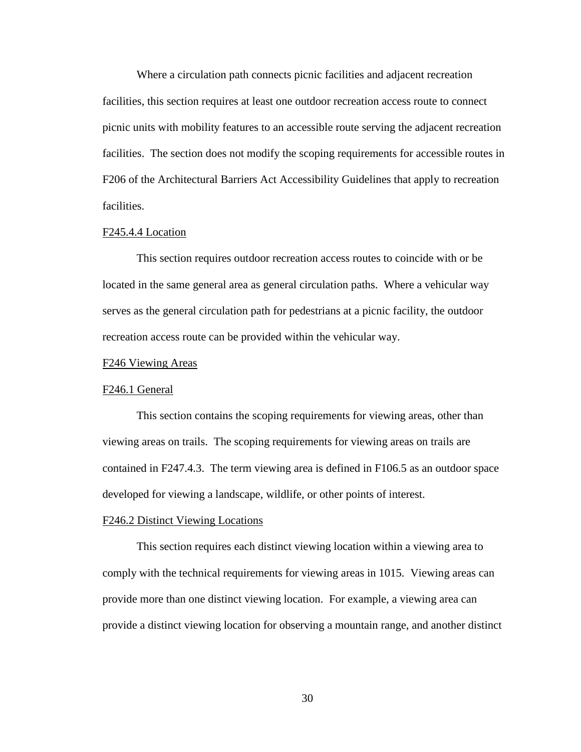Where a circulation path connects picnic facilities and adjacent recreation facilities, this section requires at least one outdoor recreation access route to connect picnic units with mobility features to an accessible route serving the adjacent recreation facilities. The section does not modify the scoping requirements for accessible routes in F206 of the Architectural Barriers Act Accessibility Guidelines that apply to recreation facilities.

## F245.4.4 Location

This section requires outdoor recreation access routes to coincide with or be located in the same general area as general circulation paths. Where a vehicular way serves as the general circulation path for pedestrians at a picnic facility, the outdoor recreation access route can be provided within the vehicular way.

# F246 Viewing Areas

# F246.1 General

This section contains the scoping requirements for viewing areas, other than viewing areas on trails. The scoping requirements for viewing areas on trails are contained in F247.4.3. The term viewing area is defined in F106.5 as an outdoor space developed for viewing a landscape, wildlife, or other points of interest.

#### F246.2 Distinct Viewing Locations

This section requires each distinct viewing location within a viewing area to comply with the technical requirements for viewing areas in 1015. Viewing areas can provide more than one distinct viewing location. For example, a viewing area can provide a distinct viewing location for observing a mountain range, and another distinct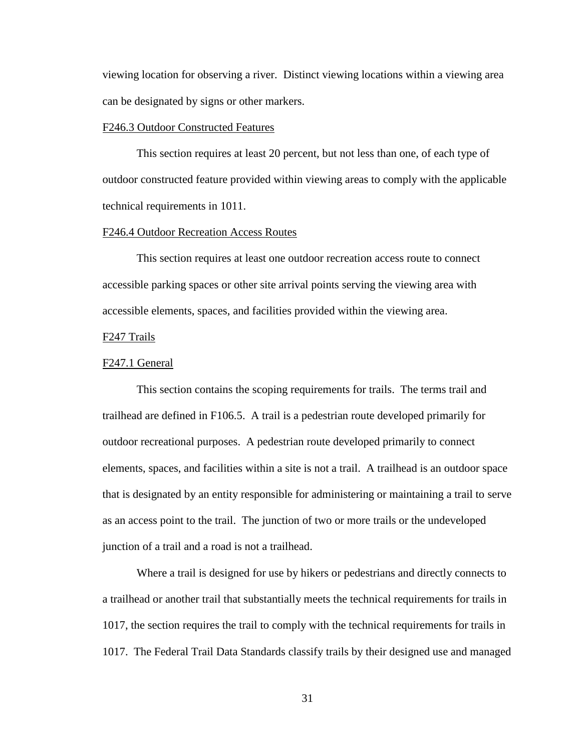viewing location for observing a river. Distinct viewing locations within a viewing area can be designated by signs or other markers.

# F246.3 Outdoor Constructed Features

This section requires at least 20 percent, but not less than one, of each type of outdoor constructed feature provided within viewing areas to comply with the applicable technical requirements in 1011.

# F246.4 Outdoor Recreation Access Routes

This section requires at least one outdoor recreation access route to connect accessible parking spaces or other site arrival points serving the viewing area with accessible elements, spaces, and facilities provided within the viewing area.

# F247 Trails

#### F247.1 General

This section contains the scoping requirements for trails. The terms trail and trailhead are defined in F106.5. A trail is a pedestrian route developed primarily for outdoor recreational purposes. A pedestrian route developed primarily to connect elements, spaces, and facilities within a site is not a trail. A trailhead is an outdoor space that is designated by an entity responsible for administering or maintaining a trail to serve as an access point to the trail. The junction of two or more trails or the undeveloped junction of a trail and a road is not a trailhead.

Where a trail is designed for use by hikers or pedestrians and directly connects to a trailhead or another trail that substantially meets the technical requirements for trails in 1017, the section requires the trail to comply with the technical requirements for trails in 1017. The Federal Trail Data Standards classify trails by their designed use and managed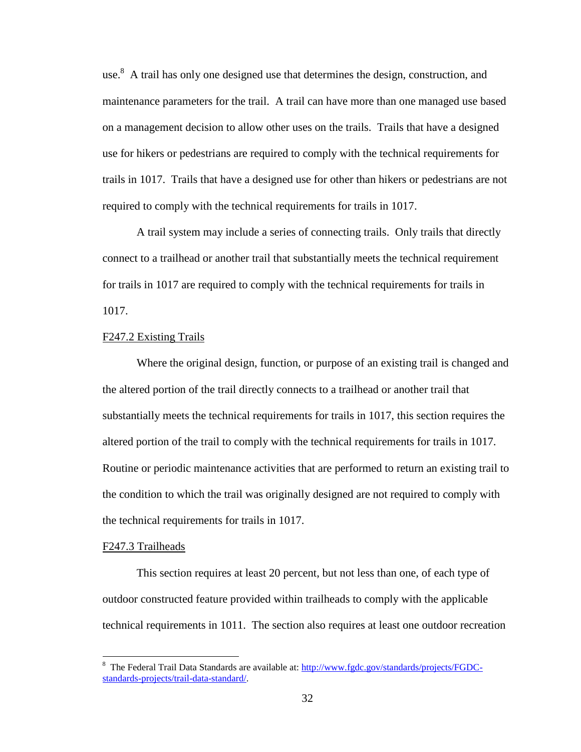use.<sup>8</sup> A trail has only one designed use that determines the design, construction, and maintenance parameters for the trail. A trail can have more than one managed use based on a management decision to allow other uses on the trails. Trails that have a designed use for hikers or pedestrians are required to comply with the technical requirements for trails in 1017. Trails that have a designed use for other than hikers or pedestrians are not required to comply with the technical requirements for trails in 1017.

A trail system may include a series of connecting trails. Only trails that directly connect to a trailhead or another trail that substantially meets the technical requirement for trails in 1017 are required to comply with the technical requirements for trails in 1017.

# F247.2 Existing Trails

Where the original design, function, or purpose of an existing trail is changed and the altered portion of the trail directly connects to a trailhead or another trail that substantially meets the technical requirements for trails in 1017, this section requires the altered portion of the trail to comply with the technical requirements for trails in 1017. Routine or periodic maintenance activities that are performed to return an existing trail to the condition to which the trail was originally designed are not required to comply with the technical requirements for trails in 1017.

# F247.3 Trailheads

This section requires at least 20 percent, but not less than one, of each type of outdoor constructed feature provided within trailheads to comply with the applicable technical requirements in 1011. The section also requires at least one outdoor recreation

<sup>&</sup>lt;sup>8</sup> The Federal Trail Data Standards are available at: [http://www.fgdc.gov/standards/projects/FGDC](http://www.fgdc.gov/standards/projects/FGDC-standards-projects/trail-data-standard/)[standards-projects/trail-data-standard/.](http://www.fgdc.gov/standards/projects/FGDC-standards-projects/trail-data-standard/)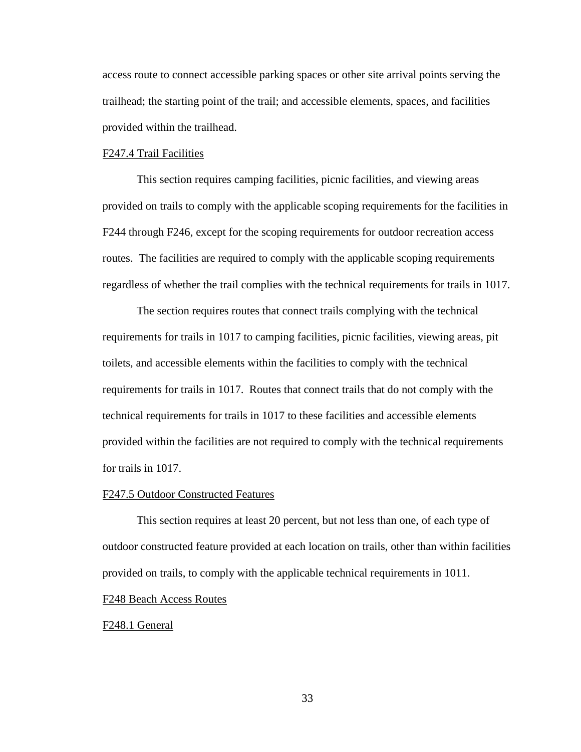access route to connect accessible parking spaces or other site arrival points serving the trailhead; the starting point of the trail; and accessible elements, spaces, and facilities provided within the trailhead.

# F247.4 Trail Facilities

This section requires camping facilities, picnic facilities, and viewing areas provided on trails to comply with the applicable scoping requirements for the facilities in F244 through F246, except for the scoping requirements for outdoor recreation access routes. The facilities are required to comply with the applicable scoping requirements regardless of whether the trail complies with the technical requirements for trails in 1017.

The section requires routes that connect trails complying with the technical requirements for trails in 1017 to camping facilities, picnic facilities, viewing areas, pit toilets, and accessible elements within the facilities to comply with the technical requirements for trails in 1017. Routes that connect trails that do not comply with the technical requirements for trails in 1017 to these facilities and accessible elements provided within the facilities are not required to comply with the technical requirements for trails in 1017.

## F247.5 Outdoor Constructed Features

This section requires at least 20 percent, but not less than one, of each type of outdoor constructed feature provided at each location on trails, other than within facilities provided on trails, to comply with the applicable technical requirements in 1011.

## F248 Beach Access Routes

## F248.1 General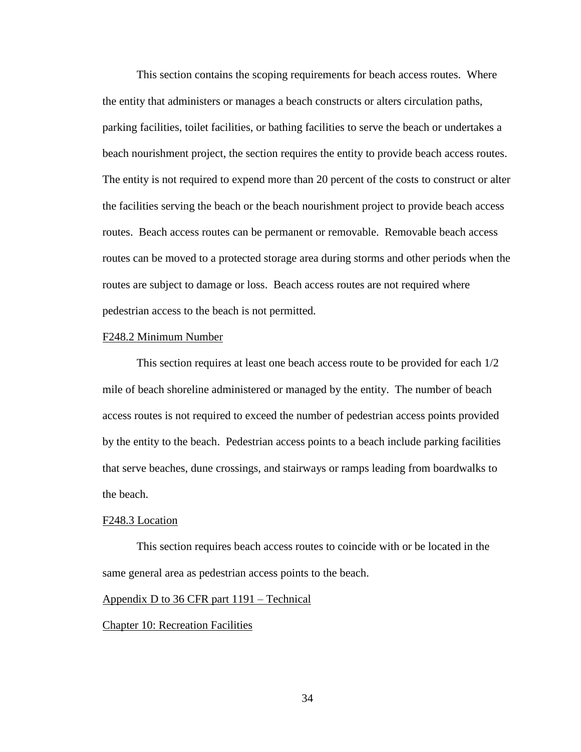This section contains the scoping requirements for beach access routes. Where the entity that administers or manages a beach constructs or alters circulation paths, parking facilities, toilet facilities, or bathing facilities to serve the beach or undertakes a beach nourishment project, the section requires the entity to provide beach access routes. The entity is not required to expend more than 20 percent of the costs to construct or alter the facilities serving the beach or the beach nourishment project to provide beach access routes. Beach access routes can be permanent or removable. Removable beach access routes can be moved to a protected storage area during storms and other periods when the routes are subject to damage or loss. Beach access routes are not required where pedestrian access to the beach is not permitted.

#### F248.2 Minimum Number

This section requires at least one beach access route to be provided for each 1/2 mile of beach shoreline administered or managed by the entity. The number of beach access routes is not required to exceed the number of pedestrian access points provided by the entity to the beach. Pedestrian access points to a beach include parking facilities that serve beaches, dune crossings, and stairways or ramps leading from boardwalks to the beach.

#### F248.3 Location

This section requires beach access routes to coincide with or be located in the same general area as pedestrian access points to the beach.

## Appendix D to 36 CFR part 1191 – Technical

# Chapter 10: Recreation Facilities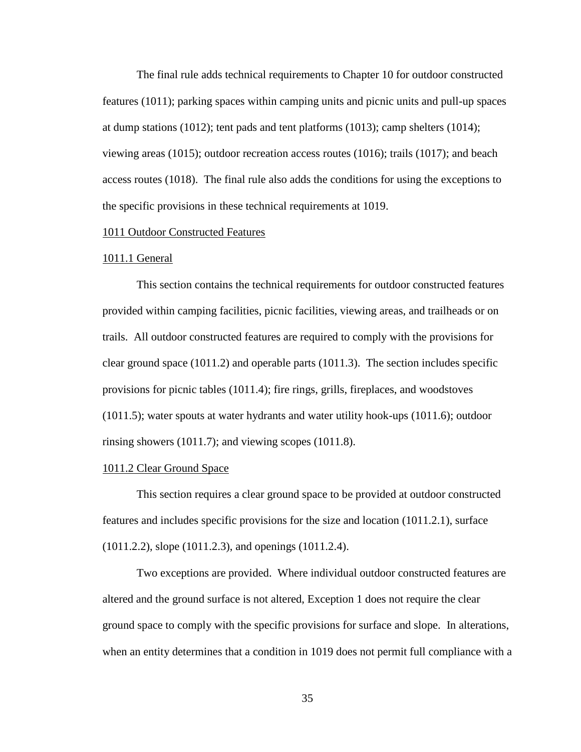The final rule adds technical requirements to Chapter 10 for outdoor constructed features (1011); parking spaces within camping units and picnic units and pull-up spaces at dump stations (1012); tent pads and tent platforms (1013); camp shelters (1014); viewing areas (1015); outdoor recreation access routes (1016); trails (1017); and beach access routes (1018). The final rule also adds the conditions for using the exceptions to the specific provisions in these technical requirements at 1019.

# 1011 Outdoor Constructed Features

#### 1011.1 General

This section contains the technical requirements for outdoor constructed features provided within camping facilities, picnic facilities, viewing areas, and trailheads or on trails. All outdoor constructed features are required to comply with the provisions for clear ground space (1011.2) and operable parts (1011.3). The section includes specific provisions for picnic tables (1011.4); fire rings, grills, fireplaces, and woodstoves (1011.5); water spouts at water hydrants and water utility hook-ups (1011.6); outdoor rinsing showers (1011.7); and viewing scopes (1011.8).

# 1011.2 Clear Ground Space

This section requires a clear ground space to be provided at outdoor constructed features and includes specific provisions for the size and location (1011.2.1), surface (1011.2.2), slope (1011.2.3), and openings (1011.2.4).

Two exceptions are provided. Where individual outdoor constructed features are altered and the ground surface is not altered, Exception 1 does not require the clear ground space to comply with the specific provisions for surface and slope. In alterations, when an entity determines that a condition in 1019 does not permit full compliance with a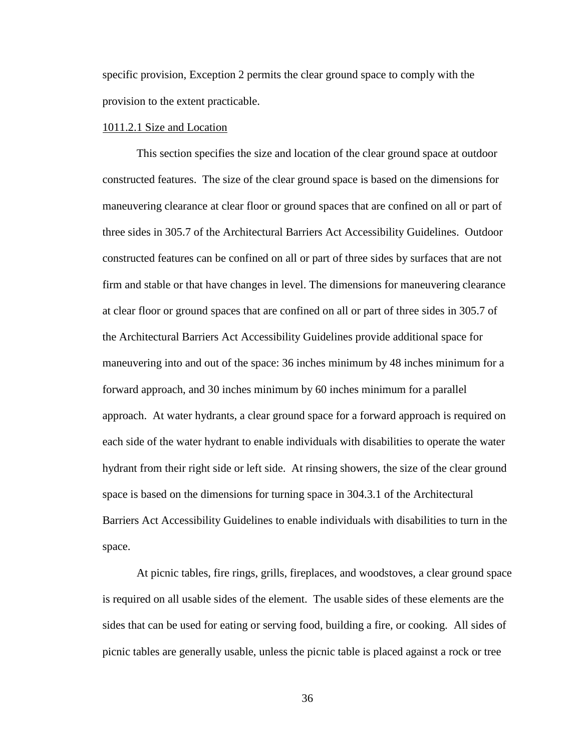specific provision, Exception 2 permits the clear ground space to comply with the provision to the extent practicable.

# 1011.2.1 Size and Location

This section specifies the size and location of the clear ground space at outdoor constructed features. The size of the clear ground space is based on the dimensions for maneuvering clearance at clear floor or ground spaces that are confined on all or part of three sides in 305.7 of the Architectural Barriers Act Accessibility Guidelines. Outdoor constructed features can be confined on all or part of three sides by surfaces that are not firm and stable or that have changes in level. The dimensions for maneuvering clearance at clear floor or ground spaces that are confined on all or part of three sides in 305.7 of the Architectural Barriers Act Accessibility Guidelines provide additional space for maneuvering into and out of the space: 36 inches minimum by 48 inches minimum for a forward approach, and 30 inches minimum by 60 inches minimum for a parallel approach. At water hydrants, a clear ground space for a forward approach is required on each side of the water hydrant to enable individuals with disabilities to operate the water hydrant from their right side or left side. At rinsing showers, the size of the clear ground space is based on the dimensions for turning space in 304.3.1 of the Architectural Barriers Act Accessibility Guidelines to enable individuals with disabilities to turn in the space.

At picnic tables, fire rings, grills, fireplaces, and woodstoves, a clear ground space is required on all usable sides of the element. The usable sides of these elements are the sides that can be used for eating or serving food, building a fire, or cooking. All sides of picnic tables are generally usable, unless the picnic table is placed against a rock or tree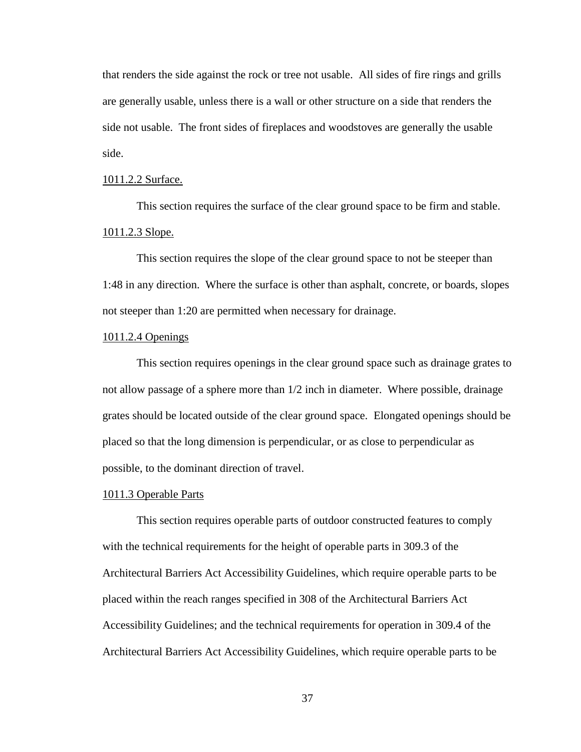that renders the side against the rock or tree not usable. All sides of fire rings and grills are generally usable, unless there is a wall or other structure on a side that renders the side not usable. The front sides of fireplaces and woodstoves are generally the usable side.

### 1011.2.2 Surface.

This section requires the surface of the clear ground space to be firm and stable. 1011.2.3 Slope.

This section requires the slope of the clear ground space to not be steeper than 1:48 in any direction. Where the surface is other than asphalt, concrete, or boards, slopes not steeper than 1:20 are permitted when necessary for drainage.

### 1011.2.4 Openings

This section requires openings in the clear ground space such as drainage grates to not allow passage of a sphere more than 1/2 inch in diameter. Where possible, drainage grates should be located outside of the clear ground space. Elongated openings should be placed so that the long dimension is perpendicular, or as close to perpendicular as possible, to the dominant direction of travel.

#### 1011.3 Operable Parts

This section requires operable parts of outdoor constructed features to comply with the technical requirements for the height of operable parts in 309.3 of the Architectural Barriers Act Accessibility Guidelines, which require operable parts to be placed within the reach ranges specified in 308 of the Architectural Barriers Act Accessibility Guidelines; and the technical requirements for operation in 309.4 of the Architectural Barriers Act Accessibility Guidelines, which require operable parts to be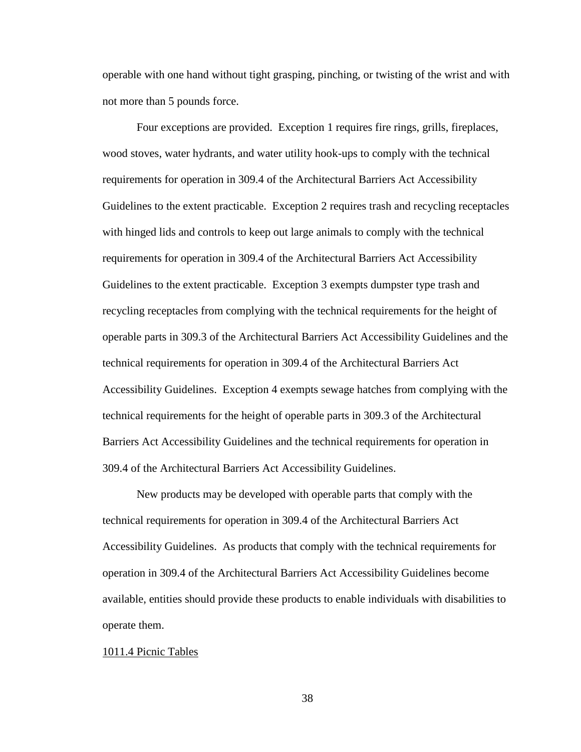operable with one hand without tight grasping, pinching, or twisting of the wrist and with not more than 5 pounds force.

Four exceptions are provided. Exception 1 requires fire rings, grills, fireplaces, wood stoves, water hydrants, and water utility hook-ups to comply with the technical requirements for operation in 309.4 of the Architectural Barriers Act Accessibility Guidelines to the extent practicable. Exception 2 requires trash and recycling receptacles with hinged lids and controls to keep out large animals to comply with the technical requirements for operation in 309.4 of the Architectural Barriers Act Accessibility Guidelines to the extent practicable. Exception 3 exempts dumpster type trash and recycling receptacles from complying with the technical requirements for the height of operable parts in 309.3 of the Architectural Barriers Act Accessibility Guidelines and the technical requirements for operation in 309.4 of the Architectural Barriers Act Accessibility Guidelines. Exception 4 exempts sewage hatches from complying with the technical requirements for the height of operable parts in 309.3 of the Architectural Barriers Act Accessibility Guidelines and the technical requirements for operation in 309.4 of the Architectural Barriers Act Accessibility Guidelines.

New products may be developed with operable parts that comply with the technical requirements for operation in 309.4 of the Architectural Barriers Act Accessibility Guidelines. As products that comply with the technical requirements for operation in 309.4 of the Architectural Barriers Act Accessibility Guidelines become available, entities should provide these products to enable individuals with disabilities to operate them.

#### 1011.4 Picnic Tables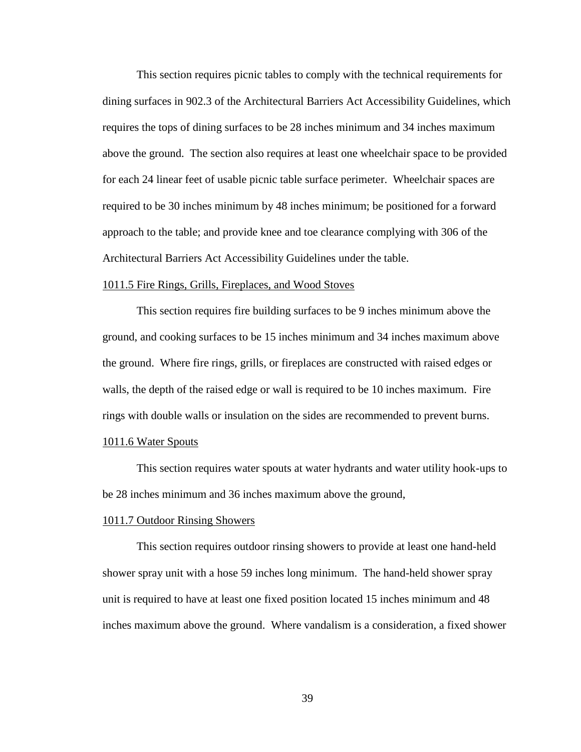This section requires picnic tables to comply with the technical requirements for dining surfaces in 902.3 of the Architectural Barriers Act Accessibility Guidelines, which requires the tops of dining surfaces to be 28 inches minimum and 34 inches maximum above the ground. The section also requires at least one wheelchair space to be provided for each 24 linear feet of usable picnic table surface perimeter. Wheelchair spaces are required to be 30 inches minimum by 48 inches minimum; be positioned for a forward approach to the table; and provide knee and toe clearance complying with 306 of the Architectural Barriers Act Accessibility Guidelines under the table.

### 1011.5 Fire Rings, Grills, Fireplaces, and Wood Stoves

This section requires fire building surfaces to be 9 inches minimum above the ground, and cooking surfaces to be 15 inches minimum and 34 inches maximum above the ground. Where fire rings, grills, or fireplaces are constructed with raised edges or walls, the depth of the raised edge or wall is required to be 10 inches maximum. Fire rings with double walls or insulation on the sides are recommended to prevent burns.

### 1011.6 Water Spouts

This section requires water spouts at water hydrants and water utility hook-ups to be 28 inches minimum and 36 inches maximum above the ground,

#### 1011.7 Outdoor Rinsing Showers

This section requires outdoor rinsing showers to provide at least one hand-held shower spray unit with a hose 59 inches long minimum. The hand-held shower spray unit is required to have at least one fixed position located 15 inches minimum and 48 inches maximum above the ground. Where vandalism is a consideration, a fixed shower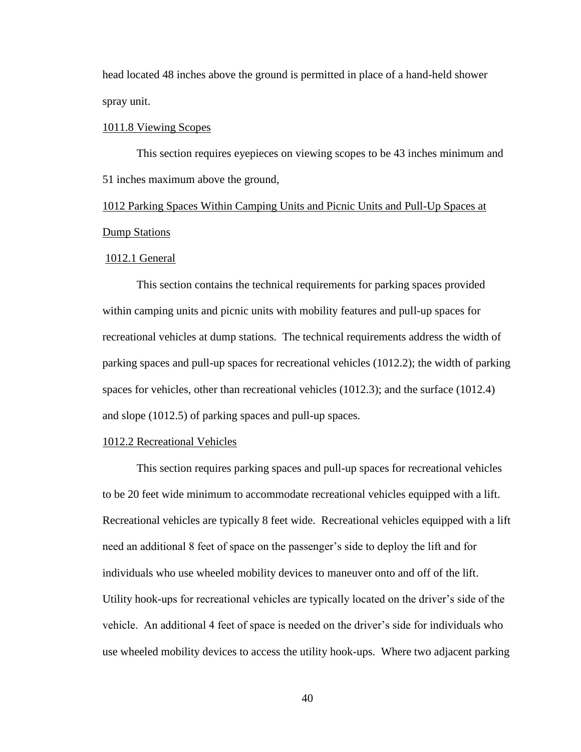head located 48 inches above the ground is permitted in place of a hand-held shower spray unit.

### 1011.8 Viewing Scopes

This section requires eyepieces on viewing scopes to be 43 inches minimum and 51 inches maximum above the ground,

1012 Parking Spaces Within Camping Units and Picnic Units and Pull-Up Spaces at Dump Stations

#### 1012.1 General

This section contains the technical requirements for parking spaces provided within camping units and picnic units with mobility features and pull-up spaces for recreational vehicles at dump stations. The technical requirements address the width of parking spaces and pull-up spaces for recreational vehicles (1012.2); the width of parking spaces for vehicles, other than recreational vehicles (1012.3); and the surface (1012.4) and slope (1012.5) of parking spaces and pull-up spaces.

# 1012.2 Recreational Vehicles

This section requires parking spaces and pull-up spaces for recreational vehicles to be 20 feet wide minimum to accommodate recreational vehicles equipped with a lift. Recreational vehicles are typically 8 feet wide. Recreational vehicles equipped with a lift need an additional 8 feet of space on the passenger's side to deploy the lift and for individuals who use wheeled mobility devices to maneuver onto and off of the lift. Utility hook-ups for recreational vehicles are typically located on the driver's side of the vehicle. An additional 4 feet of space is needed on the driver's side for individuals who use wheeled mobility devices to access the utility hook-ups. Where two adjacent parking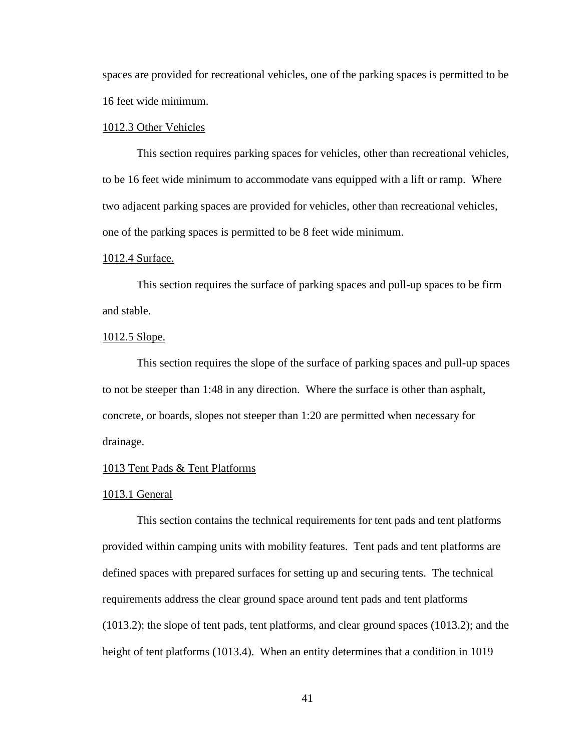spaces are provided for recreational vehicles, one of the parking spaces is permitted to be 16 feet wide minimum.

### 1012.3 Other Vehicles

This section requires parking spaces for vehicles, other than recreational vehicles, to be 16 feet wide minimum to accommodate vans equipped with a lift or ramp. Where two adjacent parking spaces are provided for vehicles, other than recreational vehicles, one of the parking spaces is permitted to be 8 feet wide minimum.

#### 1012.4 Surface.

This section requires the surface of parking spaces and pull-up spaces to be firm and stable.

### 1012.5 Slope.

This section requires the slope of the surface of parking spaces and pull-up spaces to not be steeper than 1:48 in any direction. Where the surface is other than asphalt, concrete, or boards, slopes not steeper than 1:20 are permitted when necessary for drainage.

### 1013 Tent Pads & Tent Platforms

#### 1013.1 General

This section contains the technical requirements for tent pads and tent platforms provided within camping units with mobility features. Tent pads and tent platforms are defined spaces with prepared surfaces for setting up and securing tents. The technical requirements address the clear ground space around tent pads and tent platforms (1013.2); the slope of tent pads, tent platforms, and clear ground spaces (1013.2); and the height of tent platforms (1013.4). When an entity determines that a condition in 1019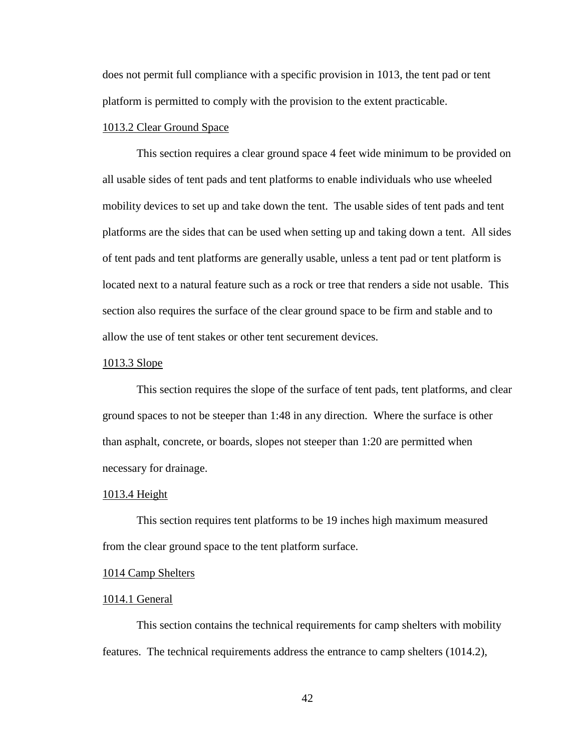does not permit full compliance with a specific provision in 1013, the tent pad or tent platform is permitted to comply with the provision to the extent practicable.

## 1013.2 Clear Ground Space

This section requires a clear ground space 4 feet wide minimum to be provided on all usable sides of tent pads and tent platforms to enable individuals who use wheeled mobility devices to set up and take down the tent. The usable sides of tent pads and tent platforms are the sides that can be used when setting up and taking down a tent. All sides of tent pads and tent platforms are generally usable, unless a tent pad or tent platform is located next to a natural feature such as a rock or tree that renders a side not usable. This section also requires the surface of the clear ground space to be firm and stable and to allow the use of tent stakes or other tent securement devices.

### 1013.3 Slope

This section requires the slope of the surface of tent pads, tent platforms, and clear ground spaces to not be steeper than 1:48 in any direction. Where the surface is other than asphalt, concrete, or boards, slopes not steeper than 1:20 are permitted when necessary for drainage.

#### 1013.4 Height

This section requires tent platforms to be 19 inches high maximum measured from the clear ground space to the tent platform surface.

### 1014 Camp Shelters

#### 1014.1 General

This section contains the technical requirements for camp shelters with mobility features. The technical requirements address the entrance to camp shelters (1014.2),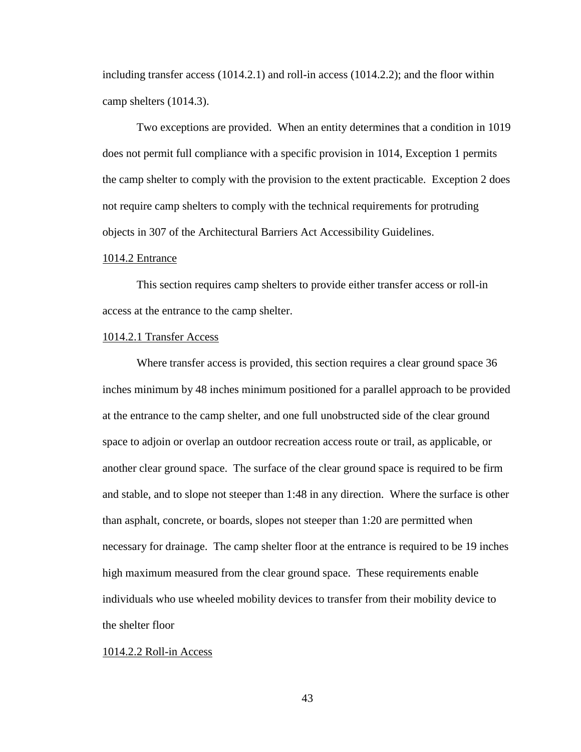including transfer access (1014.2.1) and roll-in access (1014.2.2); and the floor within camp shelters (1014.3).

Two exceptions are provided. When an entity determines that a condition in 1019 does not permit full compliance with a specific provision in 1014, Exception 1 permits the camp shelter to comply with the provision to the extent practicable. Exception 2 does not require camp shelters to comply with the technical requirements for protruding objects in 307 of the Architectural Barriers Act Accessibility Guidelines.

### 1014.2 Entrance

This section requires camp shelters to provide either transfer access or roll-in access at the entrance to the camp shelter.

#### 1014.2.1 Transfer Access

Where transfer access is provided, this section requires a clear ground space 36 inches minimum by 48 inches minimum positioned for a parallel approach to be provided at the entrance to the camp shelter, and one full unobstructed side of the clear ground space to adjoin or overlap an outdoor recreation access route or trail, as applicable, or another clear ground space. The surface of the clear ground space is required to be firm and stable, and to slope not steeper than 1:48 in any direction. Where the surface is other than asphalt, concrete, or boards, slopes not steeper than 1:20 are permitted when necessary for drainage. The camp shelter floor at the entrance is required to be 19 inches high maximum measured from the clear ground space. These requirements enable individuals who use wheeled mobility devices to transfer from their mobility device to the shelter floor

#### 1014.2.2 Roll-in Access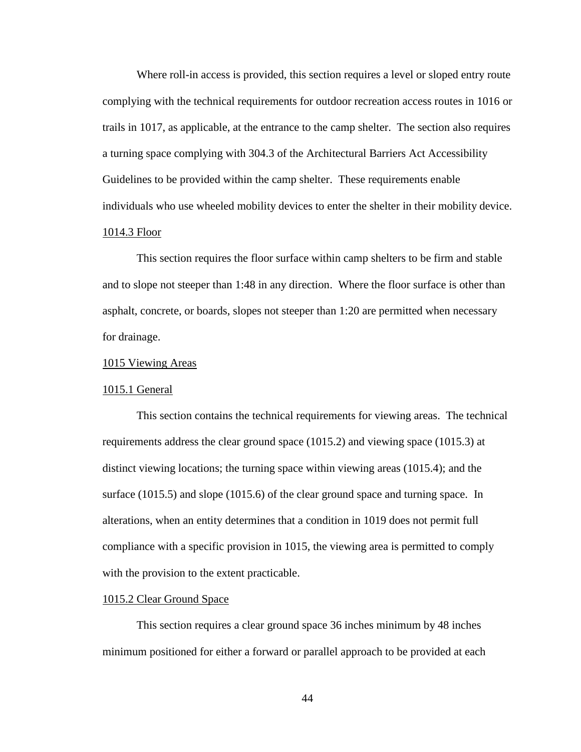Where roll-in access is provided, this section requires a level or sloped entry route complying with the technical requirements for outdoor recreation access routes in 1016 or trails in 1017, as applicable, at the entrance to the camp shelter. The section also requires a turning space complying with 304.3 of the Architectural Barriers Act Accessibility Guidelines to be provided within the camp shelter. These requirements enable individuals who use wheeled mobility devices to enter the shelter in their mobility device. 1014.3 Floor

This section requires the floor surface within camp shelters to be firm and stable and to slope not steeper than 1:48 in any direction. Where the floor surface is other than asphalt, concrete, or boards, slopes not steeper than 1:20 are permitted when necessary for drainage.

#### 1015 Viewing Areas

### 1015.1 General

This section contains the technical requirements for viewing areas. The technical requirements address the clear ground space (1015.2) and viewing space (1015.3) at distinct viewing locations; the turning space within viewing areas (1015.4); and the surface (1015.5) and slope (1015.6) of the clear ground space and turning space. In alterations, when an entity determines that a condition in 1019 does not permit full compliance with a specific provision in 1015, the viewing area is permitted to comply with the provision to the extent practicable.

### 1015.2 Clear Ground Space

This section requires a clear ground space 36 inches minimum by 48 inches minimum positioned for either a forward or parallel approach to be provided at each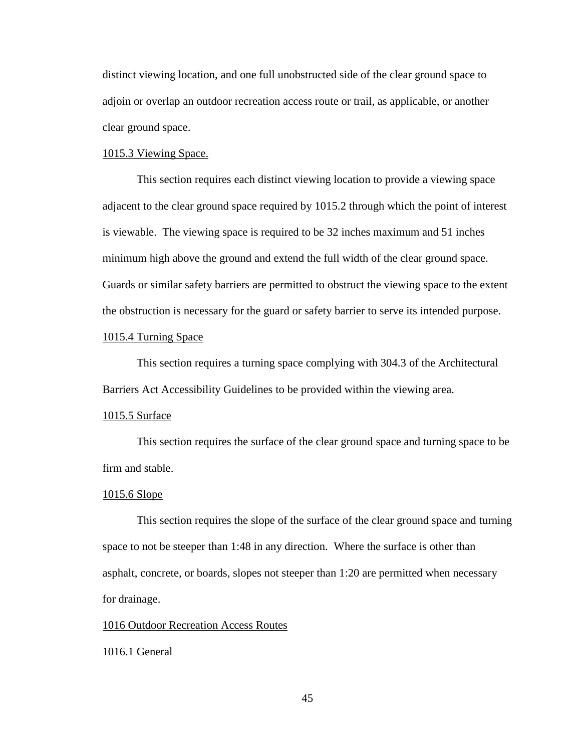distinct viewing location, and one full unobstructed side of the clear ground space to adjoin or overlap an outdoor recreation access route or trail, as applicable, or another clear ground space.

### 1015.3 Viewing Space.

This section requires each distinct viewing location to provide a viewing space adjacent to the clear ground space required by 1015.2 through which the point of interest is viewable. The viewing space is required to be 32 inches maximum and 51 inches minimum high above the ground and extend the full width of the clear ground space. Guards or similar safety barriers are permitted to obstruct the viewing space to the extent the obstruction is necessary for the guard or safety barrier to serve its intended purpose.

### 1015.4 Turning Space

This section requires a turning space complying with 304.3 of the Architectural Barriers Act Accessibility Guidelines to be provided within the viewing area.

### 1015.5 Surface

This section requires the surface of the clear ground space and turning space to be firm and stable.

### 1015.6 Slope

This section requires the slope of the surface of the clear ground space and turning space to not be steeper than 1:48 in any direction. Where the surface is other than asphalt, concrete, or boards, slopes not steeper than 1:20 are permitted when necessary for drainage.

### 1016 Outdoor Recreation Access Routes

#### 1016.1 General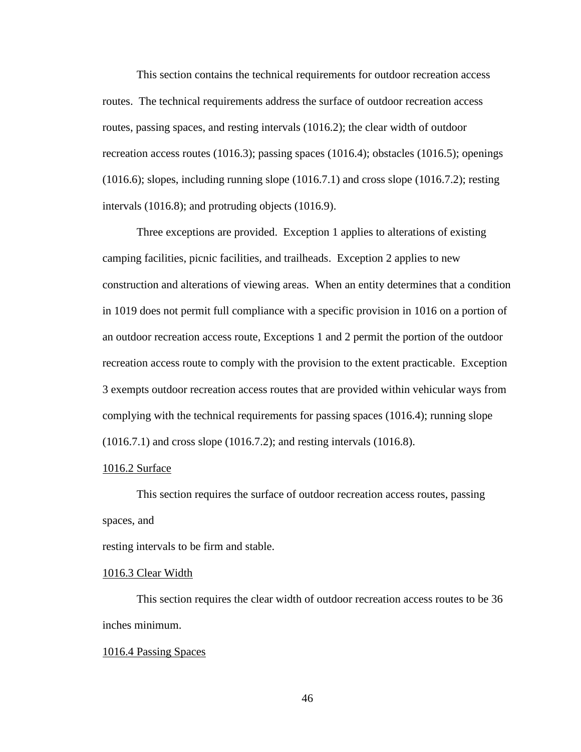This section contains the technical requirements for outdoor recreation access routes. The technical requirements address the surface of outdoor recreation access routes, passing spaces, and resting intervals (1016.2); the clear width of outdoor recreation access routes (1016.3); passing spaces (1016.4); obstacles (1016.5); openings (1016.6); slopes, including running slope (1016.7.1) and cross slope (1016.7.2); resting intervals (1016.8); and protruding objects (1016.9).

Three exceptions are provided. Exception 1 applies to alterations of existing camping facilities, picnic facilities, and trailheads. Exception 2 applies to new construction and alterations of viewing areas. When an entity determines that a condition in 1019 does not permit full compliance with a specific provision in 1016 on a portion of an outdoor recreation access route, Exceptions 1 and 2 permit the portion of the outdoor recreation access route to comply with the provision to the extent practicable. Exception 3 exempts outdoor recreation access routes that are provided within vehicular ways from complying with the technical requirements for passing spaces (1016.4); running slope (1016.7.1) and cross slope (1016.7.2); and resting intervals (1016.8).

### 1016.2 Surface

This section requires the surface of outdoor recreation access routes, passing spaces, and

resting intervals to be firm and stable.

### 1016.3 Clear Width

This section requires the clear width of outdoor recreation access routes to be 36 inches minimum.

#### 1016.4 Passing Spaces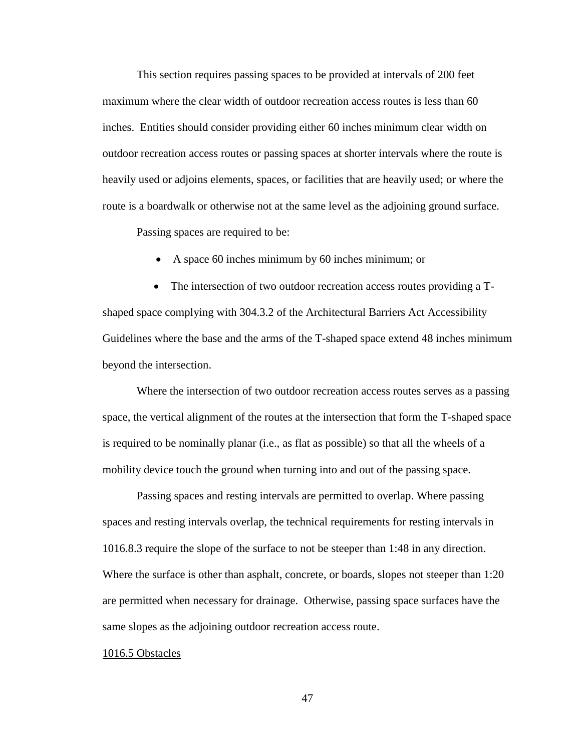This section requires passing spaces to be provided at intervals of 200 feet maximum where the clear width of outdoor recreation access routes is less than 60 inches. Entities should consider providing either 60 inches minimum clear width on outdoor recreation access routes or passing spaces at shorter intervals where the route is heavily used or adjoins elements, spaces, or facilities that are heavily used; or where the route is a boardwalk or otherwise not at the same level as the adjoining ground surface.

Passing spaces are required to be:

A space 60 inches minimum by 60 inches minimum; or

• The intersection of two outdoor recreation access routes providing a Tshaped space complying with 304.3.2 of the Architectural Barriers Act Accessibility Guidelines where the base and the arms of the T-shaped space extend 48 inches minimum beyond the intersection.

Where the intersection of two outdoor recreation access routes serves as a passing space, the vertical alignment of the routes at the intersection that form the T-shaped space is required to be nominally planar (i.e., as flat as possible) so that all the wheels of a mobility device touch the ground when turning into and out of the passing space.

Passing spaces and resting intervals are permitted to overlap. Where passing spaces and resting intervals overlap, the technical requirements for resting intervals in 1016.8.3 require the slope of the surface to not be steeper than 1:48 in any direction. Where the surface is other than asphalt, concrete, or boards, slopes not steeper than 1:20 are permitted when necessary for drainage. Otherwise, passing space surfaces have the same slopes as the adjoining outdoor recreation access route.

### 1016.5 Obstacles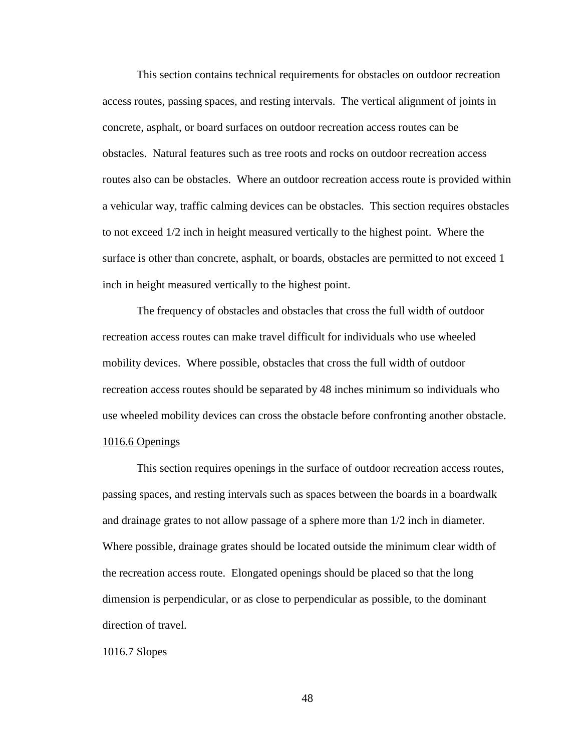This section contains technical requirements for obstacles on outdoor recreation access routes, passing spaces, and resting intervals. The vertical alignment of joints in concrete, asphalt, or board surfaces on outdoor recreation access routes can be obstacles. Natural features such as tree roots and rocks on outdoor recreation access routes also can be obstacles. Where an outdoor recreation access route is provided within a vehicular way, traffic calming devices can be obstacles. This section requires obstacles to not exceed 1/2 inch in height measured vertically to the highest point. Where the surface is other than concrete, asphalt, or boards, obstacles are permitted to not exceed 1 inch in height measured vertically to the highest point.

The frequency of obstacles and obstacles that cross the full width of outdoor recreation access routes can make travel difficult for individuals who use wheeled mobility devices. Where possible, obstacles that cross the full width of outdoor recreation access routes should be separated by 48 inches minimum so individuals who use wheeled mobility devices can cross the obstacle before confronting another obstacle. 1016.6 Openings

This section requires openings in the surface of outdoor recreation access routes, passing spaces, and resting intervals such as spaces between the boards in a boardwalk and drainage grates to not allow passage of a sphere more than 1/2 inch in diameter. Where possible, drainage grates should be located outside the minimum clear width of the recreation access route. Elongated openings should be placed so that the long dimension is perpendicular, or as close to perpendicular as possible, to the dominant direction of travel.

### 1016.7 Slopes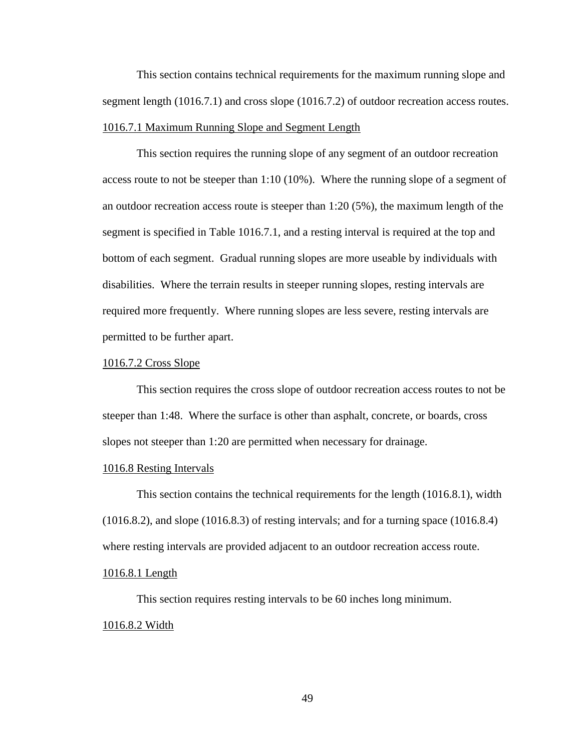This section contains technical requirements for the maximum running slope and segment length (1016.7.1) and cross slope (1016.7.2) of outdoor recreation access routes. 1016.7.1 Maximum Running Slope and Segment Length

This section requires the running slope of any segment of an outdoor recreation access route to not be steeper than 1:10 (10%). Where the running slope of a segment of an outdoor recreation access route is steeper than 1:20 (5%), the maximum length of the segment is specified in Table 1016.7.1, and a resting interval is required at the top and bottom of each segment. Gradual running slopes are more useable by individuals with disabilities. Where the terrain results in steeper running slopes, resting intervals are required more frequently. Where running slopes are less severe, resting intervals are permitted to be further apart.

### 1016.7.2 Cross Slope

This section requires the cross slope of outdoor recreation access routes to not be steeper than 1:48. Where the surface is other than asphalt, concrete, or boards, cross slopes not steeper than 1:20 are permitted when necessary for drainage.

### 1016.8 Resting Intervals

This section contains the technical requirements for the length (1016.8.1), width (1016.8.2), and slope (1016.8.3) of resting intervals; and for a turning space (1016.8.4) where resting intervals are provided adjacent to an outdoor recreation access route.

## 1016.8.1 Length

This section requires resting intervals to be 60 inches long minimum. 1016.8.2 Width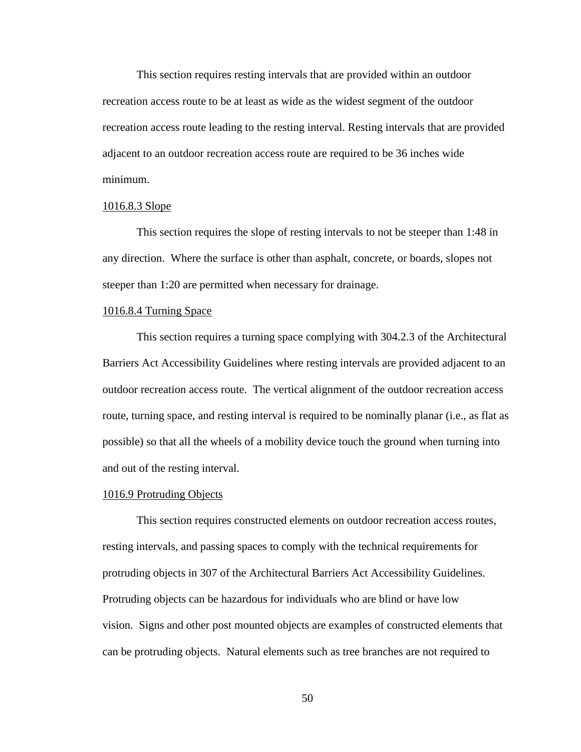This section requires resting intervals that are provided within an outdoor recreation access route to be at least as wide as the widest segment of the outdoor recreation access route leading to the resting interval. Resting intervals that are provided adjacent to an outdoor recreation access route are required to be 36 inches wide minimum.

### 1016.8.3 Slope

This section requires the slope of resting intervals to not be steeper than 1:48 in any direction. Where the surface is other than asphalt, concrete, or boards, slopes not steeper than 1:20 are permitted when necessary for drainage.

### 1016.8.4 Turning Space

This section requires a turning space complying with 304.2.3 of the Architectural Barriers Act Accessibility Guidelines where resting intervals are provided adjacent to an outdoor recreation access route. The vertical alignment of the outdoor recreation access route, turning space, and resting interval is required to be nominally planar (i.e., as flat as possible) so that all the wheels of a mobility device touch the ground when turning into and out of the resting interval.

#### 1016.9 Protruding Objects

This section requires constructed elements on outdoor recreation access routes, resting intervals, and passing spaces to comply with the technical requirements for protruding objects in 307 of the Architectural Barriers Act Accessibility Guidelines. Protruding objects can be hazardous for individuals who are blind or have low vision. Signs and other post mounted objects are examples of constructed elements that can be protruding objects. Natural elements such as tree branches are not required to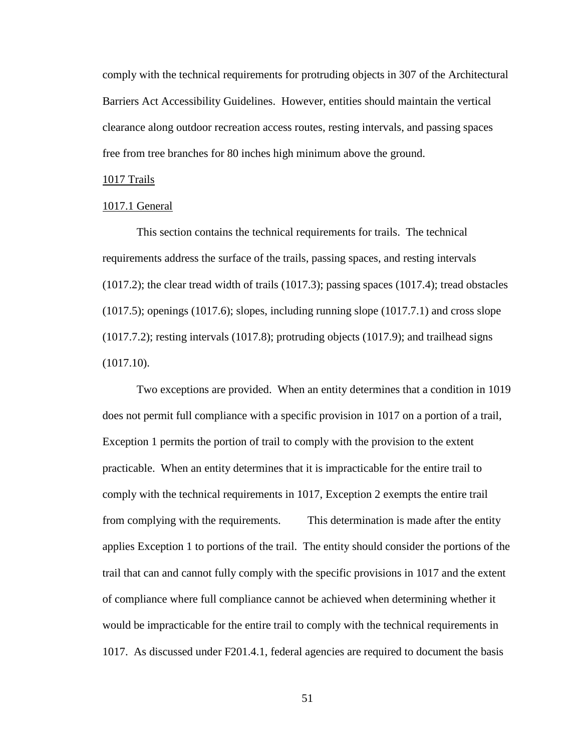comply with the technical requirements for protruding objects in 307 of the Architectural Barriers Act Accessibility Guidelines. However, entities should maintain the vertical clearance along outdoor recreation access routes, resting intervals, and passing spaces free from tree branches for 80 inches high minimum above the ground.

### 1017 Trails

#### 1017.1 General

This section contains the technical requirements for trails. The technical requirements address the surface of the trails, passing spaces, and resting intervals  $(1017.2)$ ; the clear tread width of trails  $(1017.3)$ ; passing spaces  $(1017.4)$ ; tread obstacles  $(1017.5)$ ; openings  $(1017.6)$ ; slopes, including running slope  $(1017.7.1)$  and cross slope (1017.7.2); resting intervals (1017.8); protruding objects (1017.9); and trailhead signs (1017.10).

Two exceptions are provided. When an entity determines that a condition in 1019 does not permit full compliance with a specific provision in 1017 on a portion of a trail, Exception 1 permits the portion of trail to comply with the provision to the extent practicable. When an entity determines that it is impracticable for the entire trail to comply with the technical requirements in 1017, Exception 2 exempts the entire trail from complying with the requirements. This determination is made after the entity applies Exception 1 to portions of the trail. The entity should consider the portions of the trail that can and cannot fully comply with the specific provisions in 1017 and the extent of compliance where full compliance cannot be achieved when determining whether it would be impracticable for the entire trail to comply with the technical requirements in 1017. As discussed under F201.4.1, federal agencies are required to document the basis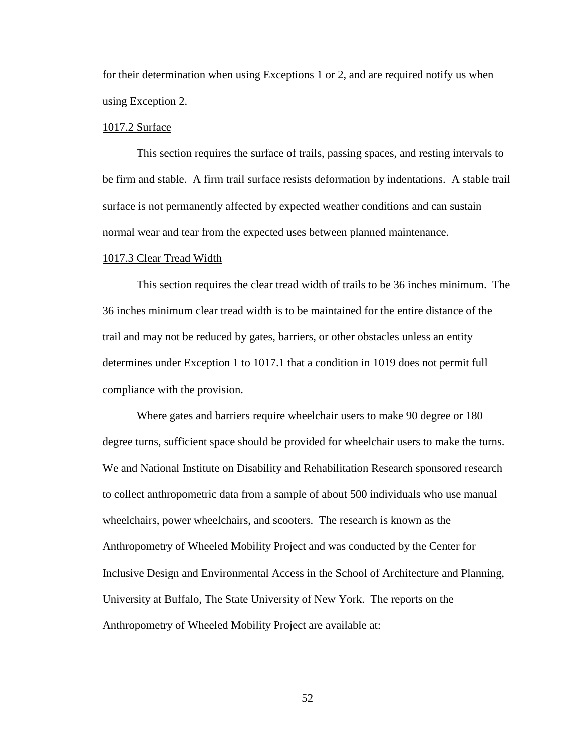for their determination when using Exceptions 1 or 2, and are required notify us when using Exception 2.

### 1017.2 Surface

This section requires the surface of trails, passing spaces, and resting intervals to be firm and stable. A firm trail surface resists deformation by indentations. A stable trail surface is not permanently affected by expected weather conditions and can sustain normal wear and tear from the expected uses between planned maintenance.

#### 1017.3 Clear Tread Width

This section requires the clear tread width of trails to be 36 inches minimum. The 36 inches minimum clear tread width is to be maintained for the entire distance of the trail and may not be reduced by gates, barriers, or other obstacles unless an entity determines under Exception 1 to 1017.1 that a condition in 1019 does not permit full compliance with the provision.

Where gates and barriers require wheelchair users to make 90 degree or 180 degree turns, sufficient space should be provided for wheelchair users to make the turns. We and National Institute on Disability and Rehabilitation Research sponsored research to collect anthropometric data from a sample of about 500 individuals who use manual wheelchairs, power wheelchairs, and scooters. The research is known as the Anthropometry of Wheeled Mobility Project and was conducted by the Center for Inclusive Design and Environmental Access in the School of Architecture and Planning, University at Buffalo, The State University of New York. The reports on the Anthropometry of Wheeled Mobility Project are available at: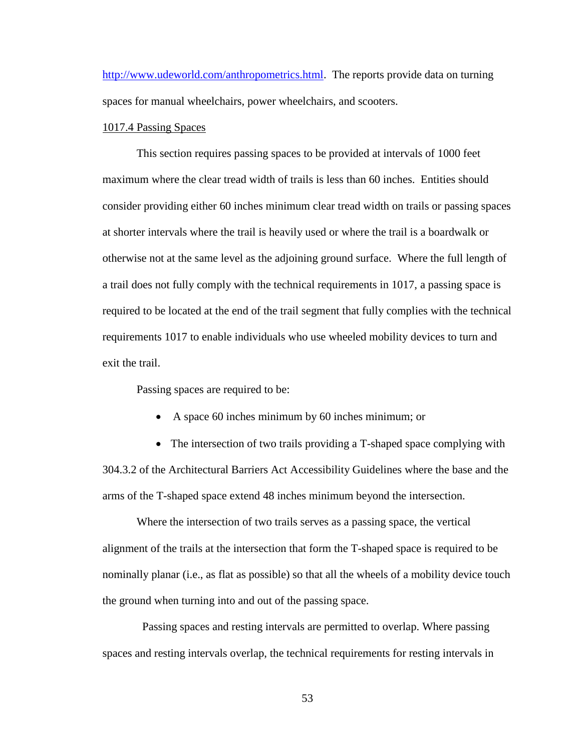[http://www.udeworld.com/anthropometrics.html.](http://www.udeworld.com/anthropometrics.html) The reports provide data on turning spaces for manual wheelchairs, power wheelchairs, and scooters.

### 1017.4 Passing Spaces

This section requires passing spaces to be provided at intervals of 1000 feet maximum where the clear tread width of trails is less than 60 inches. Entities should consider providing either 60 inches minimum clear tread width on trails or passing spaces at shorter intervals where the trail is heavily used or where the trail is a boardwalk or otherwise not at the same level as the adjoining ground surface. Where the full length of a trail does not fully comply with the technical requirements in 1017, a passing space is required to be located at the end of the trail segment that fully complies with the technical requirements 1017 to enable individuals who use wheeled mobility devices to turn and exit the trail.

Passing spaces are required to be:

- A space 60 inches minimum by 60 inches minimum; or
- The intersection of two trails providing a T-shaped space complying with 304.3.2 of the Architectural Barriers Act Accessibility Guidelines where the base and the arms of the T-shaped space extend 48 inches minimum beyond the intersection.

Where the intersection of two trails serves as a passing space, the vertical alignment of the trails at the intersection that form the T-shaped space is required to be nominally planar (i.e., as flat as possible) so that all the wheels of a mobility device touch the ground when turning into and out of the passing space.

 Passing spaces and resting intervals are permitted to overlap. Where passing spaces and resting intervals overlap, the technical requirements for resting intervals in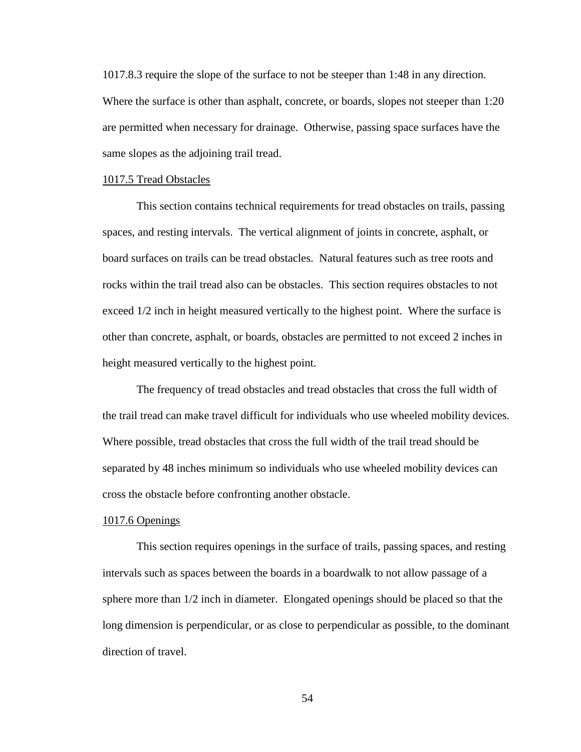1017.8.3 require the slope of the surface to not be steeper than 1:48 in any direction. Where the surface is other than asphalt, concrete, or boards, slopes not steeper than 1:20 are permitted when necessary for drainage. Otherwise, passing space surfaces have the same slopes as the adjoining trail tread.

#### 1017.5 Tread Obstacles

This section contains technical requirements for tread obstacles on trails, passing spaces, and resting intervals. The vertical alignment of joints in concrete, asphalt, or board surfaces on trails can be tread obstacles. Natural features such as tree roots and rocks within the trail tread also can be obstacles. This section requires obstacles to not exceed 1/2 inch in height measured vertically to the highest point. Where the surface is other than concrete, asphalt, or boards, obstacles are permitted to not exceed 2 inches in height measured vertically to the highest point.

The frequency of tread obstacles and tread obstacles that cross the full width of the trail tread can make travel difficult for individuals who use wheeled mobility devices. Where possible, tread obstacles that cross the full width of the trail tread should be separated by 48 inches minimum so individuals who use wheeled mobility devices can cross the obstacle before confronting another obstacle.

### 1017.6 Openings

This section requires openings in the surface of trails, passing spaces, and resting intervals such as spaces between the boards in a boardwalk to not allow passage of a sphere more than 1/2 inch in diameter. Elongated openings should be placed so that the long dimension is perpendicular, or as close to perpendicular as possible, to the dominant direction of travel.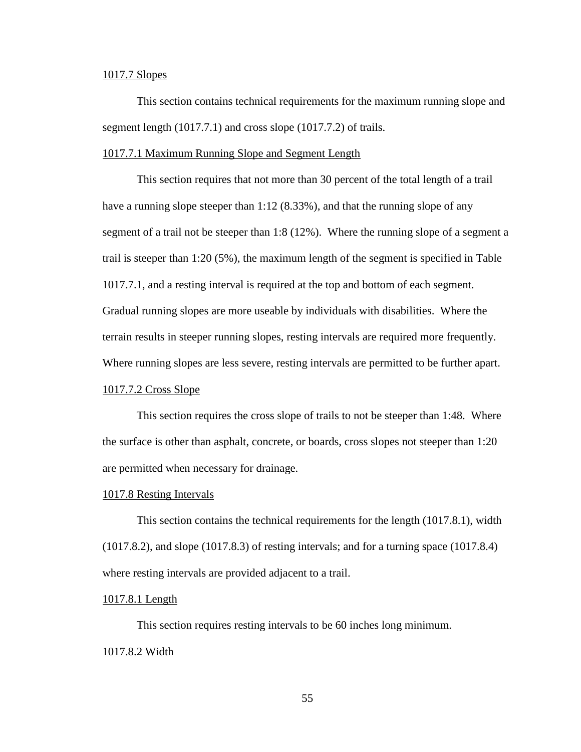### 1017.7 Slopes

This section contains technical requirements for the maximum running slope and segment length (1017.7.1) and cross slope (1017.7.2) of trails.

### 1017.7.1 Maximum Running Slope and Segment Length

This section requires that not more than 30 percent of the total length of a trail have a running slope steeper than 1:12 (8.33%), and that the running slope of any segment of a trail not be steeper than 1:8 (12%). Where the running slope of a segment a trail is steeper than 1:20 (5%), the maximum length of the segment is specified in Table 1017.7.1, and a resting interval is required at the top and bottom of each segment. Gradual running slopes are more useable by individuals with disabilities. Where the terrain results in steeper running slopes, resting intervals are required more frequently. Where running slopes are less severe, resting intervals are permitted to be further apart.

# 1017.7.2 Cross Slope

This section requires the cross slope of trails to not be steeper than 1:48. Where the surface is other than asphalt, concrete, or boards, cross slopes not steeper than 1:20 are permitted when necessary for drainage.

#### 1017.8 Resting Intervals

This section contains the technical requirements for the length (1017.8.1), width (1017.8.2), and slope (1017.8.3) of resting intervals; and for a turning space (1017.8.4) where resting intervals are provided adjacent to a trail.

### 1017.8.1 Length

This section requires resting intervals to be 60 inches long minimum. 1017.8.2 Width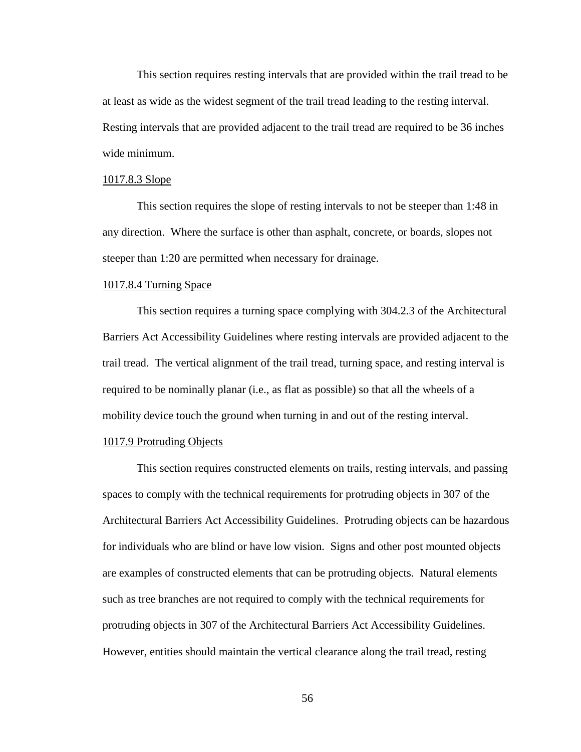This section requires resting intervals that are provided within the trail tread to be at least as wide as the widest segment of the trail tread leading to the resting interval. Resting intervals that are provided adjacent to the trail tread are required to be 36 inches wide minimum.

#### 1017.8.3 Slope

This section requires the slope of resting intervals to not be steeper than 1:48 in any direction. Where the surface is other than asphalt, concrete, or boards, slopes not steeper than 1:20 are permitted when necessary for drainage.

### 1017.8.4 Turning Space

This section requires a turning space complying with 304.2.3 of the Architectural Barriers Act Accessibility Guidelines where resting intervals are provided adjacent to the trail tread. The vertical alignment of the trail tread, turning space, and resting interval is required to be nominally planar (i.e., as flat as possible) so that all the wheels of a mobility device touch the ground when turning in and out of the resting interval.

### 1017.9 Protruding Objects

This section requires constructed elements on trails, resting intervals, and passing spaces to comply with the technical requirements for protruding objects in 307 of the Architectural Barriers Act Accessibility Guidelines. Protruding objects can be hazardous for individuals who are blind or have low vision. Signs and other post mounted objects are examples of constructed elements that can be protruding objects. Natural elements such as tree branches are not required to comply with the technical requirements for protruding objects in 307 of the Architectural Barriers Act Accessibility Guidelines. However, entities should maintain the vertical clearance along the trail tread, resting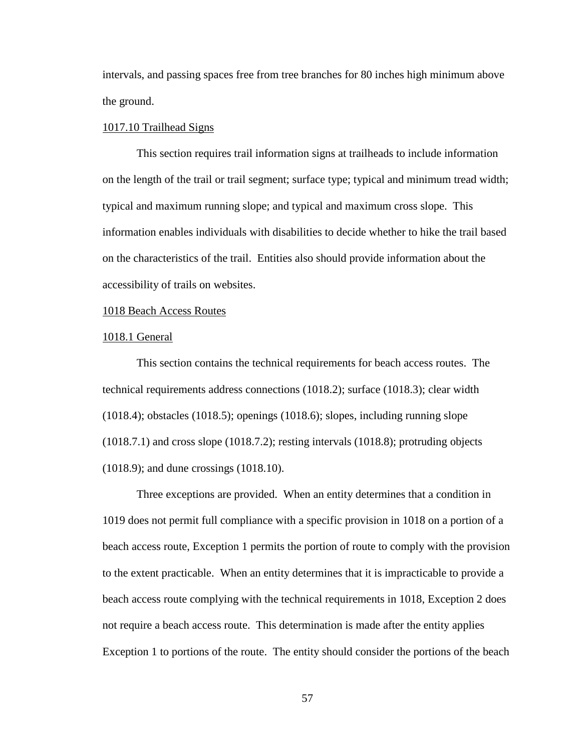intervals, and passing spaces free from tree branches for 80 inches high minimum above the ground.

### 1017.10 Trailhead Signs

This section requires trail information signs at trailheads to include information on the length of the trail or trail segment; surface type; typical and minimum tread width; typical and maximum running slope; and typical and maximum cross slope. This information enables individuals with disabilities to decide whether to hike the trail based on the characteristics of the trail. Entities also should provide information about the accessibility of trails on websites.

## 1018 Beach Access Routes

#### 1018.1 General

This section contains the technical requirements for beach access routes. The technical requirements address connections (1018.2); surface (1018.3); clear width  $(1018.4)$ ; obstacles  $(1018.5)$ ; openings  $(1018.6)$ ; slopes, including running slope (1018.7.1) and cross slope (1018.7.2); resting intervals (1018.8); protruding objects (1018.9); and dune crossings (1018.10).

Three exceptions are provided. When an entity determines that a condition in 1019 does not permit full compliance with a specific provision in 1018 on a portion of a beach access route, Exception 1 permits the portion of route to comply with the provision to the extent practicable. When an entity determines that it is impracticable to provide a beach access route complying with the technical requirements in 1018, Exception 2 does not require a beach access route. This determination is made after the entity applies Exception 1 to portions of the route. The entity should consider the portions of the beach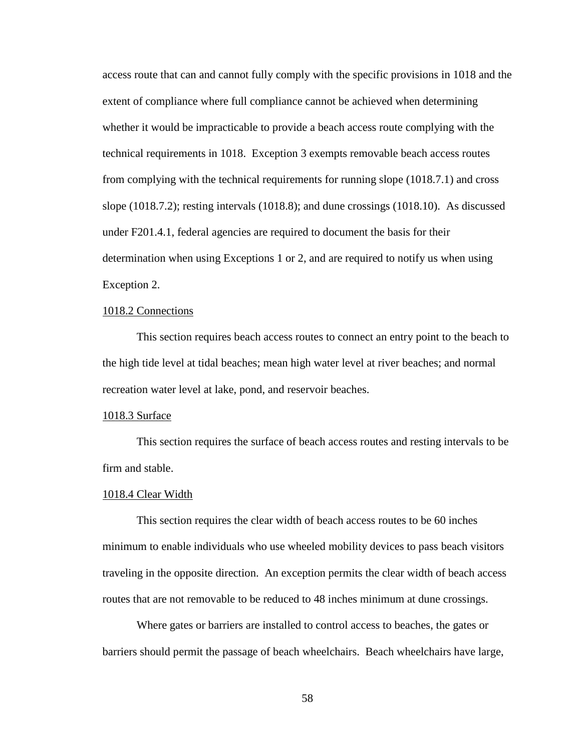access route that can and cannot fully comply with the specific provisions in 1018 and the extent of compliance where full compliance cannot be achieved when determining whether it would be impracticable to provide a beach access route complying with the technical requirements in 1018. Exception 3 exempts removable beach access routes from complying with the technical requirements for running slope (1018.7.1) and cross slope (1018.7.2); resting intervals (1018.8); and dune crossings (1018.10). As discussed under F201.4.1, federal agencies are required to document the basis for their determination when using Exceptions 1 or 2, and are required to notify us when using Exception 2.

# 1018.2 Connections

This section requires beach access routes to connect an entry point to the beach to the high tide level at tidal beaches; mean high water level at river beaches; and normal recreation water level at lake, pond, and reservoir beaches.

### 1018.3 Surface

This section requires the surface of beach access routes and resting intervals to be firm and stable.

#### 1018.4 Clear Width

This section requires the clear width of beach access routes to be 60 inches minimum to enable individuals who use wheeled mobility devices to pass beach visitors traveling in the opposite direction. An exception permits the clear width of beach access routes that are not removable to be reduced to 48 inches minimum at dune crossings.

Where gates or barriers are installed to control access to beaches, the gates or barriers should permit the passage of beach wheelchairs. Beach wheelchairs have large,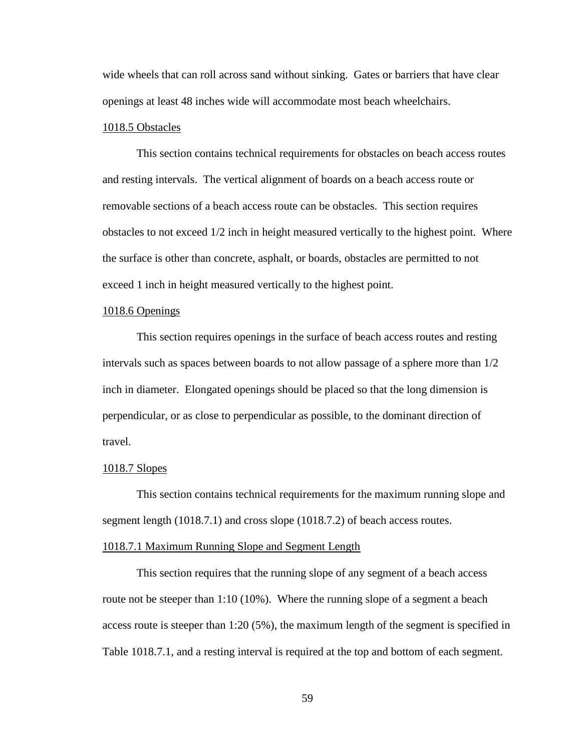wide wheels that can roll across sand without sinking. Gates or barriers that have clear openings at least 48 inches wide will accommodate most beach wheelchairs.

### 1018.5 Obstacles

This section contains technical requirements for obstacles on beach access routes and resting intervals. The vertical alignment of boards on a beach access route or removable sections of a beach access route can be obstacles. This section requires obstacles to not exceed 1/2 inch in height measured vertically to the highest point. Where the surface is other than concrete, asphalt, or boards, obstacles are permitted to not exceed 1 inch in height measured vertically to the highest point.

# 1018.6 Openings

This section requires openings in the surface of beach access routes and resting intervals such as spaces between boards to not allow passage of a sphere more than 1/2 inch in diameter. Elongated openings should be placed so that the long dimension is perpendicular, or as close to perpendicular as possible, to the dominant direction of travel.

### 1018.7 Slopes

This section contains technical requirements for the maximum running slope and segment length (1018.7.1) and cross slope (1018.7.2) of beach access routes.

#### 1018.7.1 Maximum Running Slope and Segment Length

This section requires that the running slope of any segment of a beach access route not be steeper than 1:10 (10%). Where the running slope of a segment a beach access route is steeper than 1:20 (5%), the maximum length of the segment is specified in Table 1018.7.1, and a resting interval is required at the top and bottom of each segment.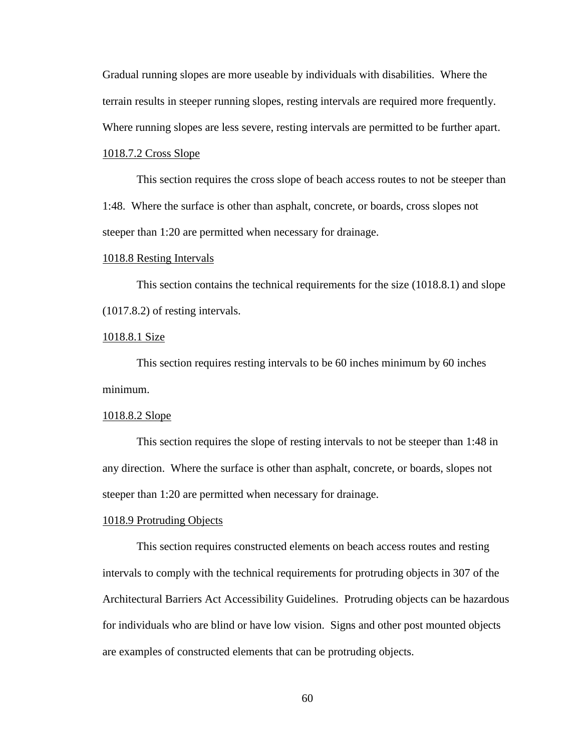Gradual running slopes are more useable by individuals with disabilities. Where the terrain results in steeper running slopes, resting intervals are required more frequently. Where running slopes are less severe, resting intervals are permitted to be further apart.

# 1018.7.2 Cross Slope

This section requires the cross slope of beach access routes to not be steeper than 1:48. Where the surface is other than asphalt, concrete, or boards, cross slopes not steeper than 1:20 are permitted when necessary for drainage.

### 1018.8 Resting Intervals

This section contains the technical requirements for the size (1018.8.1) and slope (1017.8.2) of resting intervals.

### 1018.8.1 Size

This section requires resting intervals to be 60 inches minimum by 60 inches minimum.

#### 1018.8.2 Slope

This section requires the slope of resting intervals to not be steeper than 1:48 in any direction. Where the surface is other than asphalt, concrete, or boards, slopes not steeper than 1:20 are permitted when necessary for drainage.

#### 1018.9 Protruding Objects

This section requires constructed elements on beach access routes and resting intervals to comply with the technical requirements for protruding objects in 307 of the Architectural Barriers Act Accessibility Guidelines. Protruding objects can be hazardous for individuals who are blind or have low vision. Signs and other post mounted objects are examples of constructed elements that can be protruding objects.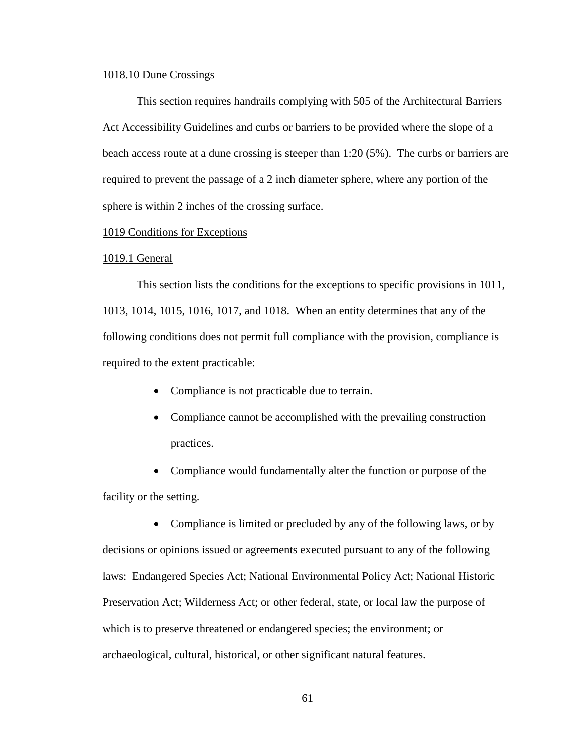### 1018.10 Dune Crossings

This section requires handrails complying with 505 of the Architectural Barriers Act Accessibility Guidelines and curbs or barriers to be provided where the slope of a beach access route at a dune crossing is steeper than 1:20 (5%). The curbs or barriers are required to prevent the passage of a 2 inch diameter sphere, where any portion of the sphere is within 2 inches of the crossing surface.

### 1019 Conditions for Exceptions

#### 1019.1 General

This section lists the conditions for the exceptions to specific provisions in 1011, 1013, 1014, 1015, 1016, 1017, and 1018. When an entity determines that any of the following conditions does not permit full compliance with the provision, compliance is required to the extent practicable:

- Compliance is not practicable due to terrain.
- Compliance cannot be accomplished with the prevailing construction practices.
- Compliance would fundamentally alter the function or purpose of the facility or the setting.

• Compliance is limited or precluded by any of the following laws, or by decisions or opinions issued or agreements executed pursuant to any of the following laws: Endangered Species Act; National Environmental Policy Act; National Historic Preservation Act; Wilderness Act; or other federal, state, or local law the purpose of which is to preserve threatened or endangered species; the environment; or archaeological, cultural, historical, or other significant natural features.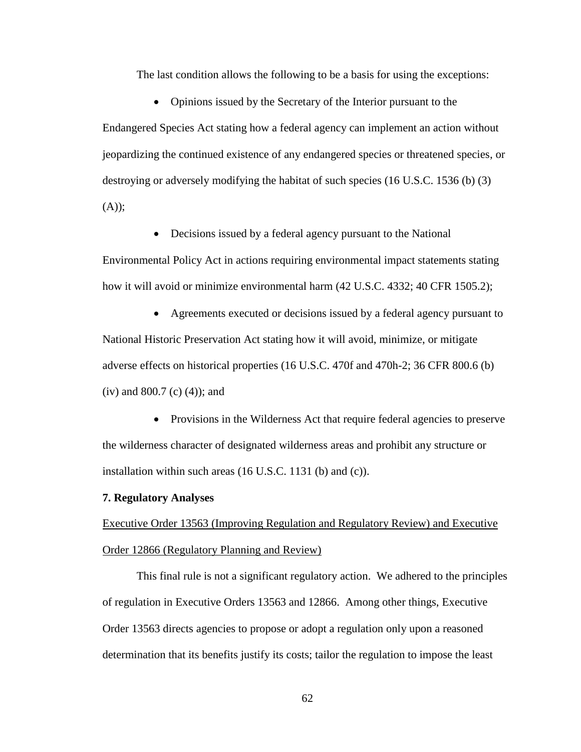The last condition allows the following to be a basis for using the exceptions:

• Opinions issued by the Secretary of the Interior pursuant to the Endangered Species Act stating how a federal agency can implement an action without jeopardizing the continued existence of any endangered species or threatened species, or destroying or adversely modifying the habitat of such species (16 U.S.C. 1536 (b) (3)  $(A))$ ;

• Decisions issued by a federal agency pursuant to the National

Environmental Policy Act in actions requiring environmental impact statements stating how it will avoid or minimize environmental harm (42 U.S.C. 4332; 40 CFR 1505.2);

 Agreements executed or decisions issued by a federal agency pursuant to National Historic Preservation Act stating how it will avoid, minimize, or mitigate adverse effects on historical properties (16 U.S.C. 470f and 470h-2; 36 CFR 800.6 (b) (iv) and 800.7 (c) (4)); and

• Provisions in the Wilderness Act that require federal agencies to preserve the wilderness character of designated wilderness areas and prohibit any structure or installation within such areas (16 U.S.C. 1131 (b) and (c)).

### **7. Regulatory Analyses**

Executive Order 13563 (Improving Regulation and Regulatory Review) and Executive Order 12866 (Regulatory Planning and Review)

This final rule is not a significant regulatory action. We adhered to the principles of regulation in Executive Orders 13563 and 12866. Among other things, Executive Order 13563 directs agencies to propose or adopt a regulation only upon a reasoned determination that its benefits justify its costs; tailor the regulation to impose the least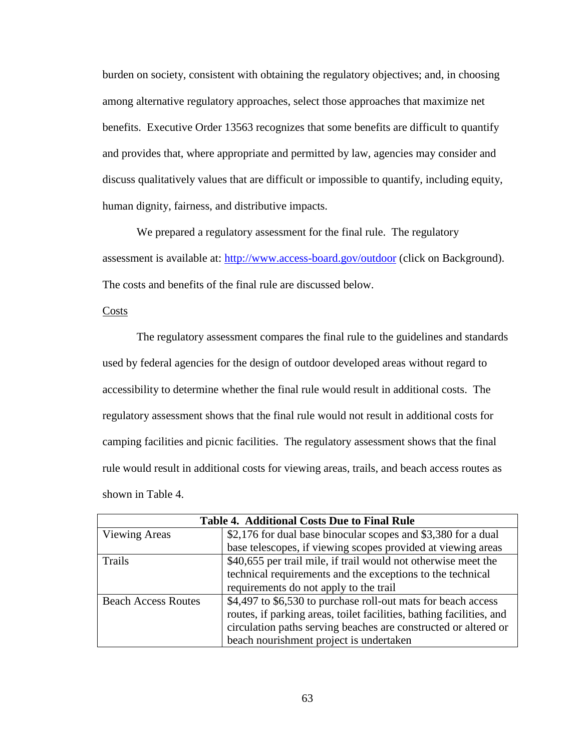burden on society, consistent with obtaining the regulatory objectives; and, in choosing among alternative regulatory approaches, select those approaches that maximize net benefits. Executive Order 13563 recognizes that some benefits are difficult to quantify and provides that, where appropriate and permitted by law, agencies may consider and discuss qualitatively values that are difficult or impossible to quantify, including equity, human dignity, fairness, and distributive impacts.

We prepared a regulatory assessment for the final rule. The regulatory assessment is available at: <http://www.access-board.gov/outdoor> (click on Background). The costs and benefits of the final rule are discussed below.

### Costs

The regulatory assessment compares the final rule to the guidelines and standards used by federal agencies for the design of outdoor developed areas without regard to accessibility to determine whether the final rule would result in additional costs. The regulatory assessment shows that the final rule would not result in additional costs for camping facilities and picnic facilities. The regulatory assessment shows that the final rule would result in additional costs for viewing areas, trails, and beach access routes as shown in Table 4.

| <b>Table 4. Additional Costs Due to Final Rule</b> |                                                                                                                              |  |
|----------------------------------------------------|------------------------------------------------------------------------------------------------------------------------------|--|
| <b>Viewing Areas</b>                               | \$2,176 for dual base binocular scopes and \$3,380 for a dual                                                                |  |
|                                                    | base telescopes, if viewing scopes provided at viewing areas                                                                 |  |
| Trails                                             | \$40,655 per trail mile, if trail would not otherwise meet the<br>technical requirements and the exceptions to the technical |  |
|                                                    |                                                                                                                              |  |
|                                                    | requirements do not apply to the trail                                                                                       |  |
| <b>Beach Access Routes</b>                         | \$4,497 to \$6,530 to purchase roll-out mats for beach access                                                                |  |
|                                                    | routes, if parking areas, toilet facilities, bathing facilities, and                                                         |  |
|                                                    | circulation paths serving beaches are constructed or altered or                                                              |  |
|                                                    | beach nourishment project is undertaken                                                                                      |  |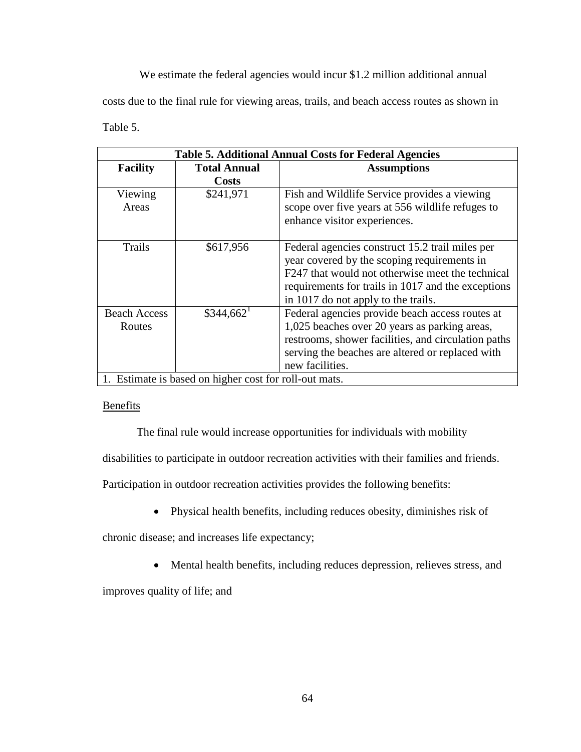We estimate the federal agencies would incur \$1.2 million additional annual costs due to the final rule for viewing areas, trails, and beach access routes as shown in Table 5.

| <b>Table 5. Additional Annual Costs for Federal Agencies</b> |                                     |                                                                                                                                                                                                                                                 |  |
|--------------------------------------------------------------|-------------------------------------|-------------------------------------------------------------------------------------------------------------------------------------------------------------------------------------------------------------------------------------------------|--|
| <b>Facility</b>                                              | <b>Total Annual</b><br><b>Costs</b> | <b>Assumptions</b>                                                                                                                                                                                                                              |  |
| Viewing<br>Areas                                             | \$241,971                           | Fish and Wildlife Service provides a viewing<br>scope over five years at 556 wildlife refuges to<br>enhance visitor experiences.                                                                                                                |  |
| Trails                                                       | \$617,956                           | Federal agencies construct 15.2 trail miles per<br>year covered by the scoping requirements in<br>F247 that would not otherwise meet the technical<br>requirements for trails in 1017 and the exceptions<br>in 1017 do not apply to the trails. |  |
| <b>Beach Access</b><br>Routes                                | $$344,662$ <sup>1</sup>             | Federal agencies provide beach access routes at<br>1,025 beaches over 20 years as parking areas,<br>restrooms, shower facilities, and circulation paths<br>serving the beaches are altered or replaced with<br>new facilities.                  |  |
| 1. Estimate is based on higher cost for roll-out mats.       |                                     |                                                                                                                                                                                                                                                 |  |

## **Benefits**

The final rule would increase opportunities for individuals with mobility

disabilities to participate in outdoor recreation activities with their families and friends.

Participation in outdoor recreation activities provides the following benefits:

Physical health benefits, including reduces obesity, diminishes risk of

chronic disease; and increases life expectancy;

Mental health benefits, including reduces depression, relieves stress, and

improves quality of life; and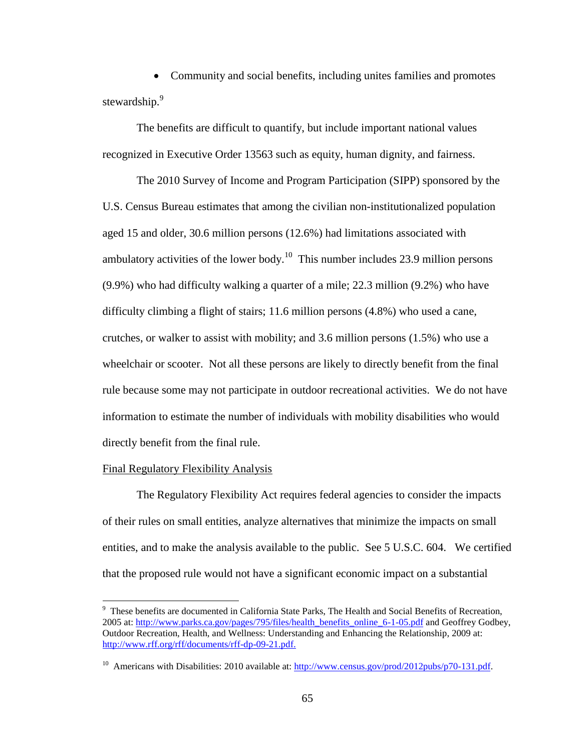Community and social benefits, including unites families and promotes stewardship.<sup>9</sup>

The benefits are difficult to quantify, but include important national values recognized in Executive Order 13563 such as equity, human dignity, and fairness.

The 2010 Survey of Income and Program Participation (SIPP) sponsored by the U.S. Census Bureau estimates that among the civilian non-institutionalized population aged 15 and older, 30.6 million persons (12.6%) had limitations associated with ambulatory activities of the lower body.<sup>10</sup> This number includes 23.9 million persons (9.9%) who had difficulty walking a quarter of a mile; 22.3 million (9.2%) who have difficulty climbing a flight of stairs; 11.6 million persons (4.8%) who used a cane, crutches, or walker to assist with mobility; and 3.6 million persons (1.5%) who use a wheelchair or scooter. Not all these persons are likely to directly benefit from the final rule because some may not participate in outdoor recreational activities. We do not have information to estimate the number of individuals with mobility disabilities who would directly benefit from the final rule.

### Final Regulatory Flexibility Analysis

 $\overline{a}$ 

The Regulatory Flexibility Act requires federal agencies to consider the impacts of their rules on small entities, analyze alternatives that minimize the impacts on small entities, and to make the analysis available to the public. See 5 U.S.C. 604. We certified that the proposed rule would not have a significant economic impact on a substantial

 $9$  These benefits are documented in California State Parks, The Health and Social Benefits of Recreation, 2005 at: [http://www.parks.ca.gov/pages/795/files/health\\_benefits\\_online\\_6-1-05.pdf](http://www.parks.ca.gov/pages/795/files/health_benefits_online_6-1-05.pdf) and Geoffrey Godbey, Outdoor Recreation, Health, and Wellness: Understanding and Enhancing the Relationship, 2009 at: [http://www.rff.org/rff/documents/rff-dp-09-21.pdf.](http://www.rff.org/rff/documents/rff-dp-09-21.pdf)

<sup>&</sup>lt;sup>10</sup> Americans with Disabilities: 2010 available at:  $\frac{http://www.census.gov/prod/2012pubs/p70-131.pdf.}$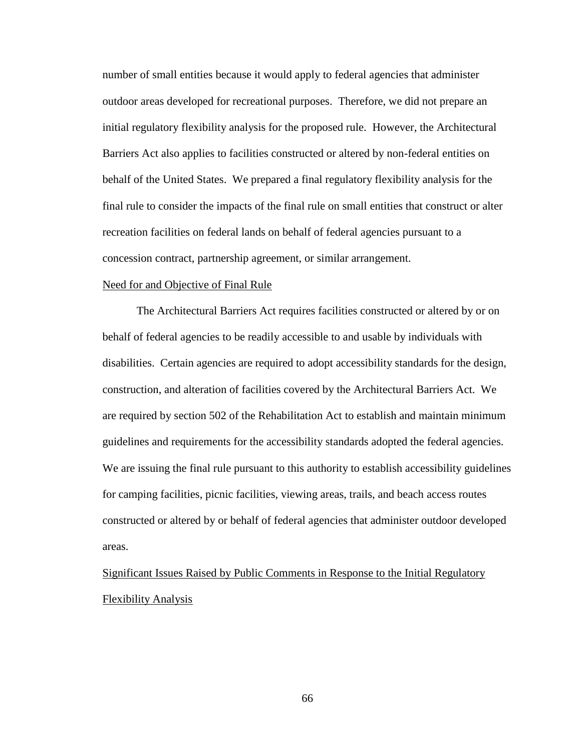number of small entities because it would apply to federal agencies that administer outdoor areas developed for recreational purposes. Therefore, we did not prepare an initial regulatory flexibility analysis for the proposed rule. However, the Architectural Barriers Act also applies to facilities constructed or altered by non-federal entities on behalf of the United States. We prepared a final regulatory flexibility analysis for the final rule to consider the impacts of the final rule on small entities that construct or alter recreation facilities on federal lands on behalf of federal agencies pursuant to a concession contract, partnership agreement, or similar arrangement.

### Need for and Objective of Final Rule

The Architectural Barriers Act requires facilities constructed or altered by or on behalf of federal agencies to be readily accessible to and usable by individuals with disabilities. Certain agencies are required to adopt accessibility standards for the design, construction, and alteration of facilities covered by the Architectural Barriers Act. We are required by section 502 of the Rehabilitation Act to establish and maintain minimum guidelines and requirements for the accessibility standards adopted the federal agencies. We are issuing the final rule pursuant to this authority to establish accessibility guidelines for camping facilities, picnic facilities, viewing areas, trails, and beach access routes constructed or altered by or behalf of federal agencies that administer outdoor developed areas.

Significant Issues Raised by Public Comments in Response to the Initial Regulatory Flexibility Analysis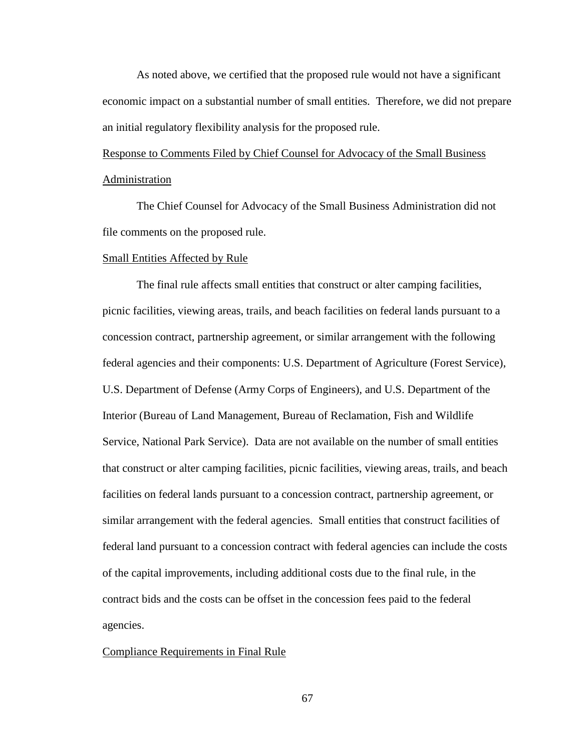As noted above, we certified that the proposed rule would not have a significant economic impact on a substantial number of small entities. Therefore, we did not prepare an initial regulatory flexibility analysis for the proposed rule.

Response to Comments Filed by Chief Counsel for Advocacy of the Small Business Administration

The Chief Counsel for Advocacy of the Small Business Administration did not file comments on the proposed rule.

#### Small Entities Affected by Rule

The final rule affects small entities that construct or alter camping facilities, picnic facilities, viewing areas, trails, and beach facilities on federal lands pursuant to a concession contract, partnership agreement, or similar arrangement with the following federal agencies and their components: U.S. Department of Agriculture (Forest Service), U.S. Department of Defense (Army Corps of Engineers), and U.S. Department of the Interior (Bureau of Land Management, Bureau of Reclamation, Fish and Wildlife Service, National Park Service). Data are not available on the number of small entities that construct or alter camping facilities, picnic facilities, viewing areas, trails, and beach facilities on federal lands pursuant to a concession contract, partnership agreement, or similar arrangement with the federal agencies. Small entities that construct facilities of federal land pursuant to a concession contract with federal agencies can include the costs of the capital improvements, including additional costs due to the final rule, in the contract bids and the costs can be offset in the concession fees paid to the federal agencies.

#### Compliance Requirements in Final Rule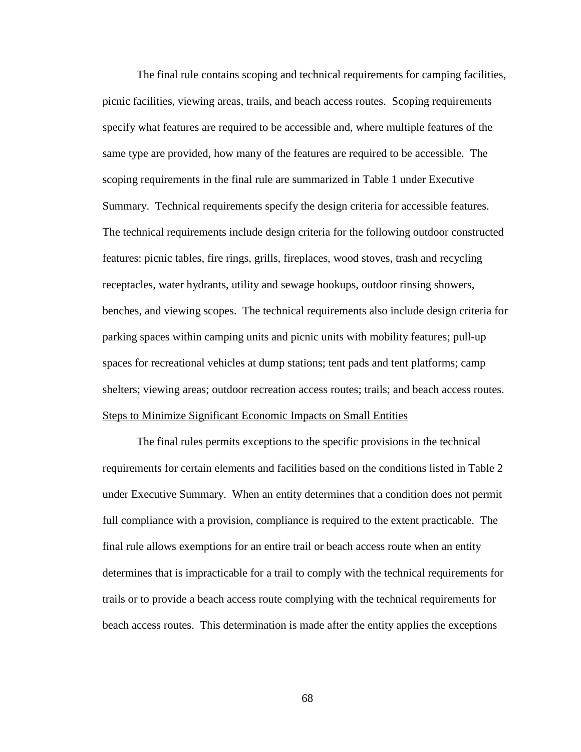The final rule contains scoping and technical requirements for camping facilities, picnic facilities, viewing areas, trails, and beach access routes. Scoping requirements specify what features are required to be accessible and, where multiple features of the same type are provided, how many of the features are required to be accessible. The scoping requirements in the final rule are summarized in Table 1 under Executive Summary. Technical requirements specify the design criteria for accessible features. The technical requirements include design criteria for the following outdoor constructed features: picnic tables, fire rings, grills, fireplaces, wood stoves, trash and recycling receptacles, water hydrants, utility and sewage hookups, outdoor rinsing showers, benches, and viewing scopes. The technical requirements also include design criteria for parking spaces within camping units and picnic units with mobility features; pull-up spaces for recreational vehicles at dump stations; tent pads and tent platforms; camp shelters; viewing areas; outdoor recreation access routes; trails; and beach access routes. Steps to Minimize Significant Economic Impacts on Small Entities

The final rules permits exceptions to the specific provisions in the technical requirements for certain elements and facilities based on the conditions listed in Table 2 under Executive Summary. When an entity determines that a condition does not permit full compliance with a provision, compliance is required to the extent practicable. The final rule allows exemptions for an entire trail or beach access route when an entity determines that is impracticable for a trail to comply with the technical requirements for trails or to provide a beach access route complying with the technical requirements for beach access routes. This determination is made after the entity applies the exceptions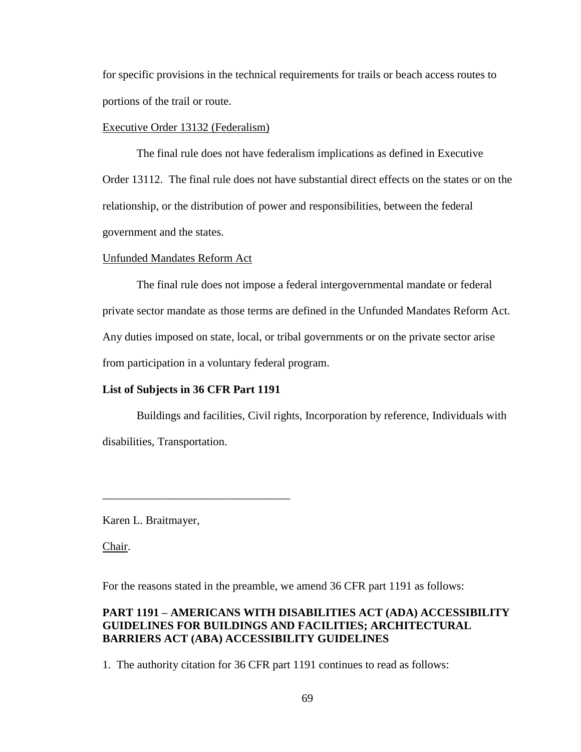for specific provisions in the technical requirements for trails or beach access routes to portions of the trail or route.

### Executive Order 13132 (Federalism)

The final rule does not have federalism implications as defined in Executive Order 13112. The final rule does not have substantial direct effects on the states or on the relationship, or the distribution of power and responsibilities, between the federal government and the states.

### Unfunded Mandates Reform Act

The final rule does not impose a federal intergovernmental mandate or federal private sector mandate as those terms are defined in the Unfunded Mandates Reform Act. Any duties imposed on state, local, or tribal governments or on the private sector arise from participation in a voluntary federal program.

# **List of Subjects in 36 CFR Part 1191**

\_\_\_\_\_\_\_\_\_\_\_\_\_\_\_\_\_\_\_\_\_\_\_\_\_\_\_\_\_\_\_\_\_

Buildings and facilities, Civil rights, Incorporation by reference, Individuals with disabilities, Transportation.

Karen L. Braitmayer,

Chair.

For the reasons stated in the preamble, we amend 36 CFR part 1191 as follows:

# **PART 1191 – AMERICANS WITH DISABILITIES ACT (ADA) ACCESSIBILITY GUIDELINES FOR BUILDINGS AND FACILITIES; ARCHITECTURAL BARRIERS ACT (ABA) ACCESSIBILITY GUIDELINES**

1. The authority citation for 36 CFR part 1191 continues to read as follows: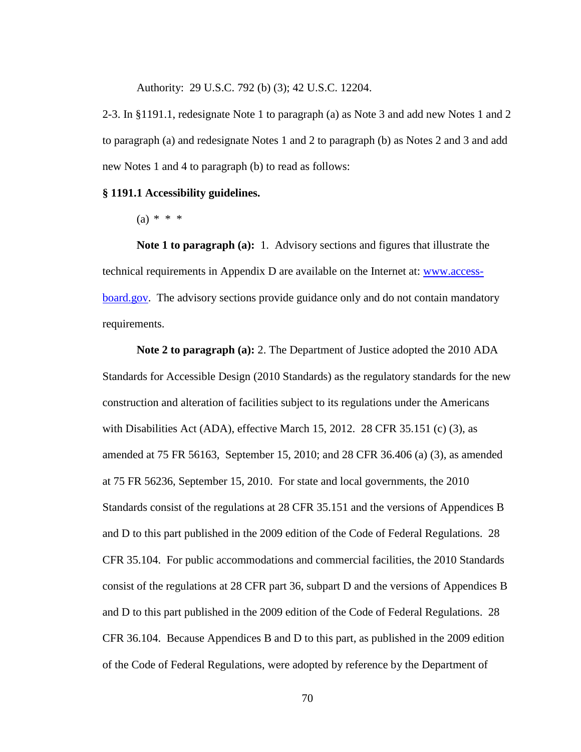Authority: 29 U.S.C. 792 (b) (3); 42 U.S.C. 12204.

2-3. In §1191.1, redesignate Note 1 to paragraph (a) as Note 3 and add new Notes 1 and 2 to paragraph (a) and redesignate Notes 1 and 2 to paragraph (b) as Notes 2 and 3 and add new Notes 1 and 4 to paragraph (b) to read as follows:

### **§ 1191.1 Accessibility guidelines.**

 $(a) * * * *$ 

**Note 1 to paragraph (a):** 1. Advisory sections and figures that illustrate the technical requirements in Appendix D are available on the Internet at: [www.access](http://www.access-board.gov/)[board.gov.](http://www.access-board.gov/) The advisory sections provide guidance only and do not contain mandatory requirements.

**Note 2 to paragraph (a):** 2. The Department of Justice adopted the 2010 ADA Standards for Accessible Design (2010 Standards) as the regulatory standards for the new construction and alteration of facilities subject to its regulations under the Americans with Disabilities Act (ADA), effective March 15, 2012. 28 CFR 35.151 (c) (3), as amended at 75 FR 56163, September 15, 2010; and 28 CFR 36.406 (a) (3), as amended at 75 FR 56236, September 15, 2010. For state and local governments, the 2010 Standards consist of the regulations at 28 CFR 35.151 and the versions of Appendices B and D to this part published in the 2009 edition of the Code of Federal Regulations. 28 CFR 35.104. For public accommodations and commercial facilities, the 2010 Standards consist of the regulations at 28 CFR part 36, subpart D and the versions of Appendices B and D to this part published in the 2009 edition of the Code of Federal Regulations. 28 CFR 36.104. Because Appendices B and D to this part, as published in the 2009 edition of the Code of Federal Regulations, were adopted by reference by the Department of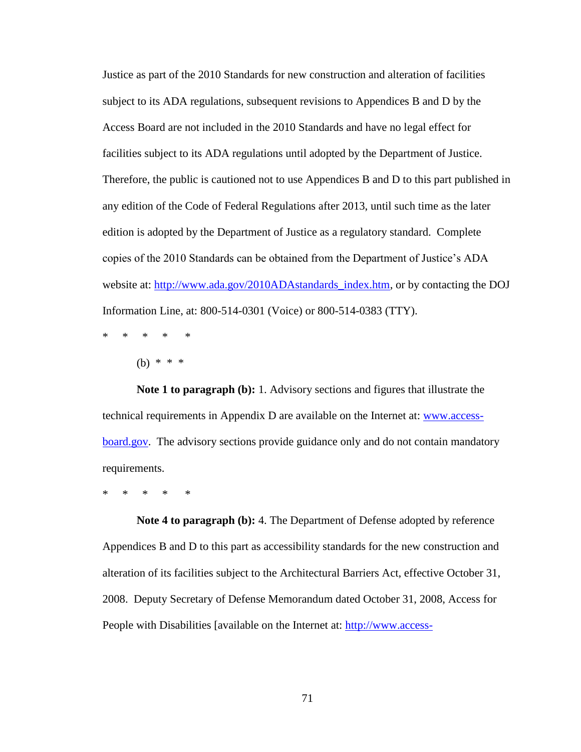Justice as part of the 2010 Standards for new construction and alteration of facilities subject to its ADA regulations, subsequent revisions to Appendices B and D by the Access Board are not included in the 2010 Standards and have no legal effect for facilities subject to its ADA regulations until adopted by the Department of Justice. Therefore, the public is cautioned not to use Appendices B and D to this part published in any edition of the Code of Federal Regulations after 2013, until such time as the later edition is adopted by the Department of Justice as a regulatory standard. Complete copies of the 2010 Standards can be obtained from the Department of Justice's ADA website at: [http://www.ada.gov/2010ADAstandards\\_index.htm,](http://www.ada.gov/2010ADAstandards_index.htm) or by contacting the DOJ Information Line, at: 800-514-0301 (Voice) or 800-514-0383 (TTY).

\* \* \* \* \*

(b) \* \* \*

**Note 1 to paragraph (b):** 1. Advisory sections and figures that illustrate the technical requirements in Appendix D are available on the Internet at: [www.access](http://www.access-board.gov/)[board.gov.](http://www.access-board.gov/) The advisory sections provide guidance only and do not contain mandatory requirements.

\* \* \* \* \*

**Note 4 to paragraph (b):** 4. The Department of Defense adopted by reference Appendices B and D to this part as accessibility standards for the new construction and alteration of its facilities subject to the Architectural Barriers Act, effective October 31, 2008. Deputy Secretary of Defense Memorandum dated October 31, 2008, Access for People with Disabilities [available on the Internet at: [http://www.access-](http://www.access-board.gov/guidelines-and-standards/buildings-and-sites/about-the-aba-standards/background/dod-memorandum)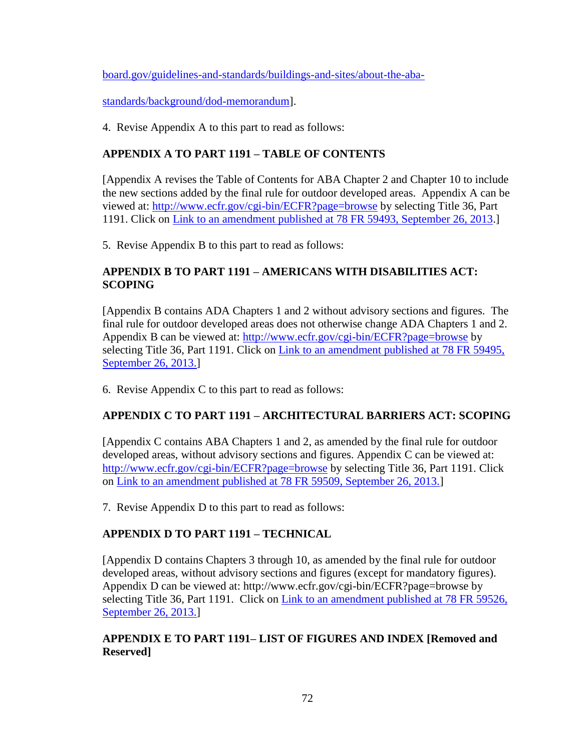[board.gov/guidelines-and-standards/buildings-and-sites/about-the-aba-](http://www.access-board.gov/guidelines-and-standards/buildings-and-sites/about-the-aba-standards/background/dod-memorandum)

[standards/background/dod-memorandum\]](http://www.access-board.gov/guidelines-and-standards/buildings-and-sites/about-the-aba-standards/background/dod-memorandum).

4. Revise Appendix A to this part to read as follows:

# **APPENDIX A TO PART 1191 – TABLE OF CONTENTS**

[Appendix A revises the Table of Contents for ABA Chapter 2 and Chapter 10 to include the new sections added by the final rule for outdoor developed areas. Appendix A can be viewed at:<http://www.ecfr.gov/cgi-bin/ECFR?page=browse> by selecting Title 36, Part 1191. Click on [Link to an amendment published at 78 FR 59493, September 26, 2013.](http://www.ecfr.gov/cgi-bin/text-idx?SID=f79a7413f418c2a92b16a30385b9fe9e&node=20130926y1.24)]

5. Revise Appendix B to this part to read as follows:

# **APPENDIX B TO PART 1191 – AMERICANS WITH DISABILITIES ACT: SCOPING**

[Appendix B contains ADA Chapters 1 and 2 without advisory sections and figures. The final rule for outdoor developed areas does not otherwise change ADA Chapters 1 and 2. Appendix B can be viewed at:<http://www.ecfr.gov/cgi-bin/ECFR?page=browse> by selecting Title 36, Part 1191. Click on Link to an amendment published at 78 FR 59495, [September 26, 2013.\]](http://www.ecfr.gov/cgi-bin/text-idx?SID=f79a7413f418c2a92b16a30385b9fe9e&node=20130926y1.25)

6. Revise Appendix C to this part to read as follows:

# **APPENDIX C TO PART 1191 – ARCHITECTURAL BARRIERS ACT: SCOPING**

[Appendix C contains ABA Chapters 1 and 2, as amended by the final rule for outdoor developed areas, without advisory sections and figures. Appendix C can be viewed at: <http://www.ecfr.gov/cgi-bin/ECFR?page=browse> by selecting Title 36, Part 1191. Click on [Link to an amendment published at 78 FR 59509, September 26, 2013.\]](http://www.ecfr.gov/cgi-bin/text-idx?SID=f79a7413f418c2a92b16a30385b9fe9e&node=20130926y1.26)

7. Revise Appendix D to this part to read as follows:

# **APPENDIX D TO PART 1191 – TECHNICAL**

[Appendix D contains Chapters 3 through 10, as amended by the final rule for outdoor developed areas, without advisory sections and figures (except for mandatory figures). Appendix D can be viewed at: http://www.ecfr.gov/cgi-bin/ECFR?page=browse by selecting Title 36, Part 1191. Click on Link to an amendment published at 78 FR 59526, [September 26, 2013.\]](http://www.ecfr.gov/cgi-bin/text-idx?SID=f79a7413f418c2a92b16a30385b9fe9e&node=20130926y1.27)

# **APPENDIX E TO PART 1191– LIST OF FIGURES AND INDEX [Removed and Reserved]**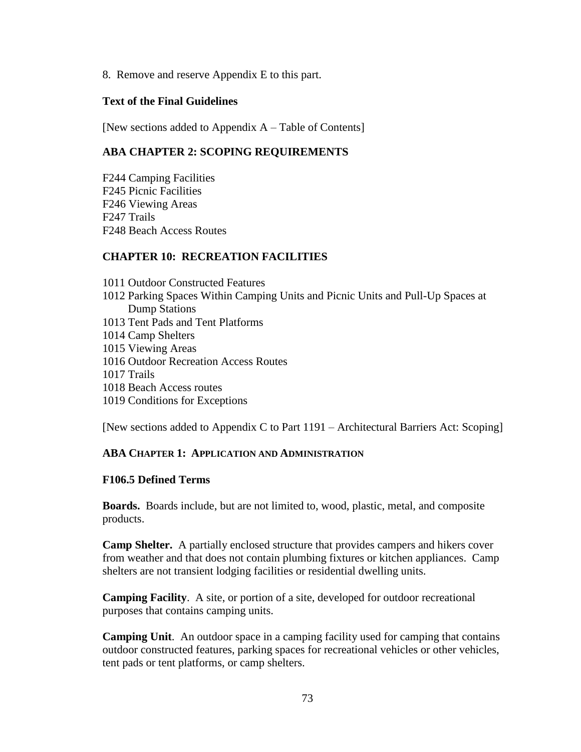8. Remove and reserve Appendix E to this part.

## **Text of the Final Guidelines**

[New sections added to Appendix A – Table of Contents]

# **ABA CHAPTER 2: SCOPING REQUIREMENTS**

F244 Camping Facilities F245 Picnic Facilities F246 Viewing Areas F247 Trails F248 Beach Access Routes

## **CHAPTER 10: RECREATION FACILITIES**

1011 Outdoor Constructed Features 1012 Parking Spaces Within Camping Units and Picnic Units and Pull-Up Spaces at Dump Stations 1013 Tent Pads and Tent Platforms 1014 Camp Shelters 1015 Viewing Areas 1016 Outdoor Recreation Access Routes 1017 Trails 1018 Beach Access routes 1019 Conditions for Exceptions

[New sections added to Appendix C to Part 1191 – Architectural Barriers Act: Scoping]

#### **ABA CHAPTER 1: APPLICATION AND ADMINISTRATION**

#### **F106.5 Defined Terms**

**Boards.** Boards include, but are not limited to, wood, plastic, metal, and composite products.

**Camp Shelter.** A partially enclosed structure that provides campers and hikers cover from weather and that does not contain plumbing fixtures or kitchen appliances. Camp shelters are not transient lodging facilities or residential dwelling units.

**Camping Facility**. A site, or portion of a site, developed for outdoor recreational purposes that contains camping units.

**Camping Unit**. An outdoor space in a camping facility used for camping that contains outdoor constructed features, parking spaces for recreational vehicles or other vehicles, tent pads or tent platforms, or camp shelters.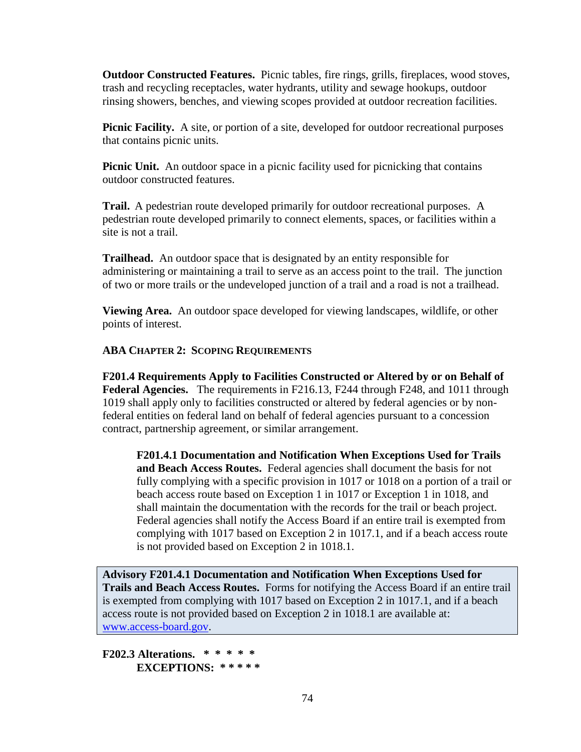**Outdoor Constructed Features.** Picnic tables, fire rings, grills, fireplaces, wood stoves, trash and recycling receptacles, water hydrants, utility and sewage hookups, outdoor rinsing showers, benches, and viewing scopes provided at outdoor recreation facilities.

**Picnic Facility.** A site, or portion of a site, developed for outdoor recreational purposes that contains picnic units.

**Picnic Unit.** An outdoor space in a picnic facility used for picnicking that contains outdoor constructed features.

**Trail.** A pedestrian route developed primarily for outdoor recreational purposes. A pedestrian route developed primarily to connect elements, spaces, or facilities within a site is not a trail.

**Trailhead.** An outdoor space that is designated by an entity responsible for administering or maintaining a trail to serve as an access point to the trail. The junction of two or more trails or the undeveloped junction of a trail and a road is not a trailhead.

**Viewing Area.** An outdoor space developed for viewing landscapes, wildlife, or other points of interest.

## **ABA CHAPTER 2: SCOPING REQUIREMENTS**

**F201.4 Requirements Apply to Facilities Constructed or Altered by or on Behalf of Federal Agencies.** The requirements in F216.13, F244 through F248, and 1011 through 1019 shall apply only to facilities constructed or altered by federal agencies or by nonfederal entities on federal land on behalf of federal agencies pursuant to a concession contract, partnership agreement, or similar arrangement.

**F201.4.1 Documentation and Notification When Exceptions Used for Trails and Beach Access Routes.** Federal agencies shall document the basis for not fully complying with a specific provision in 1017 or 1018 on a portion of a trail or beach access route based on Exception 1 in 1017 or Exception 1 in 1018, and shall maintain the documentation with the records for the trail or beach project. Federal agencies shall notify the Access Board if an entire trail is exempted from complying with 1017 based on Exception 2 in 1017.1, and if a beach access route is not provided based on Exception 2 in 1018.1.

**Advisory F201.4.1 Documentation and Notification When Exceptions Used for Trails and Beach Access Routes.** Forms for notifying the Access Board if an entire trail is exempted from complying with 1017 based on Exception 2 in 1017.1, and if a beach access route is not provided based on Exception 2 in 1018.1 are available at: [www.access-board.gov.](http://www.access-board.gov/)

**F202.3 Alterations. \* \* \* \* \* EXCEPTIONS: \* \* \* \* \***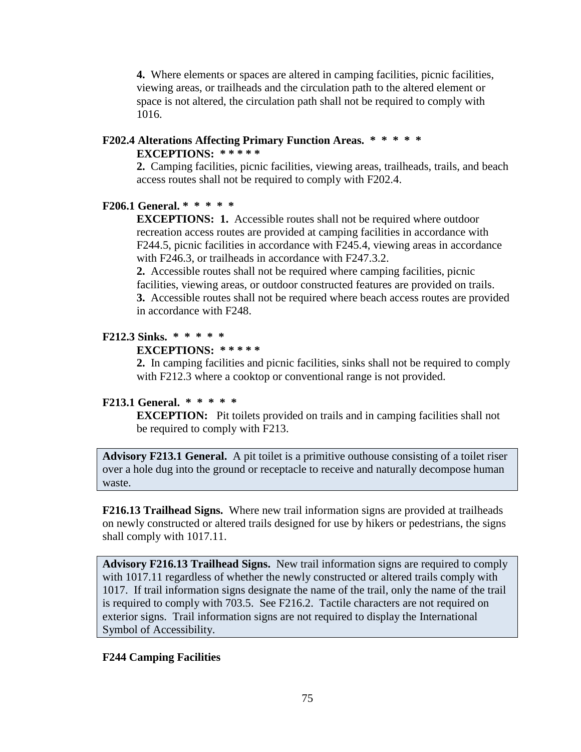**4.** Where elements or spaces are altered in camping facilities, picnic facilities, viewing areas, or trailheads and the circulation path to the altered element or space is not altered, the circulation path shall not be required to comply with 1016.

## **F202.4 Alterations Affecting Primary Function Areas. \* \* \* \* \***

#### **EXCEPTIONS: \* \* \* \* \***

**2.** Camping facilities, picnic facilities, viewing areas, trailheads, trails, and beach access routes shall not be required to comply with F202.4.

#### **F206.1 General. \* \* \* \* \***

**EXCEPTIONS: 1.** Accessible routes shall not be required where outdoor recreation access routes are provided at camping facilities in accordance with F244.5, picnic facilities in accordance with F245.4, viewing areas in accordance with F246.3, or trailheads in accordance with F247.3.2.

**2.** Accessible routes shall not be required where camping facilities, picnic facilities, viewing areas, or outdoor constructed features are provided on trails. **3.** Accessible routes shall not be required where beach access routes are provided in accordance with F248.

#### **F212.3 Sinks. \* \* \* \* \***

#### **EXCEPTIONS: \* \* \* \* \***

**2.** In camping facilities and picnic facilities, sinks shall not be required to comply with F212.3 where a cooktop or conventional range is not provided.

#### **F213.1 General. \* \* \* \* \***

**EXCEPTION:** Pit toilets provided on trails and in camping facilities shall not be required to comply with F213.

**Advisory F213.1 General.** A pit toilet is a primitive outhouse consisting of a toilet riser over a hole dug into the ground or receptacle to receive and naturally decompose human waste.

**F216.13 Trailhead Signs.** Where new trail information signs are provided at trailheads on newly constructed or altered trails designed for use by hikers or pedestrians, the signs shall comply with 1017.11.

**Advisory F216.13 Trailhead Signs.** New trail information signs are required to comply with 1017.11 regardless of whether the newly constructed or altered trails comply with 1017. If trail information signs designate the name of the trail, only the name of the trail is required to comply with 703.5. See F216.2. Tactile characters are not required on exterior signs. Trail information signs are not required to display the International Symbol of Accessibility.

# **F244 Camping Facilities**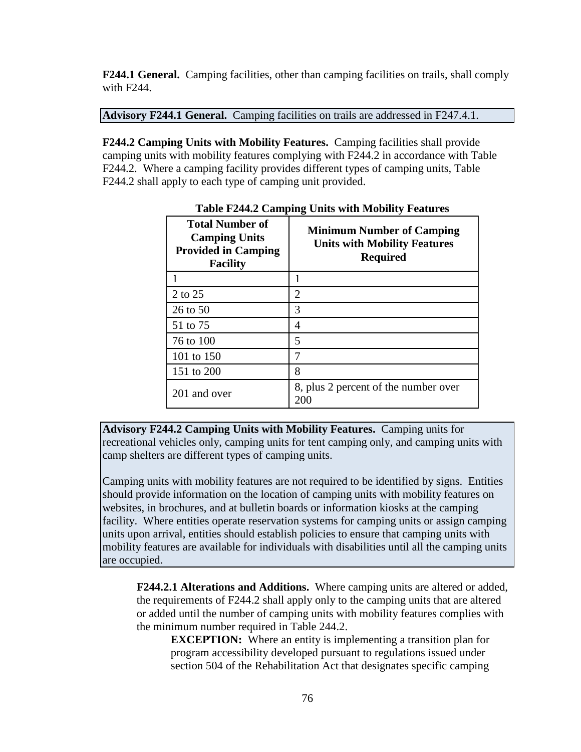**F244.1 General.** Camping facilities, other than camping facilities on trails, shall comply with F244.

**Advisory F244.1 General.** Camping facilities on trails are addressed in F247.4.1.

**F244.2 Camping Units with Mobility Features.** Camping facilities shall provide camping units with mobility features complying with F244.2 in accordance with Table F244.2. Where a camping facility provides different types of camping units, Table F244.2 shall apply to each type of camping unit provided.

| <b>Total Number of</b><br><b>Camping Units</b><br><b>Provided in Camping</b><br><b>Facility</b> | <b>Minimum Number of Camping</b><br><b>Units with Mobility Features</b><br><b>Required</b> |
|-------------------------------------------------------------------------------------------------|--------------------------------------------------------------------------------------------|
|                                                                                                 |                                                                                            |
| 2 to 25                                                                                         | 2                                                                                          |
| 26 to 50                                                                                        | 3                                                                                          |
| 51 to 75                                                                                        | 4                                                                                          |
| 76 to 100                                                                                       | 5                                                                                          |
| 101 to 150                                                                                      | 7                                                                                          |
| 151 to 200                                                                                      | 8                                                                                          |
| 201 and over                                                                                    | 8, plus 2 percent of the number over<br>200                                                |

**Table F244.2 Camping Units with Mobility Features**

**Advisory F244.2 Camping Units with Mobility Features.** Camping units for recreational vehicles only, camping units for tent camping only, and camping units with camp shelters are different types of camping units.

Camping units with mobility features are not required to be identified by signs. Entities should provide information on the location of camping units with mobility features on websites, in brochures, and at bulletin boards or information kiosks at the camping facility. Where entities operate reservation systems for camping units or assign camping units upon arrival, entities should establish policies to ensure that camping units with mobility features are available for individuals with disabilities until all the camping units are occupied.

**F244.2.1 Alterations and Additions.** Where camping units are altered or added, the requirements of F244.2 shall apply only to the camping units that are altered or added until the number of camping units with mobility features complies with the minimum number required in Table 244.2.

**EXCEPTION:** Where an entity is implementing a transition plan for program accessibility developed pursuant to regulations issued under section 504 of the Rehabilitation Act that designates specific camping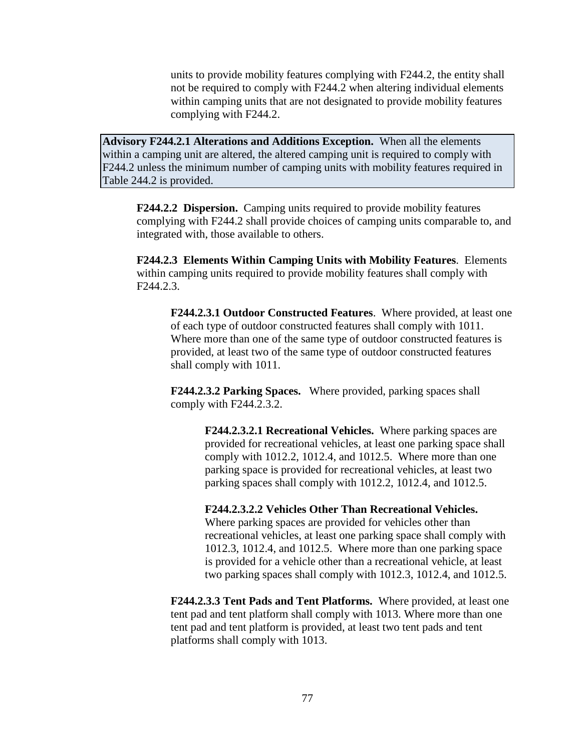units to provide mobility features complying with F244.2, the entity shall not be required to comply with F244.2 when altering individual elements within camping units that are not designated to provide mobility features complying with F244.2.

**Advisory F244.2.1 Alterations and Additions Exception.** When all the elements within a camping unit are altered, the altered camping unit is required to comply with F244.2 unless the minimum number of camping units with mobility features required in Table 244.2 is provided.

**F244.2.2 Dispersion.** Camping units required to provide mobility features complying with F244.2 shall provide choices of camping units comparable to, and integrated with, those available to others.

**F244.2.3 Elements Within Camping Units with Mobility Features**. Elements within camping units required to provide mobility features shall comply with F244.2.3.

**F244.2.3.1 Outdoor Constructed Features**. Where provided, at least one of each type of outdoor constructed features shall comply with 1011. Where more than one of the same type of outdoor constructed features is provided, at least two of the same type of outdoor constructed features shall comply with 1011.

**F244.2.3.2 Parking Spaces.** Where provided, parking spaces shall comply with F244.2.3.2.

> **F244.2.3.2.1 Recreational Vehicles.** Where parking spaces are provided for recreational vehicles, at least one parking space shall comply with 1012.2, 1012.4, and 1012.5. Where more than one parking space is provided for recreational vehicles, at least two parking spaces shall comply with 1012.2, 1012.4, and 1012.5.

> **F244.2.3.2.2 Vehicles Other Than Recreational Vehicles.**  Where parking spaces are provided for vehicles other than recreational vehicles, at least one parking space shall comply with 1012.3, 1012.4, and 1012.5. Where more than one parking space is provided for a vehicle other than a recreational vehicle, at least two parking spaces shall comply with 1012.3, 1012.4, and 1012.5.

**F244.2.3.3 Tent Pads and Tent Platforms.** Where provided, at least one tent pad and tent platform shall comply with 1013. Where more than one tent pad and tent platform is provided, at least two tent pads and tent platforms shall comply with 1013.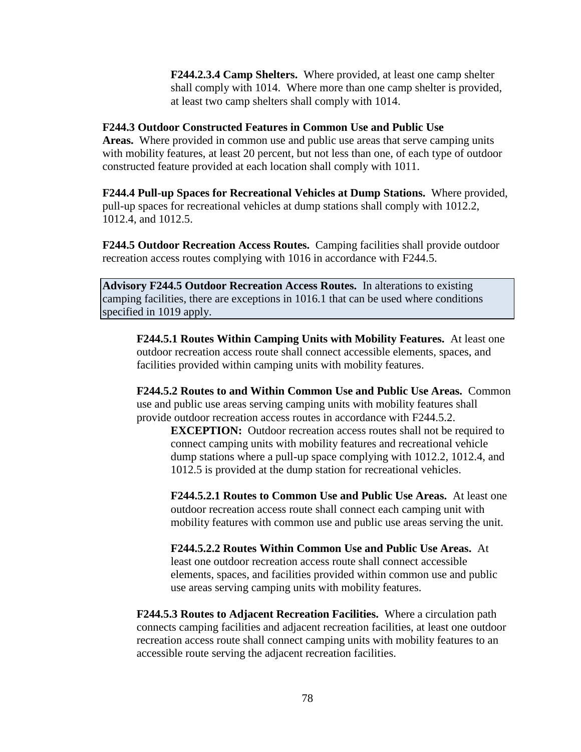**F244.2.3.4 Camp Shelters.** Where provided, at least one camp shelter shall comply with 1014. Where more than one camp shelter is provided, at least two camp shelters shall comply with 1014.

# **F244.3 Outdoor Constructed Features in Common Use and Public Use**

**Areas.** Where provided in common use and public use areas that serve camping units with mobility features, at least 20 percent, but not less than one, of each type of outdoor constructed feature provided at each location shall comply with 1011.

**F244.4 Pull-up Spaces for Recreational Vehicles at Dump Stations.** Where provided, pull-up spaces for recreational vehicles at dump stations shall comply with 1012.2, 1012.4, and 1012.5.

**F244.5 Outdoor Recreation Access Routes.** Camping facilities shall provide outdoor recreation access routes complying with 1016 in accordance with F244.5.

**Advisory F244.5 Outdoor Recreation Access Routes.** In alterations to existing camping facilities, there are exceptions in 1016.1 that can be used where conditions specified in 1019 apply.

**F244.5.1 Routes Within Camping Units with Mobility Features.** At least one outdoor recreation access route shall connect accessible elements, spaces, and facilities provided within camping units with mobility features.

**F244.5.2 Routes to and Within Common Use and Public Use Areas.** Common use and public use areas serving camping units with mobility features shall provide outdoor recreation access routes in accordance with F244.5.2.

**EXCEPTION:** Outdoor recreation access routes shall not be required to connect camping units with mobility features and recreational vehicle dump stations where a pull-up space complying with 1012.2, 1012.4, and 1012.5 is provided at the dump station for recreational vehicles.

**F244.5.2.1 Routes to Common Use and Public Use Areas.** At least one outdoor recreation access route shall connect each camping unit with mobility features with common use and public use areas serving the unit.

**F244.5.2.2 Routes Within Common Use and Public Use Areas.** At least one outdoor recreation access route shall connect accessible elements, spaces, and facilities provided within common use and public use areas serving camping units with mobility features.

**F244.5.3 Routes to Adjacent Recreation Facilities.** Where a circulation path connects camping facilities and adjacent recreation facilities, at least one outdoor recreation access route shall connect camping units with mobility features to an accessible route serving the adjacent recreation facilities.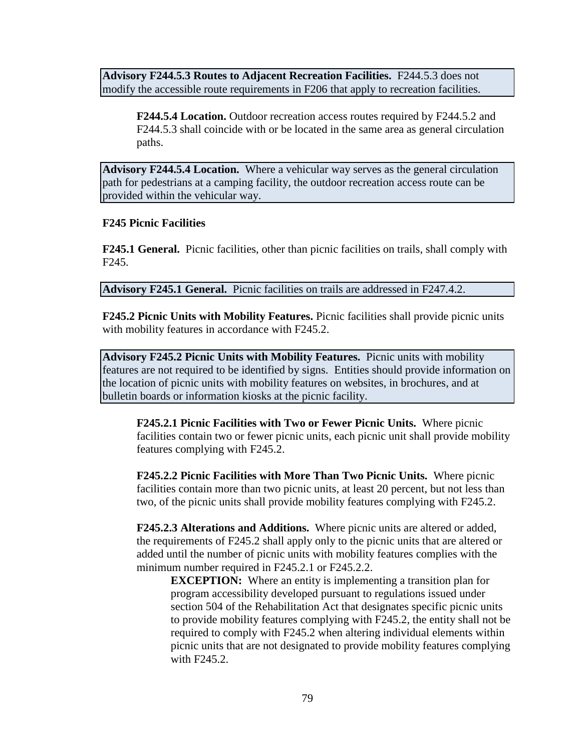**Advisory F244.5.3 Routes to Adjacent Recreation Facilities.** F244.5.3 does not modify the accessible route requirements in F206 that apply to recreation facilities.

**F244.5.4 Location.** Outdoor recreation access routes required by F244.5.2 and F244.5.3 shall coincide with or be located in the same area as general circulation paths.

**Advisory F244.5.4 Location.** Where a vehicular way serves as the general circulation path for pedestrians at a camping facility, the outdoor recreation access route can be provided within the vehicular way.

#### **F245 Picnic Facilities**

**F245.1 General.** Picnic facilities, other than picnic facilities on trails, shall comply with F245.

**Advisory F245.1 General.** Picnic facilities on trails are addressed in F247.4.2.

**F245.2 Picnic Units with Mobility Features.** Picnic facilities shall provide picnic units with mobility features in accordance with F245.2.

**Advisory F245.2 Picnic Units with Mobility Features.** Picnic units with mobility features are not required to be identified by signs. Entities should provide information on the location of picnic units with mobility features on websites, in brochures, and at bulletin boards or information kiosks at the picnic facility.

**F245.2.1 Picnic Facilities with Two or Fewer Picnic Units.** Where picnic facilities contain two or fewer picnic units, each picnic unit shall provide mobility features complying with F245.2.

**F245.2.2 Picnic Facilities with More Than Two Picnic Units.** Where picnic facilities contain more than two picnic units, at least 20 percent, but not less than two, of the picnic units shall provide mobility features complying with F245.2.

**F245.2.3 Alterations and Additions.** Where picnic units are altered or added, the requirements of F245.2 shall apply only to the picnic units that are altered or added until the number of picnic units with mobility features complies with the minimum number required in F245.2.1 or F245.2.2.

**EXCEPTION:** Where an entity is implementing a transition plan for program accessibility developed pursuant to regulations issued under section 504 of the Rehabilitation Act that designates specific picnic units to provide mobility features complying with F245.2, the entity shall not be required to comply with F245.2 when altering individual elements within picnic units that are not designated to provide mobility features complying with F245.2.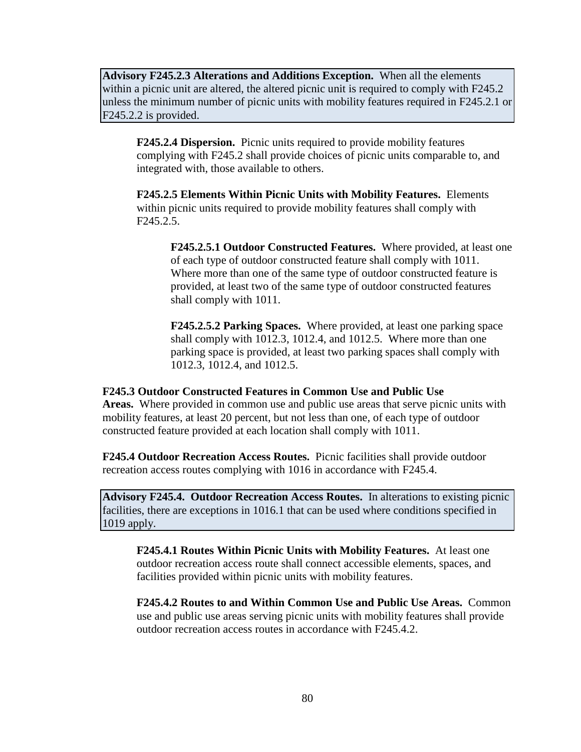**Advisory F245.2.3 Alterations and Additions Exception.** When all the elements within a picnic unit are altered, the altered picnic unit is required to comply with F245.2 unless the minimum number of picnic units with mobility features required in F245.2.1 or F245.2.2 is provided.

**F245.2.4 Dispersion.** Picnic units required to provide mobility features complying with F245.2 shall provide choices of picnic units comparable to, and integrated with, those available to others.

**F245.2.5 Elements Within Picnic Units with Mobility Features.** Elements within picnic units required to provide mobility features shall comply with F245.2.5.

**F245.2.5.1 Outdoor Constructed Features.** Where provided, at least one of each type of outdoor constructed feature shall comply with 1011. Where more than one of the same type of outdoor constructed feature is provided, at least two of the same type of outdoor constructed features shall comply with 1011.

**F245.2.5.2 Parking Spaces.** Where provided, at least one parking space shall comply with 1012.3, 1012.4, and 1012.5. Where more than one parking space is provided, at least two parking spaces shall comply with 1012.3, 1012.4, and 1012.5.

**F245.3 Outdoor Constructed Features in Common Use and Public Use Areas.** Where provided in common use and public use areas that serve picnic units with mobility features, at least 20 percent, but not less than one, of each type of outdoor

**F245.4 Outdoor Recreation Access Routes.** Picnic facilities shall provide outdoor recreation access routes complying with 1016 in accordance with F245.4.

constructed feature provided at each location shall comply with 1011.

**Advisory F245.4. Outdoor Recreation Access Routes.** In alterations to existing picnic facilities, there are exceptions in 1016.1 that can be used where conditions specified in 1019 apply.

**F245.4.1 Routes Within Picnic Units with Mobility Features.** At least one outdoor recreation access route shall connect accessible elements, spaces, and facilities provided within picnic units with mobility features.

**F245.4.2 Routes to and Within Common Use and Public Use Areas.** Common use and public use areas serving picnic units with mobility features shall provide outdoor recreation access routes in accordance with F245.4.2.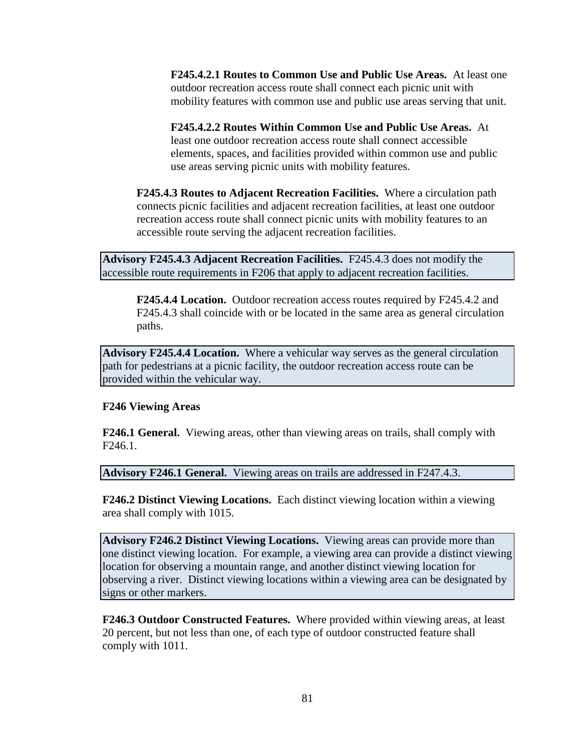**F245.4.2.1 Routes to Common Use and Public Use Areas.** At least one outdoor recreation access route shall connect each picnic unit with mobility features with common use and public use areas serving that unit.

**F245.4.2.2 Routes Within Common Use and Public Use Areas.** At least one outdoor recreation access route shall connect accessible elements, spaces, and facilities provided within common use and public use areas serving picnic units with mobility features.

**F245.4.3 Routes to Adjacent Recreation Facilities.** Where a circulation path connects picnic facilities and adjacent recreation facilities, at least one outdoor recreation access route shall connect picnic units with mobility features to an accessible route serving the adjacent recreation facilities.

**Advisory F245.4.3 Adjacent Recreation Facilities.** F245.4.3 does not modify the accessible route requirements in F206 that apply to adjacent recreation facilities.

**F245.4.4 Location.** Outdoor recreation access routes required by F245.4.2 and F245.4.3 shall coincide with or be located in the same area as general circulation paths.

**Advisory F245.4.4 Location.** Where a vehicular way serves as the general circulation path for pedestrians at a picnic facility, the outdoor recreation access route can be provided within the vehicular way.

#### **F246 Viewing Areas**

**F246.1 General.** Viewing areas, other than viewing areas on trails, shall comply with F246.1.

**Advisory F246.1 General.** Viewing areas on trails are addressed in F247.4.3.

**F246.2 Distinct Viewing Locations.** Each distinct viewing location within a viewing area shall comply with 1015.

**Advisory F246.2 Distinct Viewing Locations.** Viewing areas can provide more than one distinct viewing location. For example, a viewing area can provide a distinct viewing location for observing a mountain range, and another distinct viewing location for observing a river. Distinct viewing locations within a viewing area can be designated by signs or other markers.

**F246.3 Outdoor Constructed Features.** Where provided within viewing areas, at least 20 percent, but not less than one, of each type of outdoor constructed feature shall comply with 1011.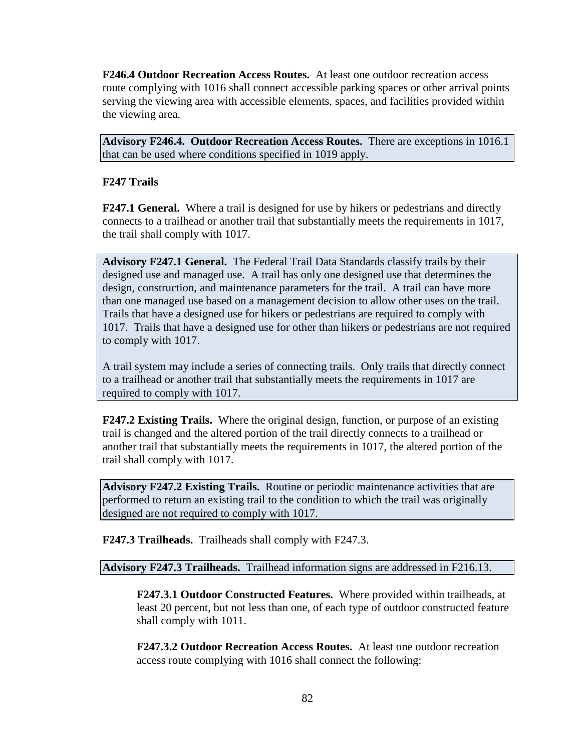**F246.4 Outdoor Recreation Access Routes.** At least one outdoor recreation access route complying with 1016 shall connect accessible parking spaces or other arrival points serving the viewing area with accessible elements, spaces, and facilities provided within the viewing area.

**Advisory F246.4. Outdoor Recreation Access Routes.** There are exceptions in 1016.1 that can be used where conditions specified in 1019 apply.

# **F247 Trails**

**F247.1 General.** Where a trail is designed for use by hikers or pedestrians and directly connects to a trailhead or another trail that substantially meets the requirements in 1017, the trail shall comply with 1017.

**Advisory F247.1 General.** The Federal Trail Data Standards classify trails by their designed use and managed use. A trail has only one designed use that determines the design, construction, and maintenance parameters for the trail. A trail can have more than one managed use based on a management decision to allow other uses on the trail. Trails that have a designed use for hikers or pedestrians are required to comply with 1017. Trails that have a designed use for other than hikers or pedestrians are not required to comply with 1017.

A trail system may include a series of connecting trails. Only trails that directly connect to a trailhead or another trail that substantially meets the requirements in 1017 are required to comply with 1017.

**F247.2 Existing Trails.** Where the original design, function, or purpose of an existing trail is changed and the altered portion of the trail directly connects to a trailhead or another trail that substantially meets the requirements in 1017, the altered portion of the trail shall comply with 1017.

**Advisory F247.2 Existing Trails.** Routine or periodic maintenance activities that are performed to return an existing trail to the condition to which the trail was originally designed are not required to comply with 1017.

**F247.3 Trailheads.** Trailheads shall comply with F247.3.

**Advisory F247.3 Trailheads.** Trailhead information signs are addressed in F216.13.

**F247.3.1 Outdoor Constructed Features.** Where provided within trailheads, at least 20 percent, but not less than one, of each type of outdoor constructed feature shall comply with 1011.

**F247.3.2 Outdoor Recreation Access Routes.** At least one outdoor recreation access route complying with 1016 shall connect the following: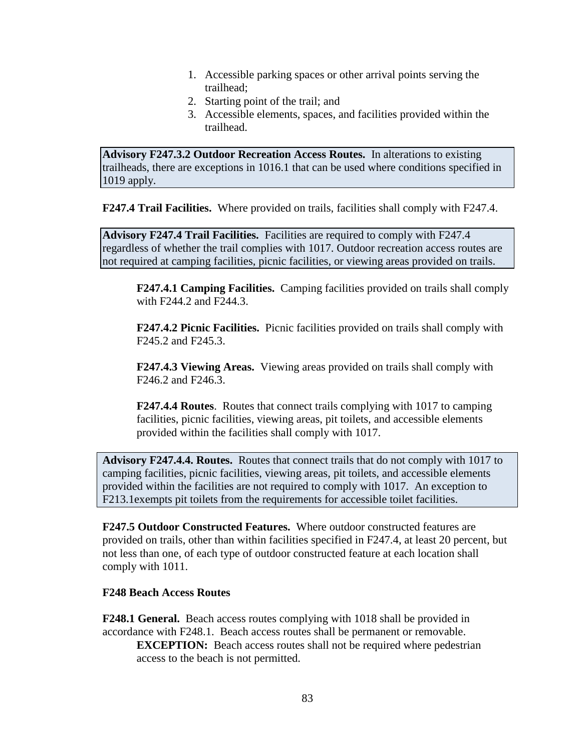- 1. Accessible parking spaces or other arrival points serving the trailhead;
- 2. Starting point of the trail; and
- 3. Accessible elements, spaces, and facilities provided within the trailhead.

**Advisory F247.3.2 Outdoor Recreation Access Routes.** In alterations to existing trailheads, there are exceptions in 1016.1 that can be used where conditions specified in 1019 apply.

**F247.4 Trail Facilities.** Where provided on trails, facilities shall comply with F247.4.

**Advisory F247.4 Trail Facilities.** Facilities are required to comply with F247.4 regardless of whether the trail complies with 1017. Outdoor recreation access routes are not required at camping facilities, picnic facilities, or viewing areas provided on trails.

**F247.4.1 Camping Facilities.** Camping facilities provided on trails shall comply with F244.2 and F244.3.

**F247.4.2 Picnic Facilities.** Picnic facilities provided on trails shall comply with F245.2 and F245.3.

**F247.4.3 Viewing Areas.** Viewing areas provided on trails shall comply with F246.2 and F246.3.

**F247.4.4 Routes**. Routes that connect trails complying with 1017 to camping facilities, picnic facilities, viewing areas, pit toilets, and accessible elements provided within the facilities shall comply with 1017.

**Advisory F247.4.4. Routes.** Routes that connect trails that do not comply with 1017 to camping facilities, picnic facilities, viewing areas, pit toilets, and accessible elements provided within the facilities are not required to comply with 1017. An exception to F213.1exempts pit toilets from the requirements for accessible toilet facilities.

**F247.5 Outdoor Constructed Features.** Where outdoor constructed features are provided on trails, other than within facilities specified in F247.4, at least 20 percent, but not less than one, of each type of outdoor constructed feature at each location shall comply with 1011.

#### **F248 Beach Access Routes**

**F248.1 General.** Beach access routes complying with 1018 shall be provided in accordance with F248.1. Beach access routes shall be permanent or removable. **EXCEPTION:** Beach access routes shall not be required where pedestrian access to the beach is not permitted.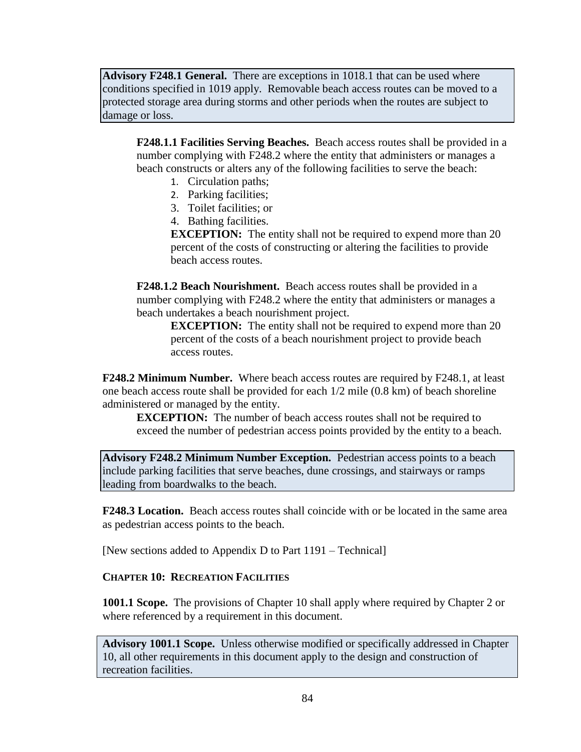**Advisory F248.1 General.** There are exceptions in 1018.1 that can be used where conditions specified in 1019 apply. Removable beach access routes can be moved to a protected storage area during storms and other periods when the routes are subject to damage or loss.

**F248.1.1 Facilities Serving Beaches.** Beach access routes shall be provided in a number complying with F248.2 where the entity that administers or manages a beach constructs or alters any of the following facilities to serve the beach:

- 1. Circulation paths;
- 2. Parking facilities;
- 3. Toilet facilities; or
- 4. Bathing facilities.

**EXCEPTION:** The entity shall not be required to expend more than 20 percent of the costs of constructing or altering the facilities to provide beach access routes.

**F248.1.2 Beach Nourishment.** Beach access routes shall be provided in a number complying with F248.2 where the entity that administers or manages a beach undertakes a beach nourishment project.

**EXCEPTION:** The entity shall not be required to expend more than 20 percent of the costs of a beach nourishment project to provide beach access routes.

**F248.2 Minimum Number.** Where beach access routes are required by F248.1, at least one beach access route shall be provided for each 1/2 mile (0.8 km) of beach shoreline administered or managed by the entity.

**EXCEPTION:** The number of beach access routes shall not be required to exceed the number of pedestrian access points provided by the entity to a beach.

**Advisory F248.2 Minimum Number Exception.** Pedestrian access points to a beach include parking facilities that serve beaches, dune crossings, and stairways or ramps leading from boardwalks to the beach.

**F248.3 Location.** Beach access routes shall coincide with or be located in the same area as pedestrian access points to the beach.

[New sections added to Appendix D to Part 1191 – Technical]

#### **CHAPTER 10: RECREATION FACILITIES**

**1001.1 Scope.** The provisions of Chapter 10 shall apply where required by Chapter 2 or where referenced by a requirement in this document.

**Advisory 1001.1 Scope.** Unless otherwise modified or specifically addressed in Chapter 10, all other requirements in this document apply to the design and construction of recreation facilities.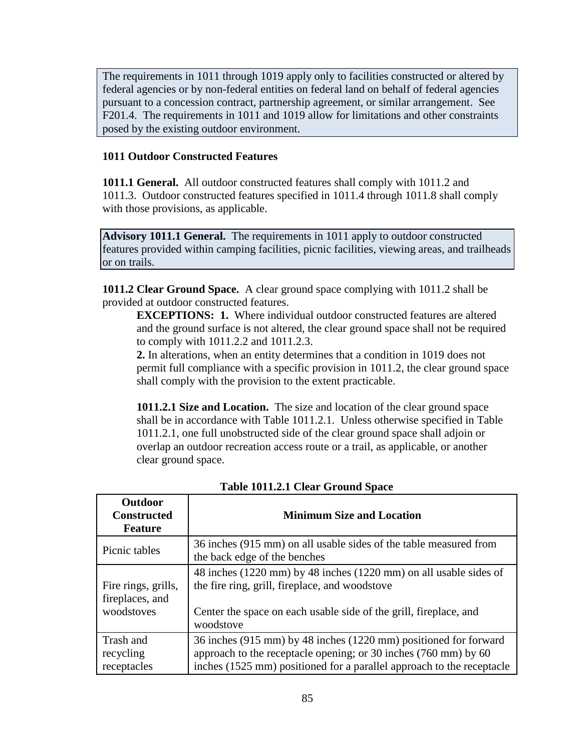The requirements in 1011 through 1019 apply only to facilities constructed or altered by federal agencies or by non-federal entities on federal land on behalf of federal agencies pursuant to a concession contract, partnership agreement, or similar arrangement. See F201.4. The requirements in 1011 and 1019 allow for limitations and other constraints posed by the existing outdoor environment.

## **1011 Outdoor Constructed Features**

**1011.1 General.** All outdoor constructed features shall comply with 1011.2 and 1011.3. Outdoor constructed features specified in 1011.4 through 1011.8 shall comply with those provisions, as applicable.

**Advisory 1011.1 General.** The requirements in 1011 apply to outdoor constructed features provided within camping facilities, picnic facilities, viewing areas, and trailheads or on trails.

**1011.2 Clear Ground Space.** A clear ground space complying with 1011.2 shall be provided at outdoor constructed features.

**EXCEPTIONS: 1.** Where individual outdoor constructed features are altered and the ground surface is not altered, the clear ground space shall not be required to comply with 1011.2.2 and 1011.2.3.

**2.** In alterations, when an entity determines that a condition in 1019 does not permit full compliance with a specific provision in 1011.2, the clear ground space shall comply with the provision to the extent practicable.

**1011.2.1 Size and Location.** The size and location of the clear ground space shall be in accordance with Table 1011.2.1. Unless otherwise specified in Table 1011.2.1, one full unobstructed side of the clear ground space shall adjoin or overlap an outdoor recreation access route or a trail, as applicable, or another clear ground space.

| <b>Outdoor</b><br><b>Constructed</b><br><b>Feature</b> | <b>Minimum Size and Location</b>                                                                                                                                                                             |
|--------------------------------------------------------|--------------------------------------------------------------------------------------------------------------------------------------------------------------------------------------------------------------|
| Picnic tables                                          | 36 inches (915 mm) on all usable sides of the table measured from<br>the back edge of the benches                                                                                                            |
| Fire rings, grills,<br>fireplaces, and<br>woodstoves   | 48 inches (1220 mm) by 48 inches (1220 mm) on all usable sides of<br>the fire ring, grill, fireplace, and woodstove<br>Center the space on each usable side of the grill, fireplace, and<br>woodstove        |
| Trash and<br>recycling<br>receptacles                  | 36 inches (915 mm) by 48 inches (1220 mm) positioned for forward<br>approach to the receptacle opening; or 30 inches (760 mm) by 60<br>inches (1525 mm) positioned for a parallel approach to the receptacle |

**Table 1011.2.1 Clear Ground Space**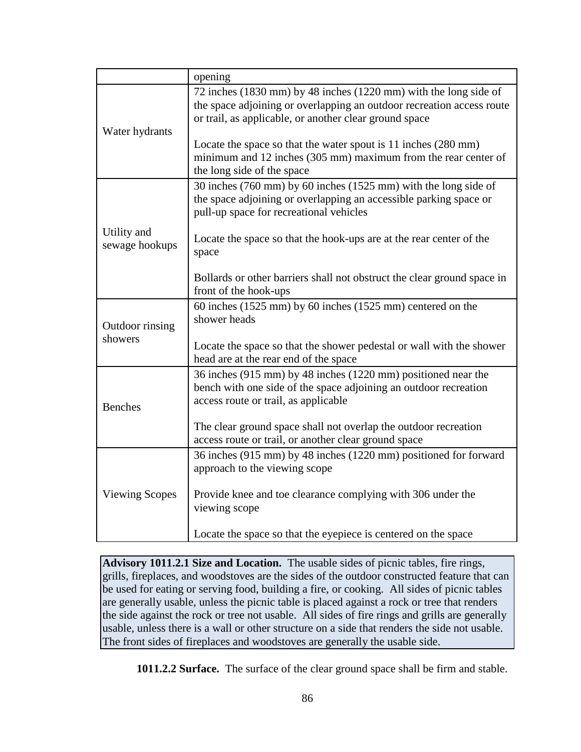|                               | opening                                                                                                                                                                                                                                                                                                                                 |
|-------------------------------|-----------------------------------------------------------------------------------------------------------------------------------------------------------------------------------------------------------------------------------------------------------------------------------------------------------------------------------------|
| Water hydrants                | 72 inches (1830 mm) by 48 inches (1220 mm) with the long side of<br>the space adjoining or overlapping an outdoor recreation access route<br>or trail, as applicable, or another clear ground space<br>Locate the space so that the water spout is 11 inches (280 mm)<br>minimum and 12 inches (305 mm) maximum from the rear center of |
|                               | the long side of the space<br>30 inches (760 mm) by 60 inches (1525 mm) with the long side of                                                                                                                                                                                                                                           |
|                               | the space adjoining or overlapping an accessible parking space or<br>pull-up space for recreational vehicles                                                                                                                                                                                                                            |
| Utility and<br>sewage hookups | Locate the space so that the hook-ups are at the rear center of the<br>space                                                                                                                                                                                                                                                            |
|                               | Bollards or other barriers shall not obstruct the clear ground space in<br>front of the hook-ups                                                                                                                                                                                                                                        |
| Outdoor rinsing<br>showers    | 60 inches $(1525 \text{ mm})$ by 60 inches $(1525 \text{ mm})$ centered on the<br>shower heads                                                                                                                                                                                                                                          |
|                               | Locate the space so that the shower pedestal or wall with the shower<br>head are at the rear end of the space                                                                                                                                                                                                                           |
| <b>Benches</b>                | 36 inches (915 mm) by 48 inches (1220 mm) positioned near the<br>bench with one side of the space adjoining an outdoor recreation<br>access route or trail, as applicable                                                                                                                                                               |
|                               | The clear ground space shall not overlap the outdoor recreation<br>access route or trail, or another clear ground space                                                                                                                                                                                                                 |
| <b>Viewing Scopes</b>         | 36 inches (915 mm) by 48 inches (1220 mm) positioned for forward<br>approach to the viewing scope                                                                                                                                                                                                                                       |
|                               | Provide knee and toe clearance complying with 306 under the<br>viewing scope                                                                                                                                                                                                                                                            |
|                               | Locate the space so that the eyepiece is centered on the space                                                                                                                                                                                                                                                                          |

**Advisory 1011.2.1 Size and Location.** The usable sides of picnic tables, fire rings, grills, fireplaces, and woodstoves are the sides of the outdoor constructed feature that can be used for eating or serving food, building a fire, or cooking. All sides of picnic tables are generally usable, unless the picnic table is placed against a rock or tree that renders the side against the rock or tree not usable. All sides of fire rings and grills are generally usable, unless there is a wall or other structure on a side that renders the side not usable. The front sides of fireplaces and woodstoves are generally the usable side.

**1011.2.2 Surface.** The surface of the clear ground space shall be firm and stable.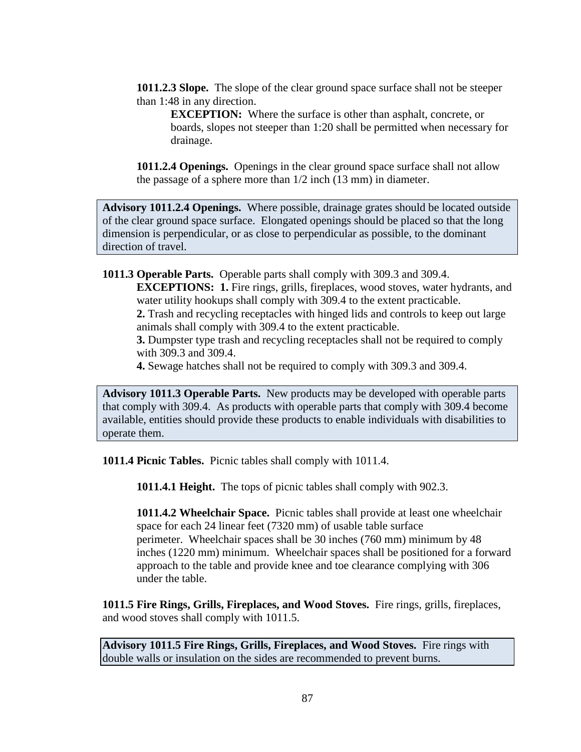**1011.2.3 Slope.** The slope of the clear ground space surface shall not be steeper than 1:48 in any direction.

**EXCEPTION:** Where the surface is other than asphalt, concrete, or boards, slopes not steeper than 1:20 shall be permitted when necessary for drainage.

**1011.2.4 Openings.** Openings in the clear ground space surface shall not allow the passage of a sphere more than 1/2 inch (13 mm) in diameter.

**Advisory 1011.2.4 Openings.** Where possible, drainage grates should be located outside of the clear ground space surface. Elongated openings should be placed so that the long dimension is perpendicular, or as close to perpendicular as possible, to the dominant direction of travel.

**1011.3 Operable Parts.** Operable parts shall comply with 309.3 and 309.4.

**EXCEPTIONS: 1.** Fire rings, grills, fireplaces, wood stoves, water hydrants, and water utility hookups shall comply with 309.4 to the extent practicable.

**2.** Trash and recycling receptacles with hinged lids and controls to keep out large animals shall comply with 309.4 to the extent practicable.

**3.** Dumpster type trash and recycling receptacles shall not be required to comply with 309.3 and 309.4.

**4.** Sewage hatches shall not be required to comply with 309.3 and 309.4.

**Advisory 1011.3 Operable Parts.** New products may be developed with operable parts that comply with 309.4. As products with operable parts that comply with 309.4 become available, entities should provide these products to enable individuals with disabilities to operate them.

**1011.4 Picnic Tables.** Picnic tables shall comply with 1011.4.

**1011.4.1 Height.** The tops of picnic tables shall comply with 902.3.

**1011.4.2 Wheelchair Space.** Picnic tables shall provide at least one wheelchair space for each 24 linear feet (7320 mm) of usable table surface perimeter. Wheelchair spaces shall be 30 inches (760 mm) minimum by 48 inches (1220 mm) minimum. Wheelchair spaces shall be positioned for a forward approach to the table and provide knee and toe clearance complying with 306 under the table.

**1011.5 Fire Rings, Grills, Fireplaces, and Wood Stoves.** Fire rings, grills, fireplaces, and wood stoves shall comply with 1011.5.

**Advisory 1011.5 Fire Rings, Grills, Fireplaces, and Wood Stoves.** Fire rings with double walls or insulation on the sides are recommended to prevent burns.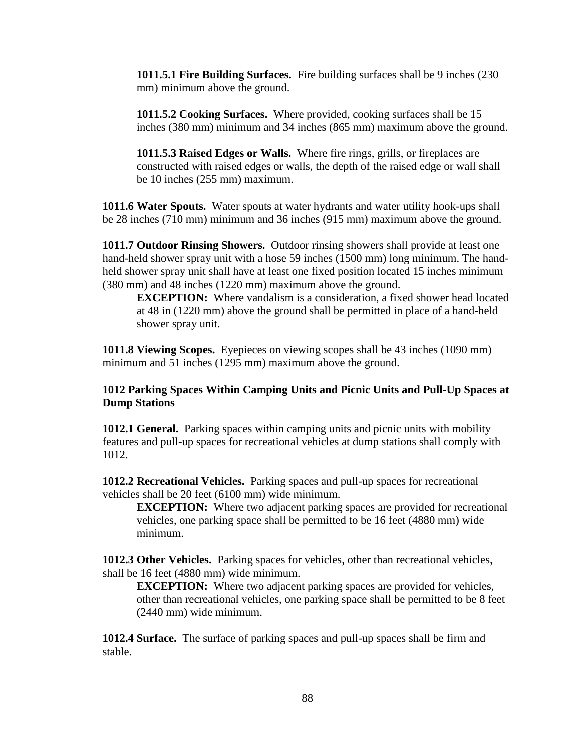**1011.5.1 Fire Building Surfaces.** Fire building surfaces shall be 9 inches (230 mm) minimum above the ground.

**1011.5.2 Cooking Surfaces.** Where provided, cooking surfaces shall be 15 inches (380 mm) minimum and 34 inches (865 mm) maximum above the ground.

**1011.5.3 Raised Edges or Walls.** Where fire rings, grills, or fireplaces are constructed with raised edges or walls, the depth of the raised edge or wall shall be 10 inches (255 mm) maximum.

**1011.6 Water Spouts.** Water spouts at water hydrants and water utility hook-ups shall be 28 inches (710 mm) minimum and 36 inches (915 mm) maximum above the ground.

**1011.7 Outdoor Rinsing Showers.** Outdoor rinsing showers shall provide at least one hand-held shower spray unit with a hose 59 inches (1500 mm) long minimum. The handheld shower spray unit shall have at least one fixed position located 15 inches minimum (380 mm) and 48 inches (1220 mm) maximum above the ground.

**EXCEPTION:** Where vandalism is a consideration, a fixed shower head located at 48 in (1220 mm) above the ground shall be permitted in place of a hand-held shower spray unit.

**1011.8 Viewing Scopes.** Eyepieces on viewing scopes shall be 43 inches (1090 mm) minimum and 51 inches (1295 mm) maximum above the ground.

**1012 Parking Spaces Within Camping Units and Picnic Units and Pull-Up Spaces at Dump Stations** 

**1012.1 General.** Parking spaces within camping units and picnic units with mobility features and pull-up spaces for recreational vehicles at dump stations shall comply with 1012.

**1012.2 Recreational Vehicles.** Parking spaces and pull-up spaces for recreational vehicles shall be 20 feet (6100 mm) wide minimum.

**EXCEPTION:** Where two adjacent parking spaces are provided for recreational vehicles, one parking space shall be permitted to be 16 feet (4880 mm) wide minimum.

**1012.3 Other Vehicles.** Parking spaces for vehicles, other than recreational vehicles, shall be 16 feet (4880 mm) wide minimum.

**EXCEPTION:** Where two adjacent parking spaces are provided for vehicles, other than recreational vehicles, one parking space shall be permitted to be 8 feet (2440 mm) wide minimum.

**1012.4 Surface.** The surface of parking spaces and pull-up spaces shall be firm and stable.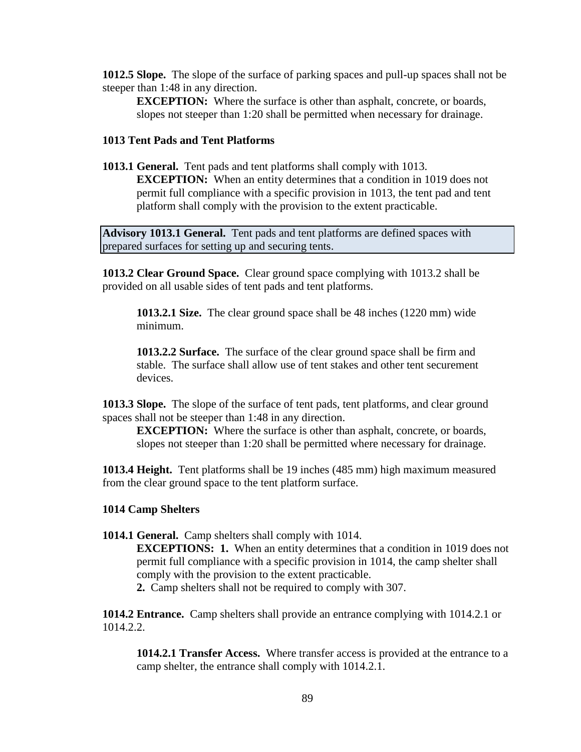**1012.5 Slope.** The slope of the surface of parking spaces and pull-up spaces shall not be steeper than 1:48 in any direction.

**EXCEPTION:** Where the surface is other than asphalt, concrete, or boards, slopes not steeper than 1:20 shall be permitted when necessary for drainage.

#### **1013 Tent Pads and Tent Platforms**

**1013.1 General.** Tent pads and tent platforms shall comply with 1013.

**EXCEPTION:** When an entity determines that a condition in 1019 does not permit full compliance with a specific provision in 1013, the tent pad and tent platform shall comply with the provision to the extent practicable.

**Advisory 1013.1 General.** Tent pads and tent platforms are defined spaces with prepared surfaces for setting up and securing tents.

**1013.2 Clear Ground Space.** Clear ground space complying with 1013.2 shall be provided on all usable sides of tent pads and tent platforms.

**1013.2.1 Size.** The clear ground space shall be 48 inches (1220 mm) wide minimum.

**1013.2.2 Surface.** The surface of the clear ground space shall be firm and stable. The surface shall allow use of tent stakes and other tent securement devices.

**1013.3 Slope.** The slope of the surface of tent pads, tent platforms, and clear ground spaces shall not be steeper than 1:48 in any direction.

**EXCEPTION:** Where the surface is other than asphalt, concrete, or boards, slopes not steeper than 1:20 shall be permitted where necessary for drainage.

**1013.4 Height.** Tent platforms shall be 19 inches (485 mm) high maximum measured from the clear ground space to the tent platform surface.

#### **1014 Camp Shelters**

**1014.1 General.** Camp shelters shall comply with 1014.

**EXCEPTIONS: 1.** When an entity determines that a condition in 1019 does not permit full compliance with a specific provision in 1014, the camp shelter shall comply with the provision to the extent practicable.

**2.** Camp shelters shall not be required to comply with 307.

**1014.2 Entrance.** Camp shelters shall provide an entrance complying with 1014.2.1 or 1014.2.2.

**1014.2.1 Transfer Access.** Where transfer access is provided at the entrance to a camp shelter, the entrance shall comply with 1014.2.1.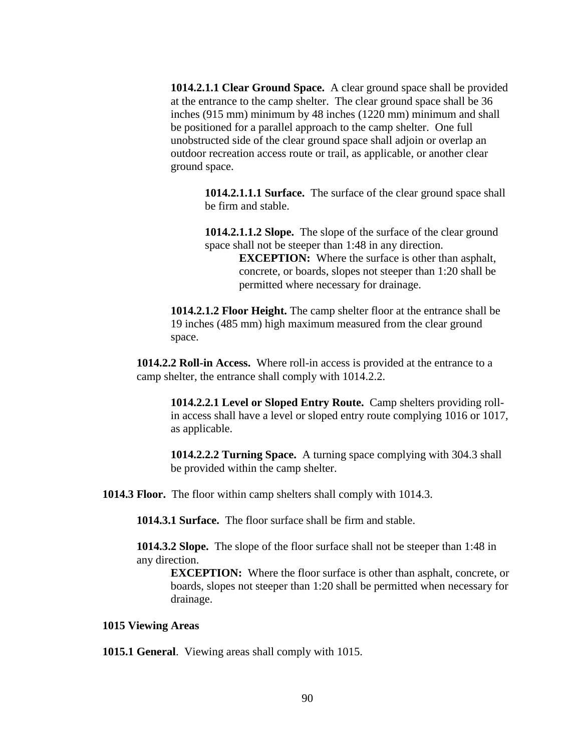**1014.2.1.1 Clear Ground Space.** A clear ground space shall be provided at the entrance to the camp shelter. The clear ground space shall be 36 inches (915 mm) minimum by 48 inches (1220 mm) minimum and shall be positioned for a parallel approach to the camp shelter. One full unobstructed side of the clear ground space shall adjoin or overlap an outdoor recreation access route or trail, as applicable, or another clear ground space.

**1014.2.1.1.1 Surface.** The surface of the clear ground space shall be firm and stable.

**1014.2.1.1.2 Slope.** The slope of the surface of the clear ground space shall not be steeper than 1:48 in any direction. **EXCEPTION:** Where the surface is other than asphalt,

concrete, or boards, slopes not steeper than 1:20 shall be permitted where necessary for drainage.

**1014.2.1.2 Floor Height.** The camp shelter floor at the entrance shall be 19 inches (485 mm) high maximum measured from the clear ground space.

**1014.2.2 Roll-in Access.** Where roll-in access is provided at the entrance to a camp shelter, the entrance shall comply with 1014.2.2.

**1014.2.2.1 Level or Sloped Entry Route.** Camp shelters providing rollin access shall have a level or sloped entry route complying 1016 or 1017, as applicable.

**1014.2.2.2 Turning Space.** A turning space complying with 304.3 shall be provided within the camp shelter.

**1014.3 Floor.** The floor within camp shelters shall comply with 1014.3.

**1014.3.1 Surface.** The floor surface shall be firm and stable.

**1014.3.2 Slope.** The slope of the floor surface shall not be steeper than 1:48 in any direction.

**EXCEPTION:** Where the floor surface is other than asphalt, concrete, or boards, slopes not steeper than 1:20 shall be permitted when necessary for drainage.

#### **1015 Viewing Areas**

**1015.1 General**. Viewing areas shall comply with 1015.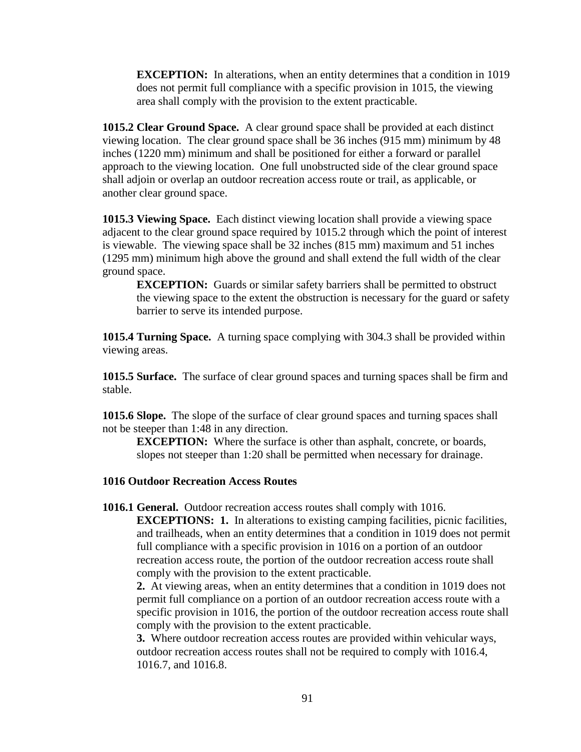**EXCEPTION:** In alterations, when an entity determines that a condition in 1019 does not permit full compliance with a specific provision in 1015, the viewing area shall comply with the provision to the extent practicable.

**1015.2 Clear Ground Space.** A clear ground space shall be provided at each distinct viewing location. The clear ground space shall be 36 inches (915 mm) minimum by 48 inches (1220 mm) minimum and shall be positioned for either a forward or parallel approach to the viewing location. One full unobstructed side of the clear ground space shall adjoin or overlap an outdoor recreation access route or trail, as applicable, or another clear ground space.

**1015.3 Viewing Space.** Each distinct viewing location shall provide a viewing space adjacent to the clear ground space required by 1015.2 through which the point of interest is viewable. The viewing space shall be 32 inches (815 mm) maximum and 51 inches (1295 mm) minimum high above the ground and shall extend the full width of the clear ground space.

**EXCEPTION:** Guards or similar safety barriers shall be permitted to obstruct the viewing space to the extent the obstruction is necessary for the guard or safety barrier to serve its intended purpose.

**1015.4 Turning Space.** A turning space complying with 304.3 shall be provided within viewing areas.

**1015.5 Surface.** The surface of clear ground spaces and turning spaces shall be firm and stable.

**1015.6 Slope.** The slope of the surface of clear ground spaces and turning spaces shall not be steeper than 1:48 in any direction.

**EXCEPTION:** Where the surface is other than asphalt, concrete, or boards, slopes not steeper than 1:20 shall be permitted when necessary for drainage.

#### **1016 Outdoor Recreation Access Routes**

**1016.1 General.** Outdoor recreation access routes shall comply with 1016. **EXCEPTIONS: 1.** In alterations to existing camping facilities, picnic facilities, and trailheads, when an entity determines that a condition in 1019 does not permit full compliance with a specific provision in 1016 on a portion of an outdoor recreation access route, the portion of the outdoor recreation access route shall comply with the provision to the extent practicable.

**2.** At viewing areas, when an entity determines that a condition in 1019 does not permit full compliance on a portion of an outdoor recreation access route with a specific provision in 1016, the portion of the outdoor recreation access route shall comply with the provision to the extent practicable.

**3.** Where outdoor recreation access routes are provided within vehicular ways, outdoor recreation access routes shall not be required to comply with 1016.4, 1016.7, and 1016.8.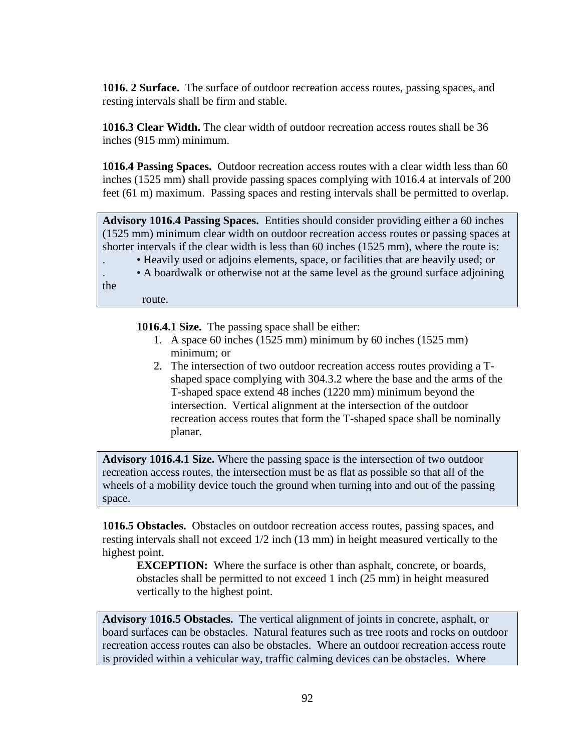**1016. 2 Surface.** The surface of outdoor recreation access routes, passing spaces, and resting intervals shall be firm and stable.

**1016.3 Clear Width.** The clear width of outdoor recreation access routes shall be 36 inches (915 mm) minimum.

**1016.4 Passing Spaces.** Outdoor recreation access routes with a clear width less than 60 inches (1525 mm) shall provide passing spaces complying with 1016.4 at intervals of 200 feet (61 m) maximum. Passing spaces and resting intervals shall be permitted to overlap.

**Advisory 1016.4 Passing Spaces.** Entities should consider providing either a 60 inches (1525 mm) minimum clear width on outdoor recreation access routes or passing spaces at shorter intervals if the clear width is less than 60 inches (1525 mm), where the route is:

. • Heavily used or adjoins elements, space, or facilities that are heavily used; or

. • A boardwalk or otherwise not at the same level as the ground surface adjoining

the

route.

**1016.4.1 Size.** The passing space shall be either:

- 1. A space 60 inches (1525 mm) minimum by 60 inches (1525 mm) minimum; or
- 2. The intersection of two outdoor recreation access routes providing a Tshaped space complying with 304.3.2 where the base and the arms of the T-shaped space extend 48 inches (1220 mm) minimum beyond the intersection. Vertical alignment at the intersection of the outdoor recreation access routes that form the T-shaped space shall be nominally planar.

**Advisory 1016.4.1 Size.** Where the passing space is the intersection of two outdoor recreation access routes, the intersection must be as flat as possible so that all of the wheels of a mobility device touch the ground when turning into and out of the passing space.

**1016.5 Obstacles.** Obstacles on outdoor recreation access routes, passing spaces, and resting intervals shall not exceed 1/2 inch (13 mm) in height measured vertically to the highest point.

**EXCEPTION:** Where the surface is other than asphalt, concrete, or boards, obstacles shall be permitted to not exceed 1 inch (25 mm) in height measured vertically to the highest point.

**Advisory 1016.5 Obstacles.** The vertical alignment of joints in concrete, asphalt, or board surfaces can be obstacles. Natural features such as tree roots and rocks on outdoor recreation access routes can also be obstacles. Where an outdoor recreation access route is provided within a vehicular way, traffic calming devices can be obstacles. Where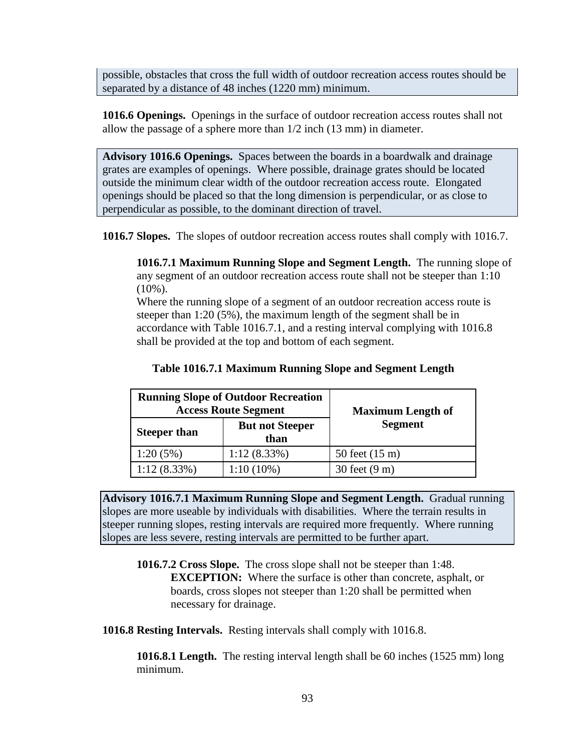possible, obstacles that cross the full width of outdoor recreation access routes should be separated by a distance of 48 inches (1220 mm) minimum.

**1016.6 Openings.** Openings in the surface of outdoor recreation access routes shall not allow the passage of a sphere more than 1/2 inch (13 mm) in diameter.

**Advisory 1016.6 Openings.** Spaces between the boards in a boardwalk and drainage grates are examples of openings. Where possible, drainage grates should be located outside the minimum clear width of the outdoor recreation access route. Elongated openings should be placed so that the long dimension is perpendicular, or as close to perpendicular as possible, to the dominant direction of travel.

**1016.7 Slopes.** The slopes of outdoor recreation access routes shall comply with 1016.7.

**1016.7.1 Maximum Running Slope and Segment Length.** The running slope of any segment of an outdoor recreation access route shall not be steeper than 1:10  $(10\%)$ .

Where the running slope of a segment of an outdoor recreation access route is steeper than 1:20 (5%), the maximum length of the segment shall be in accordance with Table 1016.7.1, and a resting interval complying with 1016.8 shall be provided at the top and bottom of each segment.

| <b>Running Slope of Outdoor Recreation</b><br><b>Access Route Segment</b> |                                | <b>Maximum Length of</b> |
|---------------------------------------------------------------------------|--------------------------------|--------------------------|
| <b>Steeper than</b>                                                       | <b>But not Steeper</b><br>than | <b>Segment</b>           |
| 1:20(5%)                                                                  | $1:12(8.33\%)$                 | 50 feet (15 m)           |
| $1:12(8.33\%)$                                                            | $1:10(10\%)$                   | 30 feet (9 m)            |

**Advisory 1016.7.1 Maximum Running Slope and Segment Length.** Gradual running slopes are more useable by individuals with disabilities. Where the terrain results in steeper running slopes, resting intervals are required more frequently. Where running slopes are less severe, resting intervals are permitted to be further apart.

**1016.7.2 Cross Slope.** The cross slope shall not be steeper than 1:48. **EXCEPTION:** Where the surface is other than concrete, asphalt, or boards, cross slopes not steeper than 1:20 shall be permitted when necessary for drainage.

**1016.8 Resting Intervals.** Resting intervals shall comply with 1016.8.

**1016.8.1 Length.** The resting interval length shall be 60 inches (1525 mm) long minimum.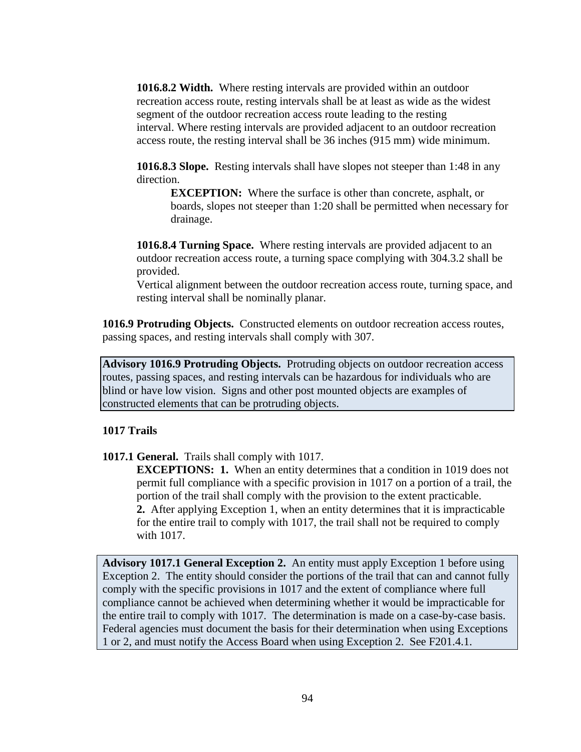**1016.8.2 Width.** Where resting intervals are provided within an outdoor recreation access route, resting intervals shall be at least as wide as the widest segment of the outdoor recreation access route leading to the resting interval. Where resting intervals are provided adjacent to an outdoor recreation access route, the resting interval shall be 36 inches (915 mm) wide minimum.

**1016.8.3 Slope.** Resting intervals shall have slopes not steeper than 1:48 in any direction.

**EXCEPTION:** Where the surface is other than concrete, asphalt, or boards, slopes not steeper than 1:20 shall be permitted when necessary for drainage.

**1016.8.4 Turning Space.** Where resting intervals are provided adjacent to an outdoor recreation access route, a turning space complying with 304.3.2 shall be provided.

Vertical alignment between the outdoor recreation access route, turning space, and resting interval shall be nominally planar.

**1016.9 Protruding Objects.** Constructed elements on outdoor recreation access routes, passing spaces, and resting intervals shall comply with 307.

**Advisory 1016.9 Protruding Objects.** Protruding objects on outdoor recreation access routes, passing spaces, and resting intervals can be hazardous for individuals who are blind or have low vision. Signs and other post mounted objects are examples of constructed elements that can be protruding objects.

#### **1017 Trails**

**1017.1 General.** Trails shall comply with 1017.

**EXCEPTIONS: 1.** When an entity determines that a condition in 1019 does not permit full compliance with a specific provision in 1017 on a portion of a trail, the portion of the trail shall comply with the provision to the extent practicable. **2.** After applying Exception 1, when an entity determines that it is impracticable for the entire trail to comply with 1017, the trail shall not be required to comply with 1017.

**Advisory 1017.1 General Exception 2.** An entity must apply Exception 1 before using Exception 2. The entity should consider the portions of the trail that can and cannot fully comply with the specific provisions in 1017 and the extent of compliance where full compliance cannot be achieved when determining whether it would be impracticable for the entire trail to comply with 1017. The determination is made on a case-by-case basis. Federal agencies must document the basis for their determination when using Exceptions 1 or 2, and must notify the Access Board when using Exception 2. See F201.4.1.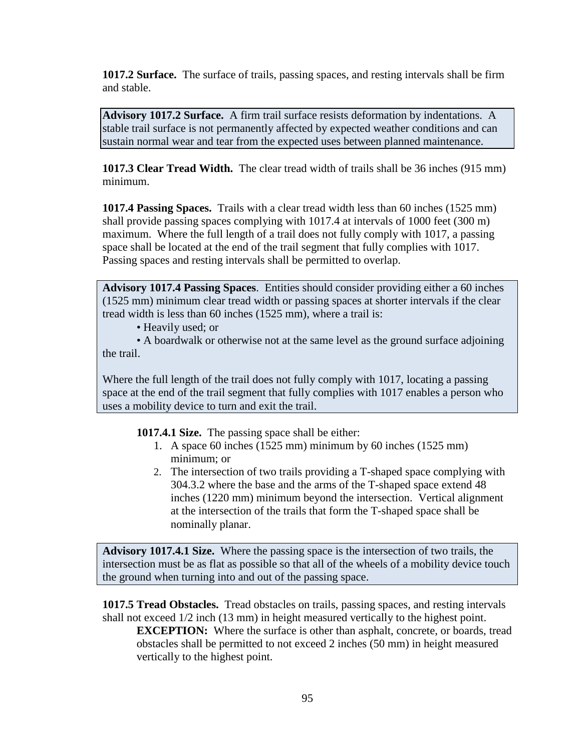**1017.2 Surface.** The surface of trails, passing spaces, and resting intervals shall be firm and stable.

**Advisory 1017.2 Surface.** A firm trail surface resists deformation by indentations. A stable trail surface is not permanently affected by expected weather conditions and can sustain normal wear and tear from the expected uses between planned maintenance.

**1017.3 Clear Tread Width.** The clear tread width of trails shall be 36 inches (915 mm) minimum.

**1017.4 Passing Spaces.** Trails with a clear tread width less than 60 inches (1525 mm) shall provide passing spaces complying with 1017.4 at intervals of 1000 feet (300 m) maximum. Where the full length of a trail does not fully comply with 1017, a passing space shall be located at the end of the trail segment that fully complies with 1017. Passing spaces and resting intervals shall be permitted to overlap.

**Advisory 1017.4 Passing Spaces**. Entities should consider providing either a 60 inches (1525 mm) minimum clear tread width or passing spaces at shorter intervals if the clear tread width is less than 60 inches (1525 mm), where a trail is:

• Heavily used; or

• A boardwalk or otherwise not at the same level as the ground surface adjoining the trail.

Where the full length of the trail does not fully comply with 1017, locating a passing space at the end of the trail segment that fully complies with 1017 enables a person who uses a mobility device to turn and exit the trail.

**1017.4.1 Size.** The passing space shall be either:

- 1. A space 60 inches (1525 mm) minimum by 60 inches (1525 mm) minimum; or
- 2. The intersection of two trails providing a T-shaped space complying with 304.3.2 where the base and the arms of the T-shaped space extend 48 inches (1220 mm) minimum beyond the intersection. Vertical alignment at the intersection of the trails that form the T-shaped space shall be nominally planar.

**Advisory 1017.4.1 Size.** Where the passing space is the intersection of two trails, the intersection must be as flat as possible so that all of the wheels of a mobility device touch the ground when turning into and out of the passing space.

**1017.5 Tread Obstacles.** Tread obstacles on trails, passing spaces, and resting intervals shall not exceed 1/2 inch (13 mm) in height measured vertically to the highest point. **EXCEPTION:** Where the surface is other than asphalt, concrete, or boards, tread obstacles shall be permitted to not exceed 2 inches (50 mm) in height measured vertically to the highest point.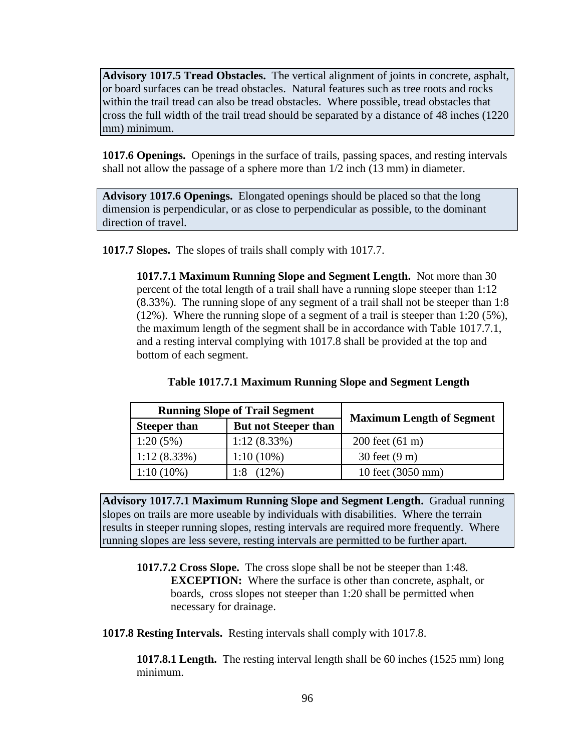**Advisory 1017.5 Tread Obstacles.** The vertical alignment of joints in concrete, asphalt, or board surfaces can be tread obstacles. Natural features such as tree roots and rocks within the trail tread can also be tread obstacles. Where possible, tread obstacles that cross the full width of the trail tread should be separated by a distance of 48 inches (1220 mm) minimum.

**1017.6 Openings.** Openings in the surface of trails, passing spaces, and resting intervals shall not allow the passage of a sphere more than 1/2 inch (13 mm) in diameter.

**Advisory 1017.6 Openings.** Elongated openings should be placed so that the long dimension is perpendicular, or as close to perpendicular as possible, to the dominant direction of travel.

**1017.7 Slopes.** The slopes of trails shall comply with 1017.7.

**1017.7.1 Maximum Running Slope and Segment Length.** Not more than 30 percent of the total length of a trail shall have a running slope steeper than 1:12 (8.33%). The running slope of any segment of a trail shall not be steeper than 1:8 (12%). Where the running slope of a segment of a trail is steeper than 1:20 (5%), the maximum length of the segment shall be in accordance with Table 1017.7.1, and a resting interval complying with 1017.8 shall be provided at the top and bottom of each segment.

| <b>Running Slope of Trail Segment</b> |                             | <b>Maximum Length of Segment</b> |
|---------------------------------------|-----------------------------|----------------------------------|
| <b>Steeper than</b>                   | <b>But not Steeper than</b> |                                  |
| 1:20(5%)                              | $1:12(8.33\%)$              | $200$ feet $(61 \text{ m})$      |

**Advisory 1017.7.1 Maximum Running Slope and Segment Length.** Gradual running slopes on trails are more useable by individuals with disabilities. Where the terrain results in steeper running slopes, resting intervals are required more frequently. Where running slopes are less severe, resting intervals are permitted to be further apart.

1:12 (8.33%) 1:10 (10%) 30 feet (9 m)

1:10 (10%)  $1:8$  (12%) 10 feet (3050 mm)

**1017.7.2 Cross Slope.** The cross slope shall be not be steeper than 1:48. **EXCEPTION:** Where the surface is other than concrete, asphalt, or boards, cross slopes not steeper than 1:20 shall be permitted when necessary for drainage.

**1017.8 Resting Intervals.** Resting intervals shall comply with 1017.8.

**1017.8.1 Length.** The resting interval length shall be 60 inches (1525 mm) long minimum.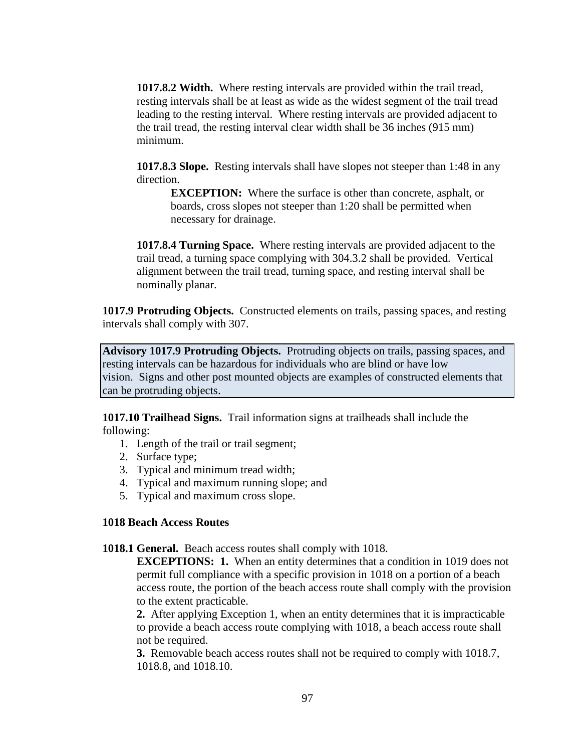**1017.8.2 Width.** Where resting intervals are provided within the trail tread, resting intervals shall be at least as wide as the widest segment of the trail tread leading to the resting interval. Where resting intervals are provided adjacent to the trail tread, the resting interval clear width shall be 36 inches (915 mm) minimum.

**1017.8.3 Slope.** Resting intervals shall have slopes not steeper than 1:48 in any direction.

**EXCEPTION:** Where the surface is other than concrete, asphalt, or boards, cross slopes not steeper than 1:20 shall be permitted when necessary for drainage.

**1017.8.4 Turning Space.** Where resting intervals are provided adjacent to the trail tread, a turning space complying with 304.3.2 shall be provided. Vertical alignment between the trail tread, turning space, and resting interval shall be nominally planar.

**1017.9 Protruding Objects.** Constructed elements on trails, passing spaces, and resting intervals shall comply with 307.

**Advisory 1017.9 Protruding Objects.** Protruding objects on trails, passing spaces, and resting intervals can be hazardous for individuals who are blind or have low vision. Signs and other post mounted objects are examples of constructed elements that can be protruding objects.

**1017.10 Trailhead Signs.** Trail information signs at trailheads shall include the following:

- 1. Length of the trail or trail segment;
- 2. Surface type;
- 3. Typical and minimum tread width;
- 4. Typical and maximum running slope; and
- 5. Typical and maximum cross slope.

## **1018 Beach Access Routes**

**1018.1 General.** Beach access routes shall comply with 1018.

**EXCEPTIONS: 1.** When an entity determines that a condition in 1019 does not permit full compliance with a specific provision in 1018 on a portion of a beach access route, the portion of the beach access route shall comply with the provision to the extent practicable.

**2.** After applying Exception 1, when an entity determines that it is impracticable to provide a beach access route complying with 1018, a beach access route shall not be required.

**3.** Removable beach access routes shall not be required to comply with 1018.7, 1018.8, and 1018.10.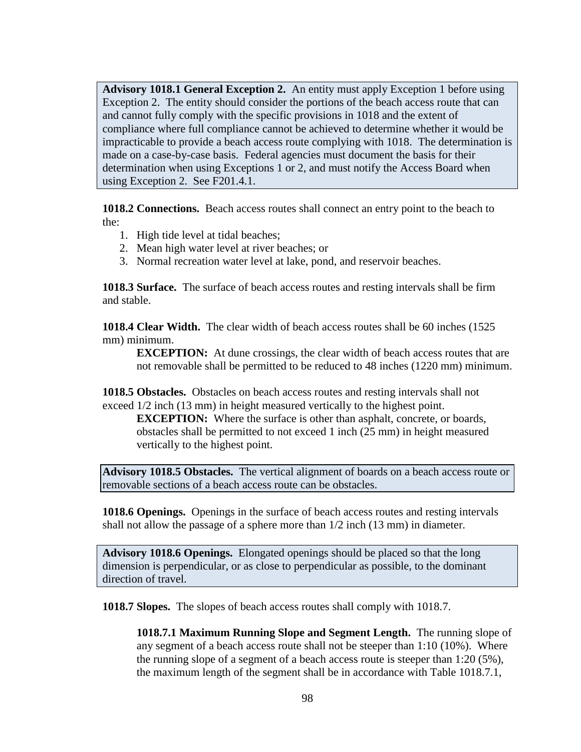**Advisory 1018.1 General Exception 2.** An entity must apply Exception 1 before using Exception 2. The entity should consider the portions of the beach access route that can and cannot fully comply with the specific provisions in 1018 and the extent of compliance where full compliance cannot be achieved to determine whether it would be impracticable to provide a beach access route complying with 1018. The determination is made on a case-by-case basis. Federal agencies must document the basis for their determination when using Exceptions 1 or 2, and must notify the Access Board when using Exception 2. See F201.4.1.

**1018.2 Connections.** Beach access routes shall connect an entry point to the beach to the:

- 1. High tide level at tidal beaches;
- 2. Mean high water level at river beaches; or
- 3. Normal recreation water level at lake, pond, and reservoir beaches.

**1018.3 Surface.** The surface of beach access routes and resting intervals shall be firm and stable.

**1018.4 Clear Width.** The clear width of beach access routes shall be 60 inches (1525 mm) minimum.

**EXCEPTION:** At dune crossings, the clear width of beach access routes that are not removable shall be permitted to be reduced to 48 inches (1220 mm) minimum.

**1018.5 Obstacles.** Obstacles on beach access routes and resting intervals shall not exceed 1/2 inch (13 mm) in height measured vertically to the highest point.

**EXCEPTION:** Where the surface is other than asphalt, concrete, or boards, obstacles shall be permitted to not exceed 1 inch (25 mm) in height measured vertically to the highest point.

**Advisory 1018.5 Obstacles.** The vertical alignment of boards on a beach access route or removable sections of a beach access route can be obstacles.

**1018.6 Openings.** Openings in the surface of beach access routes and resting intervals shall not allow the passage of a sphere more than 1/2 inch (13 mm) in diameter.

**Advisory 1018.6 Openings.** Elongated openings should be placed so that the long dimension is perpendicular, or as close to perpendicular as possible, to the dominant direction of travel.

**1018.7 Slopes.** The slopes of beach access routes shall comply with 1018.7.

**1018.7.1 Maximum Running Slope and Segment Length.** The running slope of any segment of a beach access route shall not be steeper than 1:10 (10%). Where the running slope of a segment of a beach access route is steeper than 1:20 (5%), the maximum length of the segment shall be in accordance with Table 1018.7.1,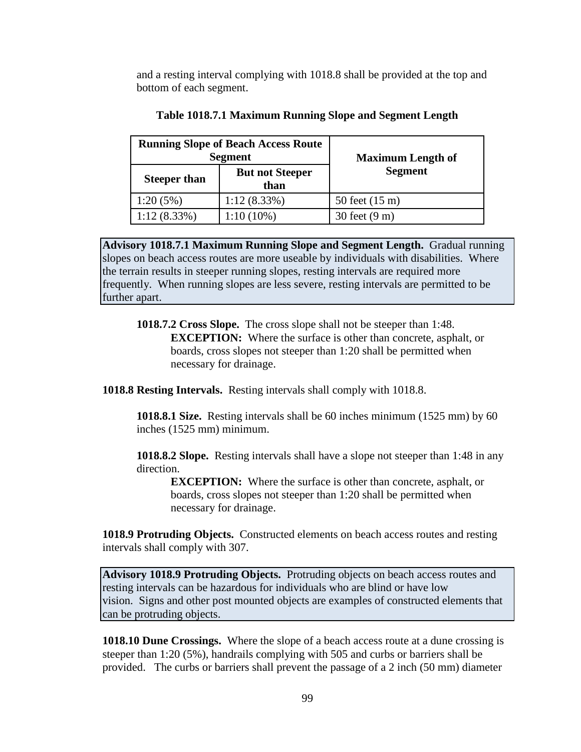and a resting interval complying with 1018.8 shall be provided at the top and bottom of each segment.

| <b>Running Slope of Beach Access Route</b><br><b>Segment</b> |                                | <b>Maximum Length of</b> |
|--------------------------------------------------------------|--------------------------------|--------------------------|
| <b>Steeper than</b>                                          | <b>But not Steeper</b><br>than | <b>Segment</b>           |
| 1:20(5%)                                                     | $1:12(8.33\%)$                 | 50 feet (15 m)           |
| $1:12(8.33\%)$                                               | $1:10(10\%)$                   | 30 feet (9 m)            |

#### **Table 1018.7.1 Maximum Running Slope and Segment Length**

**Advisory 1018.7.1 Maximum Running Slope and Segment Length.** Gradual running slopes on beach access routes are more useable by individuals with disabilities. Where the terrain results in steeper running slopes, resting intervals are required more frequently. When running slopes are less severe, resting intervals are permitted to be further apart.

**1018.7.2 Cross Slope.** The cross slope shall not be steeper than 1:48. **EXCEPTION:** Where the surface is other than concrete, asphalt, or boards, cross slopes not steeper than 1:20 shall be permitted when necessary for drainage.

**1018.8 Resting Intervals.** Resting intervals shall comply with 1018.8.

**1018.8.1 Size.** Resting intervals shall be 60 inches minimum (1525 mm) by 60 inches (1525 mm) minimum.

**1018.8.2 Slope.** Resting intervals shall have a slope not steeper than 1:48 in any direction.

**EXCEPTION:** Where the surface is other than concrete, asphalt, or boards, cross slopes not steeper than 1:20 shall be permitted when necessary for drainage.

**1018.9 Protruding Objects.** Constructed elements on beach access routes and resting intervals shall comply with 307.

**Advisory 1018.9 Protruding Objects.** Protruding objects on beach access routes and resting intervals can be hazardous for individuals who are blind or have low vision. Signs and other post mounted objects are examples of constructed elements that can be protruding objects.

**1018.10 Dune Crossings.** Where the slope of a beach access route at a dune crossing is steeper than 1:20 (5%), handrails complying with 505 and curbs or barriers shall be provided. The curbs or barriers shall prevent the passage of a 2 inch (50 mm) diameter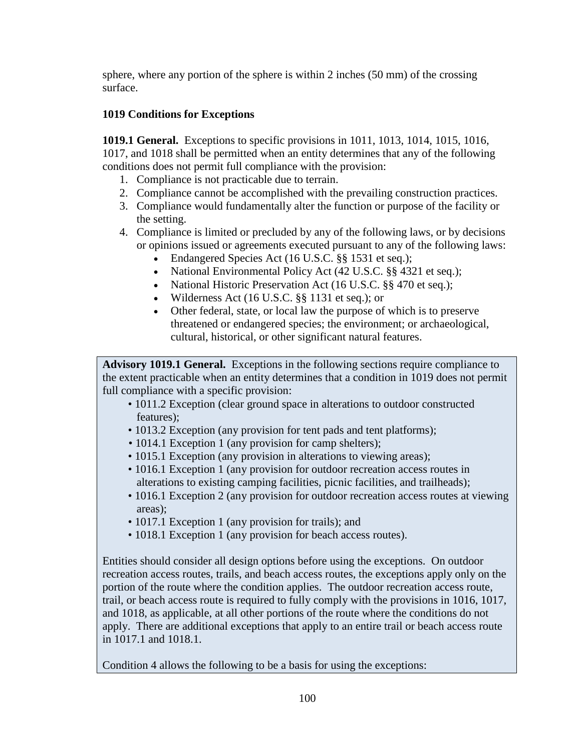sphere, where any portion of the sphere is within 2 inches (50 mm) of the crossing surface.

# **1019 Conditions for Exceptions**

**1019.1 General.** Exceptions to specific provisions in 1011, 1013, 1014, 1015, 1016, 1017, and 1018 shall be permitted when an entity determines that any of the following conditions does not permit full compliance with the provision:

- 1. Compliance is not practicable due to terrain.
- 2. Compliance cannot be accomplished with the prevailing construction practices.
- 3. Compliance would fundamentally alter the function or purpose of the facility or the setting.
- 4. Compliance is limited or precluded by any of the following laws, or by decisions or opinions issued or agreements executed pursuant to any of the following laws:
	- Endangered Species Act (16 U.S.C. §§ 1531 et seq.);
	- National Environmental Policy Act (42 U.S.C. §§ 4321 et seq.);
	- National Historic Preservation Act (16 U.S.C. §§ 470 et seq.);
	- Wilderness Act (16 U.S.C. §§ 1131 et seq.); or
	- Other federal, state, or local law the purpose of which is to preserve threatened or endangered species; the environment; or archaeological, cultural, historical, or other significant natural features.

**Advisory 1019.1 General.** Exceptions in the following sections require compliance to the extent practicable when an entity determines that a condition in 1019 does not permit full compliance with a specific provision:

- 1011.2 Exception (clear ground space in alterations to outdoor constructed features);
- 1013.2 Exception (any provision for tent pads and tent platforms);
- 1014.1 Exception 1 (any provision for camp shelters);
- 1015.1 Exception (any provision in alterations to viewing areas);
- 1016.1 Exception 1 (any provision for outdoor recreation access routes in alterations to existing camping facilities, picnic facilities, and trailheads);
- 1016.1 Exception 2 (any provision for outdoor recreation access routes at viewing areas);
- 1017.1 Exception 1 (any provision for trails); and
- 1018.1 Exception 1 (any provision for beach access routes).

Entities should consider all design options before using the exceptions. On outdoor recreation access routes, trails, and beach access routes, the exceptions apply only on the portion of the route where the condition applies. The outdoor recreation access route, trail, or beach access route is required to fully comply with the provisions in 1016, 1017, and 1018, as applicable, at all other portions of the route where the conditions do not apply. There are additional exceptions that apply to an entire trail or beach access route in 1017.1 and 1018.1.

Condition 4 allows the following to be a basis for using the exceptions: